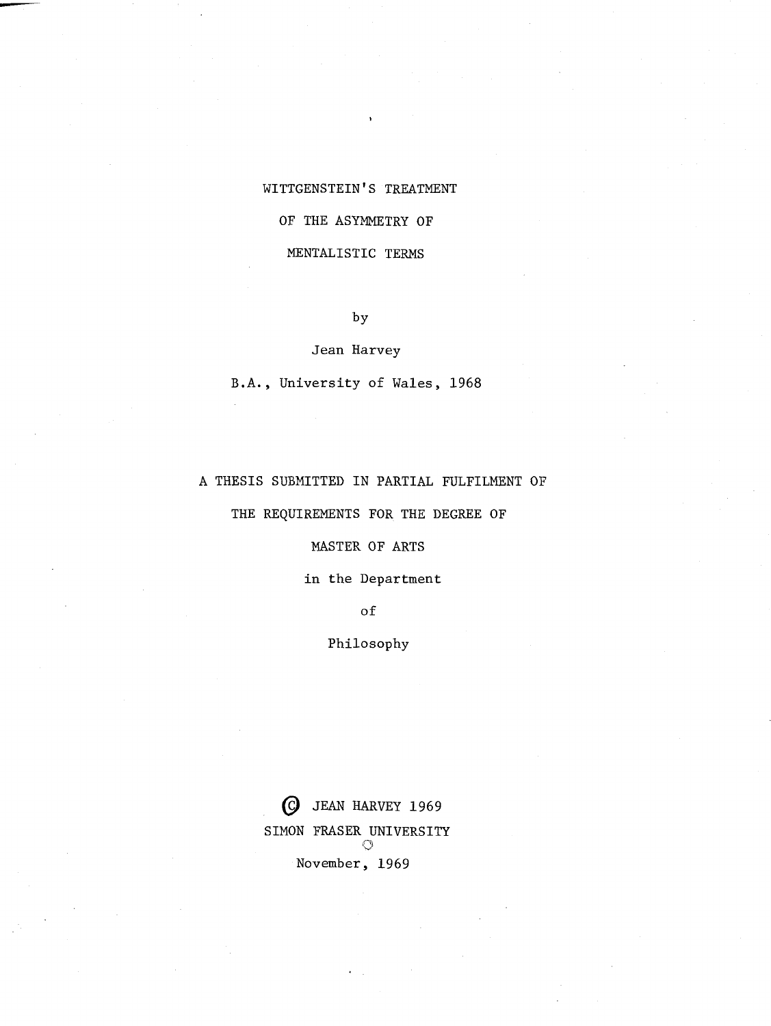# **WITTGENSTEIN'S TREATMENT**

### **OF THE ASYMMETRY OF**

## **MENTALISTIC TERMS**

**by** 

#### **Jean Harvey**

**B.A., University of Wales, 1968** 

## **A THESIS SUBMITTED IN PARTIAL FULFILMENT OF**

# **THE REQUIREMENTS FOR THE DEGREE OF**

#### **MASTER OF ARTS**

# **in the Department**

**of** 

#### **Philosophy**

@ **JEAN HARVEY 1969**  SIMON FRASER UNIVERSITY  $\circlearrowleft$ **November, 1969**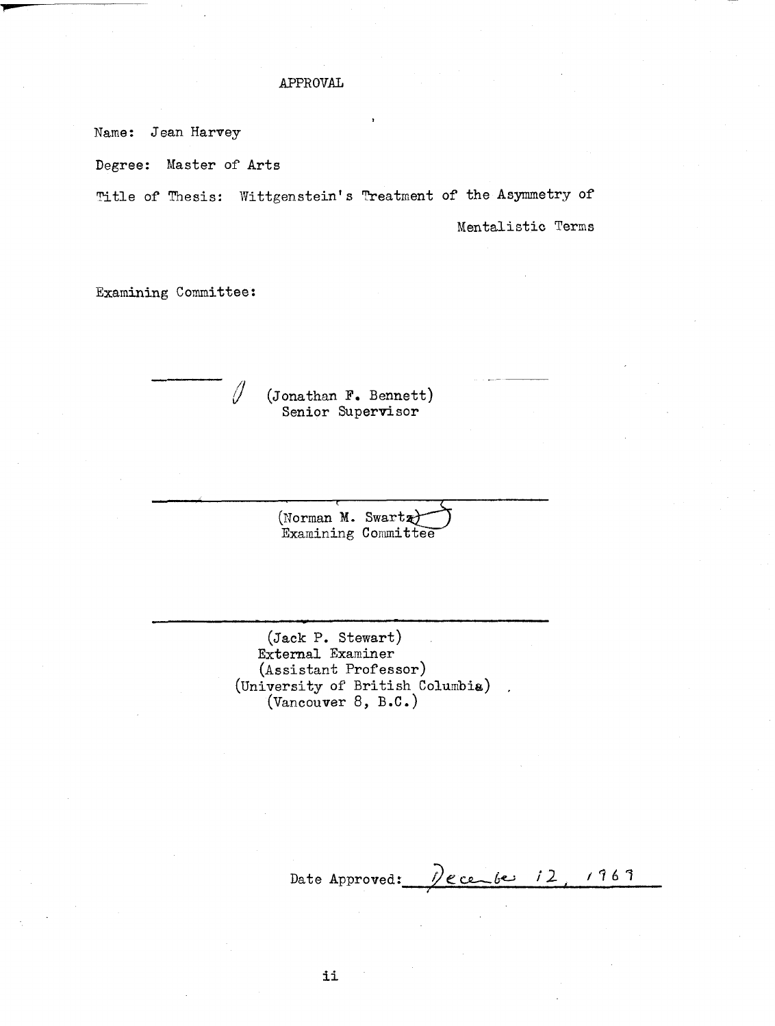### APPROVAL

Name: Jean Harvey

Degree: Master of Arts

Title of Thesis: Wittgenstein's Treatment of the Asymmetry of

**I** 

Mentalistic Terms

-- -

Examining Committee:

Ŋ

- --

(Jonathan **F.** Bennett) Senior Supervisor

(Norman M. Swartz) Examining Committee

(Jack P. Stewart) External Examiner  $(Assistant$  Professor)  $($ University of British Columbia) (Vancouver 8, B.C.)

<u>Pecente 12</u>  $1969$ Date Approved:

ii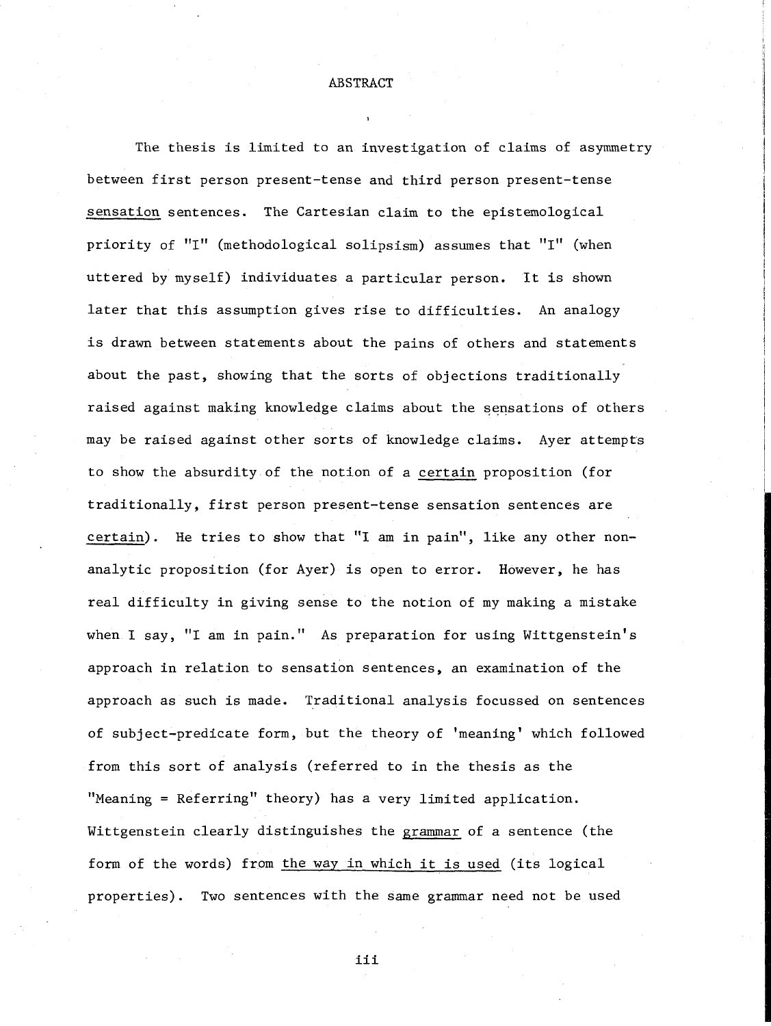ABSTRACT

The thesis is limited to an investigation of claims of asymmetry between first person present-tense and third person present-tense sensation sentences. The Cartesian claim to the epistemological priority of "I" (methodological solipsism) assumes that "I" (when uttered by myself) individuates a particular person. It is shown later that this assumption gives rise to difficulties. An analogy is drawn between statements about the pains of others and statements about the past, showing that the sorts of objections traditionally raised against making knowledge claims about the sensations of others may be raised against other sorts of knowledge claims. Ayer attempts to show the absurdity of the notion of a certain proposition (for traditionally, first person present-tense sensation sentences are certain). He tries to show that "I am in pain", like any other nonanalytic proposition (for Ayer) is open to error. However, he has real difficulty in giving sense to the notion of my making a mistake when I say, "I am in pain." As preparation for using Wittgenstein's approach in relation to sensation sentences, an examination of the approach as such is made. Traditional analysis focussed on sentences of subject-predicate form, but the theory of 'meaning' which followed from this sort of analysis (referred to in the thesis as the "Meaning = Referring" theory) has a very limited application. Wittgenstein clearly distinguishes the grammar of a sentence (the form of the words) from the way in which it is used (its logical properties). Two sentences with the same grammar need not be used

iii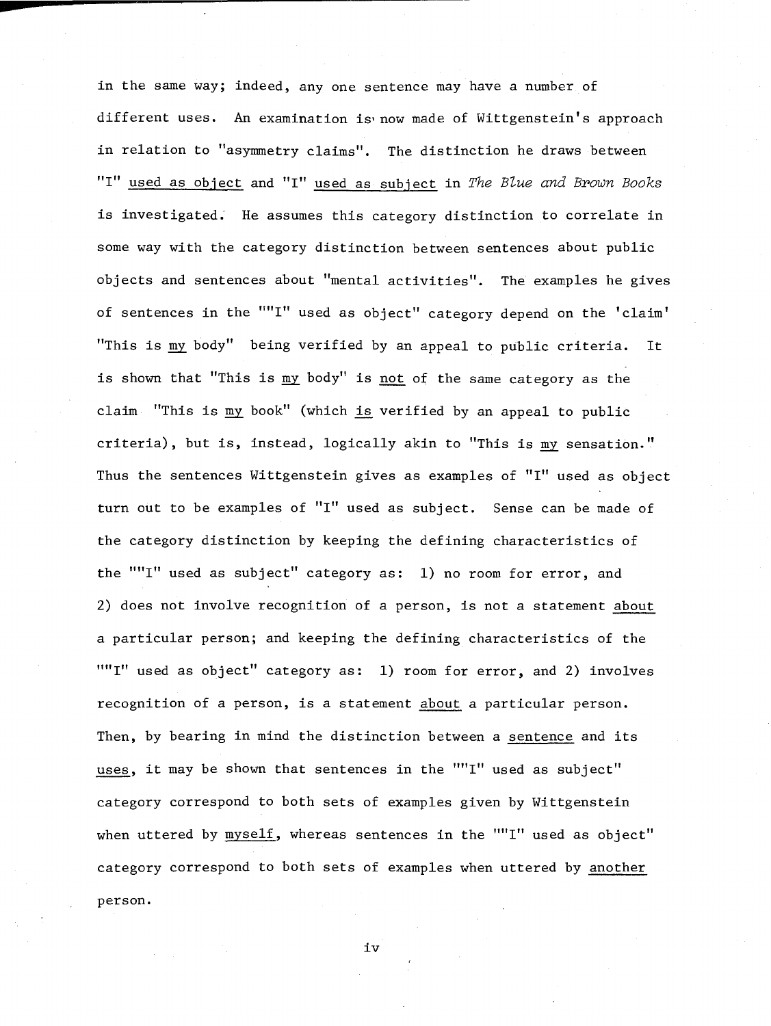in the same way; indeed, any one sentence may have a number of different uses. An examination is now made of Wittgenstein's approach in relation to "asymmetry claims". The distinction he draws between "Itr used as object and "I" used as subject in The *Blue and Brown Books*  is investigated. He assumes this category distinction to correlate in some way with the category distinction between sentences about public objects and sentences about "mental activities". The examples he gives of sentences in the ""I" used as object" category depend on the 'claim' "This is my body" being verified by an appeal to public criteria. It is shown that "This is my body" is not of the same category as the claim "This is my book" (which is verified by an appeal to public criteria), but is, instead, logically akin to "This is my sensation." Thus the sentences Wittgenstein gives as examples of "I" used as object turn out to be examples of "I" used as subject. Sense can be made of the category distinction by keeping the defining characteristics of the ""I" used as subject" category as: 1) no room for error, and 2) does not involve recognition of a person, is not a statement about a particular person; and keeping the defining characteristics of the ""I" used as object" category as: 1) room for error, and 2) involves recognition of a person, is a statement about a particular person. Then, by bearing in mind the distinction between a sentence and its uses, it may be shown that sentences in the ""I" used as subject" category correspond to both sets of examples given by Wittgenstein when uttered by myself, whereas sentences in the ""I" used as object" category correspond to both sets of examples when uttered by another person.

iv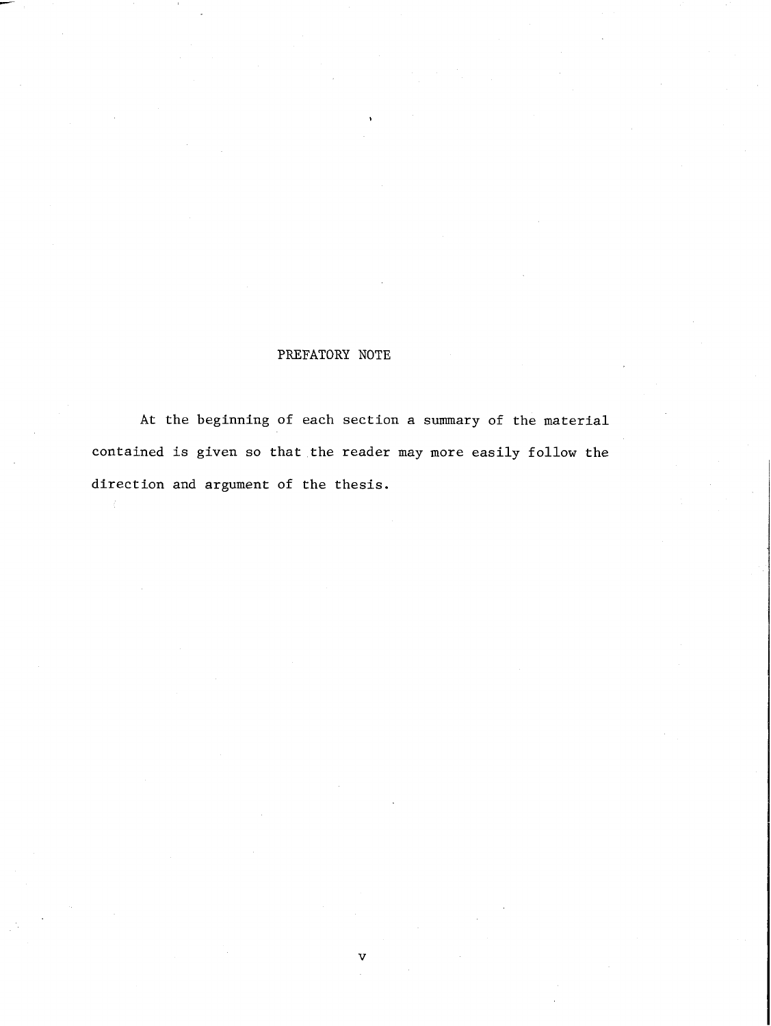# PREFATORY NOTE

At the beginning of each section a summary of the material contained is given so that the reader may more easily follow the direction and argument of the thesis.

٦Z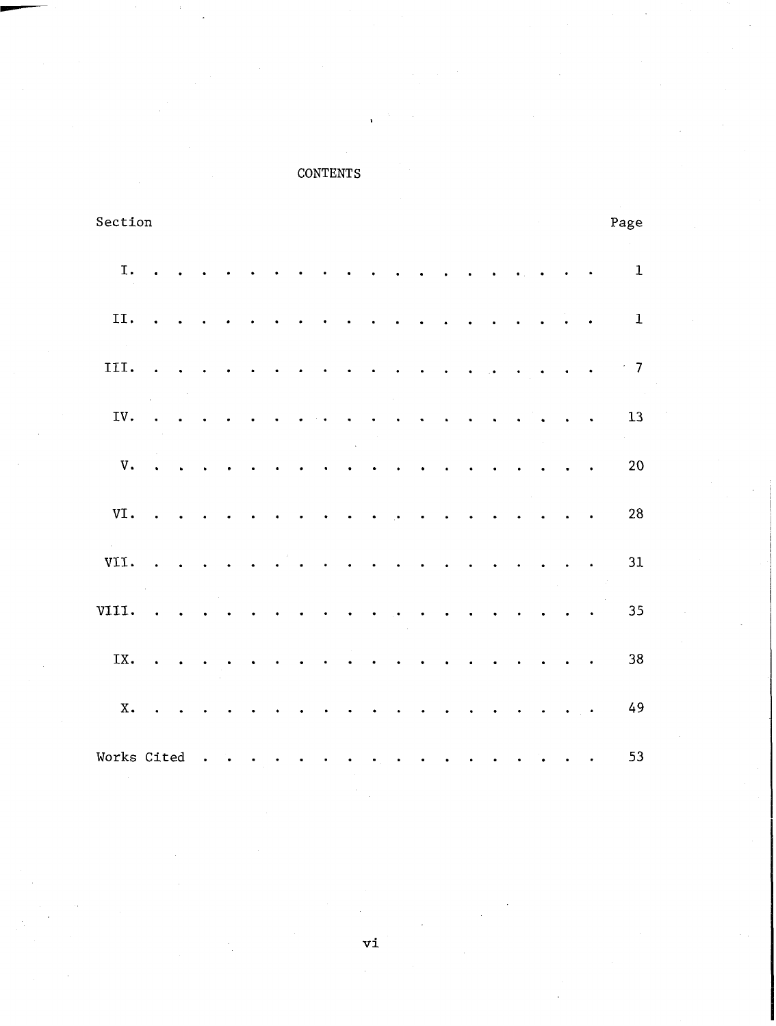# **CONTENTS**

| Section     |                            |                      |                      |                      |                      |                      |                      |                      |                      |                      |                      |                      |                      |                           |                      |                      |                      |               |                      | Page         |
|-------------|----------------------------|----------------------|----------------------|----------------------|----------------------|----------------------|----------------------|----------------------|----------------------|----------------------|----------------------|----------------------|----------------------|---------------------------|----------------------|----------------------|----------------------|---------------|----------------------|--------------|
| I.          | $\overline{a}$             |                      |                      |                      |                      |                      |                      |                      |                      |                      |                      |                      |                      |                           |                      |                      |                      |               |                      | $\mathbf{1}$ |
| II.         | $\bullet$                  | $\sim 10$            | $\ddot{\phantom{0}}$ |                      |                      |                      |                      |                      |                      |                      | $\ddot{\phantom{0}}$ |                      |                      |                           | $\ddot{\phantom{0}}$ | $\sim$ $\sim$        | $\sim$ $\sim$        | $\sim$        | $\blacksquare$ .     | $\bf 1$      |
| III.        | $\ddot{\phantom{0}}$       | $\ddot{\phantom{a}}$ |                      |                      |                      |                      | $\bullet$            | $\bullet$            | $\bullet$            | $\bullet$            | $\bullet$            | $\bullet$            | $\sim$ $\sim$        | $\sim 10^{-1}$ , $\sigma$ |                      | $\sim$ $\sim$        | $\bullet$            | $\sim$ $\sim$ | $\sim$ $\sim$        | $\sim$ 7     |
| IV.         | $\ddot{\phantom{0}}$       |                      |                      |                      |                      |                      |                      |                      |                      |                      |                      | $\ddot{\phantom{0}}$ | $\ddot{\phantom{0}}$ |                           | $\ddot{\phantom{0}}$ |                      | $\ddot{\phantom{0}}$ |               | $\ddot{\phantom{0}}$ | 13           |
| V.          | $\ddot{\phantom{a}}$       | $\overline{a}$       |                      |                      |                      |                      |                      |                      |                      |                      |                      |                      |                      |                           |                      |                      |                      |               |                      | 20           |
| VI.         | $\mathcal{L}_{\mathbf{z}}$ | $\bullet$            |                      |                      |                      |                      |                      | $\ddot{\phantom{0}}$ |                      |                      |                      |                      |                      |                           |                      |                      |                      |               | $\bullet$            | 28           |
| VII.        | $\sim$                     | $\sim$               | $\bullet$            | $\ddot{\phantom{a}}$ | $\ddot{\phantom{0}}$ | $\sim$               | $\bullet$            | $\sim$ $\sim$        | $\sim$               | $\sim$ $\sim$        | $\bullet$            | $\bullet$            | $\ddot{\phantom{0}}$ |                           | $\ddot{\phantom{0}}$ | $\ddot{\phantom{0}}$ |                      |               | $\bullet$            | 31           |
| VIII.       | $\sim$ $\sim$              | $\ddot{\phantom{0}}$ | $\ddot{\phantom{0}}$ | $\ddot{\phantom{0}}$ | $\ddot{\phantom{0}}$ | $\bullet$            | $\bullet$            | $\ddot{\phantom{a}}$ | $\sim$ $\sim$        | $\bullet$            | $\ddot{\phantom{0}}$ | $\bullet$            |                      |                           |                      |                      |                      |               | $\ddot{\phantom{0}}$ | 35           |
| IX.         | $\ddot{\phantom{a}}$       | $\ddot{\phantom{0}}$ | $\ddot{\phantom{0}}$ |                      | $\ddot{\phantom{0}}$ | $\ddot{\phantom{0}}$ | $\ddot{\phantom{0}}$ | $\sim$ $\sim$        | $\ddot{\phantom{1}}$ | $\sim$ $\bullet$     | $\ddot{\phantom{0}}$ | $\ddot{\phantom{1}}$ | $\sim$               | $\ddot{\phantom{a}}$      | $\ddot{\phantom{0}}$ |                      |                      | $\bullet$     |                      | $38\,$       |
| <b>X</b> .  |                            |                      |                      |                      |                      |                      |                      |                      |                      | $\ddot{\phantom{0}}$ |                      |                      |                      |                           |                      |                      |                      |               | $\sim$ $\sim$        | 49           |
| Works Cited |                            |                      |                      |                      | $\bullet$            | $\bullet$            | $\bullet$            | $\bullet$            |                      | $\bullet$            | $\bullet$            | $\bullet$            |                      | $\bullet$                 | $\ddot{\phantom{0}}$ |                      |                      |               | $\bullet$            | 53           |

 $\mathbf{v}\mathbf{i}$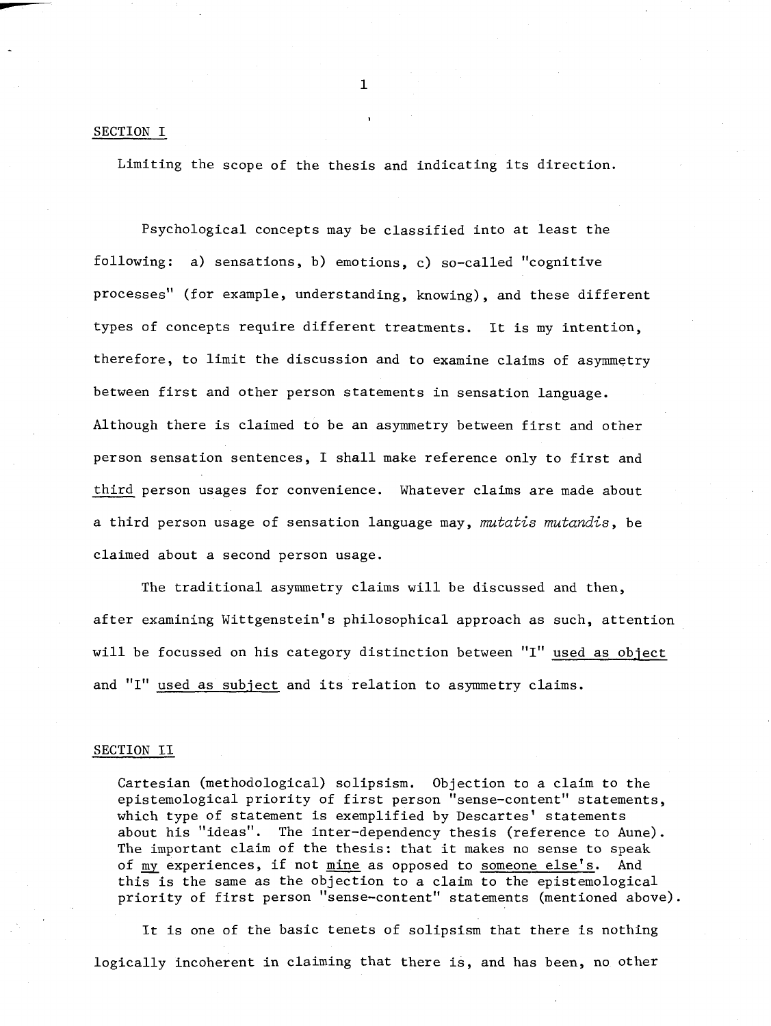#### SECTION I

Limiting the scope of the thesis and indicating its direction.

**I** 

Psychological concepts may be classified into at least the following: a) sensations, b) emotions, c) so-called "cognitive processes" (for example, understanding, knowing), and these different types of concepts require different treatments. It is my intention, therefore, to limit the discussion and to examine claims of asymmetry between first and other person statements in sensation language. Although there is claimed to be an asymmetry between first and other person sensation sentences, I shall make reference only to first and third person usages for convenience. Whatever claims are made about a third person usage of sensation language may, mutatis mutandis, be claimed about a second person usage.

The traditional asymmetry claims will be discussed and then, after examining Wittgenstein's philosophical approach as such, attention will be focussed on his category distinction between "I" used as object and "I" used as subject and its relation to asymmetry claims.

#### SECTION I1

Cartesian (methodological) solipsism. Objection to a claim to the epistemological priority of first person "sense-content" statements, which type of statement is exemplified by Descartes' statements about his "ideas". The inter-dependency thesis (reference to Aune). The important claim of the thesis: that it makes no sense to speak of my experiences, if not mine as opposed to someone else's. And this is the same as the objection to a claim to the epistemological priority of first person "sense-content" statements (mentioned above).

It is one of the basic tenets of solipsism that there is nothing logically incoherent in claiming that there is, and has been, no other

 $\mathbf{1}$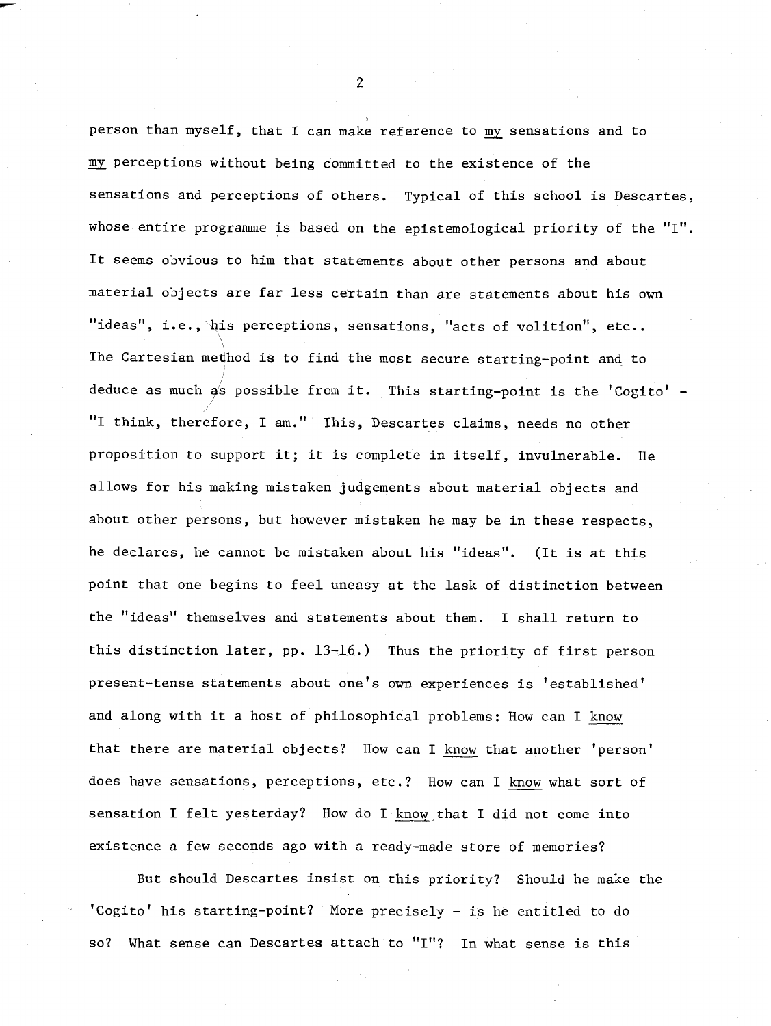person than myself, that I can make reference to  $\overline{\mathtt{m}\mathtt{y}}$  sensations and to my perceptions without being committed to the existence of the sensations and perceptions of others. Typical of this school is Descartes, whose entire programme is based on the epistemological priority of the "I". It seems obvious to him that statements about other persons and about material objects are far less certain than are statements about his own "ideas", i.e.,  $\psi$ is perceptions, sensations, "acts of volition", etc.. The Cartesian medhod is to find the most secure starting-point and to deduce as much  $a/s$  possible from it. This starting-point is the 'Cogito' -"I think, therefore, I am." This, Descartes claims, needs no other proposition to support it; it is complete in itself, invulnerable. He allows for his making mistaken judgements about material objects and about other persons, but however mistaken he may be in these respects, he declares, he cannot be mistaken about his "ideas". (It is at this point that one begins to feel uneasy at the lask of distinction between the "ideas" themselves and statements about them. I shall return to this distinction later, pp. 13-16.) Thus the priority of first person present-tense statements about one's own experiences is 'established' and along with it a host of philosophical problems: How can I know that there are material objects? How can I know that another 'person' does have sensations, perceptions, etc.? How can I know what sort of sensation I felt yesterday? How do I know that I did not come into existence a few seconds ago with a ready-made store of memories?

But should Descartes insist on this priority? Should he make the 'Cogito' his starting-point? More precisely - is he entitled to do so? What sense can Descartes attach to "I"? In what sense is this

 $\overline{2}$ 

**I**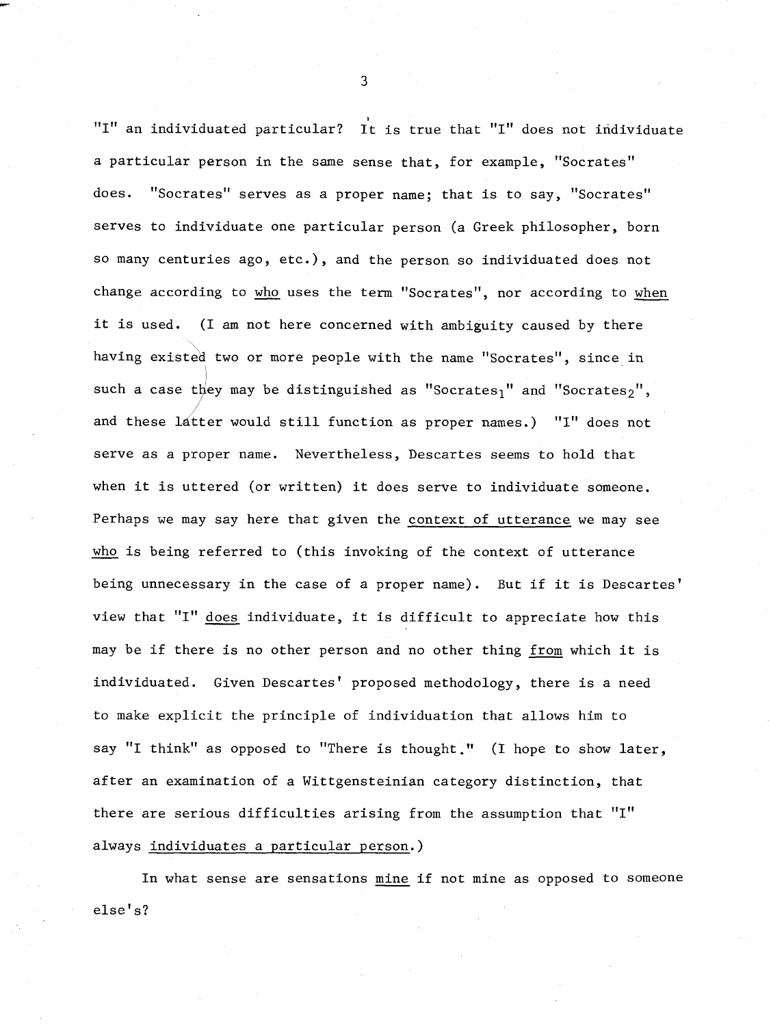"I" an individuated particular? It is true that "I" does not individuate a particular person in the same sense that, for example, "Socrates" does. "Socrates" serves as a proper name; that is to say, "Socrates" serves to individuate one particular person (a Greek philosopher, born so many centuries ago, etc.), and the person so individuated does not change according to **who** uses the term "Socrates", nor according to when it is used. (I am not here concerned with ambiguity caused by there having existed two or more people with the name "Socrates", since in such a case they may be distinguished as "Socrates<sub>1</sub>" and "Socrates<sub>2</sub>", and these latter would still function as proper names.) "I" does not serve as a proper name. Nevertheless, Descartes seems to hold that when it is uttered (or written) it does serve to individuate someone. Perhaps we may say here that given the context of utterance we may see when it is uttered (or written) it does serve to individuate someone<br>Perhaps we may say here that given the <u>context of utterance</u> we may s<br><u>who</u> is being referred to (this invoking of the context of utterance being unnecessary in the case of a proper name). But if it is Descartes' view that "I" does individuate, it is difficult to appreciate how this may be if there is no other person and no other thing from which it is individuated. Given Descartes' proposed methodology, there is a need to make explicit the principle of individuation that allows him to say "I think" as opposed to "There is thought." (I hope to show later, after an examination of a Wittgensteinian category distinction, that there are serious difficulties arising from the assumption that "I" always individuates a particular person.)

In what sense are sensations mine if not mine as opposed to someone else's?

 $\overline{3}$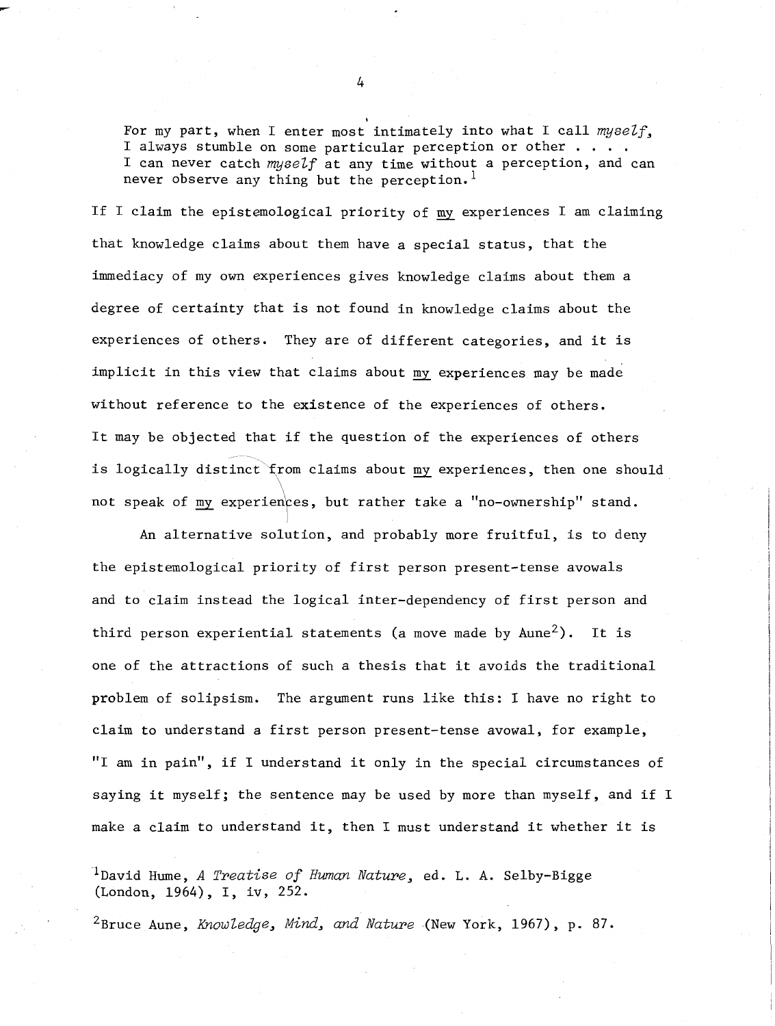For my part, when I enter most intimately into what I call *myself*, I always stumble on some particular perception or other . . . . I can never catch *myself* at any time without a perception, and can never observe any thing but the perception.<sup>1</sup>

If I claim the epistemological priority of my experiences I am claiming that knowledge claims about them have a special status, that the immediacy of my own experiences gives knowledge claims about them a degree of certainty that is not found in knowledge claims about the experiences of others. They are of different categories, and it is implicit in this view that claims about my experiences may be made without reference to the existence of the experiences of others. It may be objected that if the question of the experiences of others is logically distinct  $\text{from claims about my experiences, then one should}$  $\sqrt{2}$ not speak of my experiences, but rather take a "no-ownership" stand.

An alternative solution, and probably more fruitful, is to deny the epistemological priority of first person present-tense avowals and to claim instead the logical inter-dependency of first person and third person experiential statements (a move made by  $A$ une<sup>2</sup>). It is one of the attractions of such a thesis that it avoids the traditional problem of solipsism. The argument runs like this: I have no right to claim to understand a first person present-tense avowal, for example, "I am in pain", if I understand it only in the special circumstances of saying it myself; the sentence may be used by more than myself, and if I make a claim to understand it, then I must understand it whether it is

<sup>1</sup>David Hume, *A Treatise of Human Nature*, ed. L. A. Selby-Bigge (London, 1964), I, iv, 252.

<sup>2</sup>Bruce Aune, *Knowledge, Mind, and Nature* (New York, 1967), p. 87.

**I**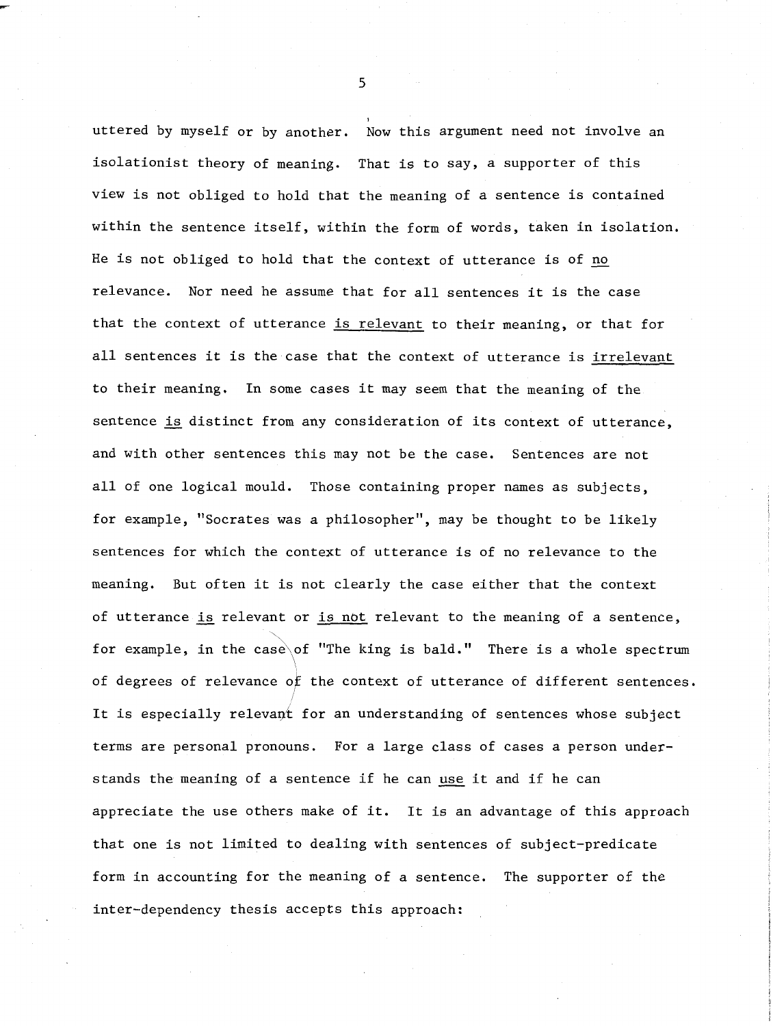uttered by myself or by another. Now this argument need not involve an isolationist theory of meaning. That is to say, a supporter of this view is not obliged to hold that the meaning of a sentence is contained within the sentence itself, within the form of words, taken in isolation. He is not obliged to hold that the context of utterance is of no relevance. Nor need he assume that for all sentences it is the case that the context of utterance is relevant to their meaning, or that for all sentences it is the case that the context of utterance is irrelevant to their meaning. In some cases it may seem that the meaning of the sentence is distinct from any consideration of its context of utterance, and with other sentences this may not be the case. Sentences are not all of one logical mould. Those containing proper names as subjects, for example, "Socrates was a philosopher", may be thought to be likely sentences for which the context of utterance is of no relevance to the meaning. But often it is not clearly the case either that the context of utterance **is** relevant or is not relevant to the meaning of a sentence, for example, in the case of "The king is bald." There is a whole spectrum of degrees of relevance OF the context of utterance of different sentences. It is especially relevant for an understanding of sentences whose subject terms are personal pronouns. For a large class of cases a person understands the meaning of a sentence if he can use it and if he can appreciate the use others make of it. It is an advantage of this approach that one is not limited to dealing with sentences of subject-predicate form in accounting for the meaning of a sentence. The supporter of the inter-dependency thesis accepts this approach: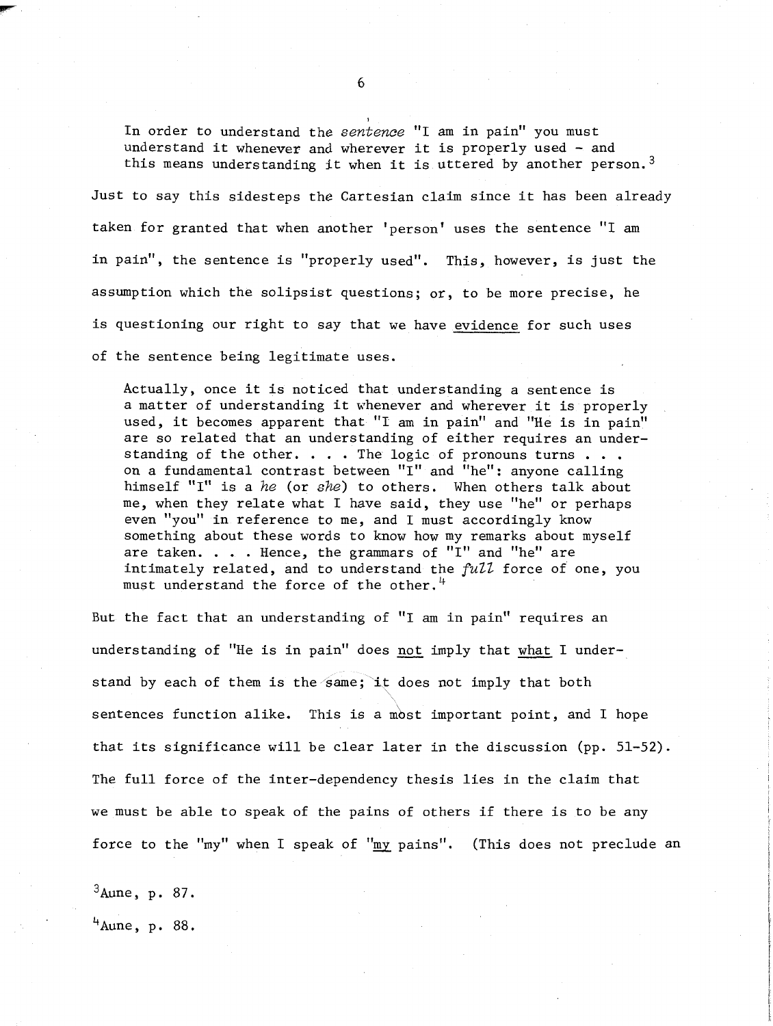In order to understand the sentence "I am in pain" you must understand it whenever and wherever it is properly used - and this means understanding it when it is uttered by another person.<sup>3</sup> Just to say this sidesteps the Cartesian claim since it has been already taken for granted that when another 'person' uses the sentence "I am in pain", the sentence is "properly used". This, however, is just the assumption which the solipsist questions; or, to be more precise, he is questioning our right to say that we have evidence for such uses

of the sentence being legitimate uses.

Actually, once it is noticed that understanding a sentence is a matter of understanding it whenever and wherever it is properly used, it becomes apparent that "I am in pain" and "He is in pain" are so related that an understanding of either requires an understanding of the other. . . . The logic of pronouns turns . . . on a fundamental contrast between "I" and "he": anyone calling himself "I" is a he (or she) to others. When others talk about me, when they relate what I have said, they use "he" or perhaps even "you" in reference to me, and I must accordingly know something about these words to know how my remarks about myself are taken.  $\ldots$  Hence, the grammars of "I" and "he" are intimately related, and to understand the  $full$  force of one, you must understand the force of the other.<sup>4</sup>

But the fact that an understanding of "I am in pain" requires an understanding of "He is in pain" does not imply that what I understand by each of them is the same; it does not imply that both sentences function alike. This is a most important point, and I hope that its significance will be clear later in the discussion (pp. 51-52). The full force of the inter-dependency thesis lies in the claim that we must be able to speak of the pains of others if there is to be any force to the "my" when I speak of "my pains". (This does not preclude an

 $3$ Aune, p. 87.

 $4$ Aune, p. 88.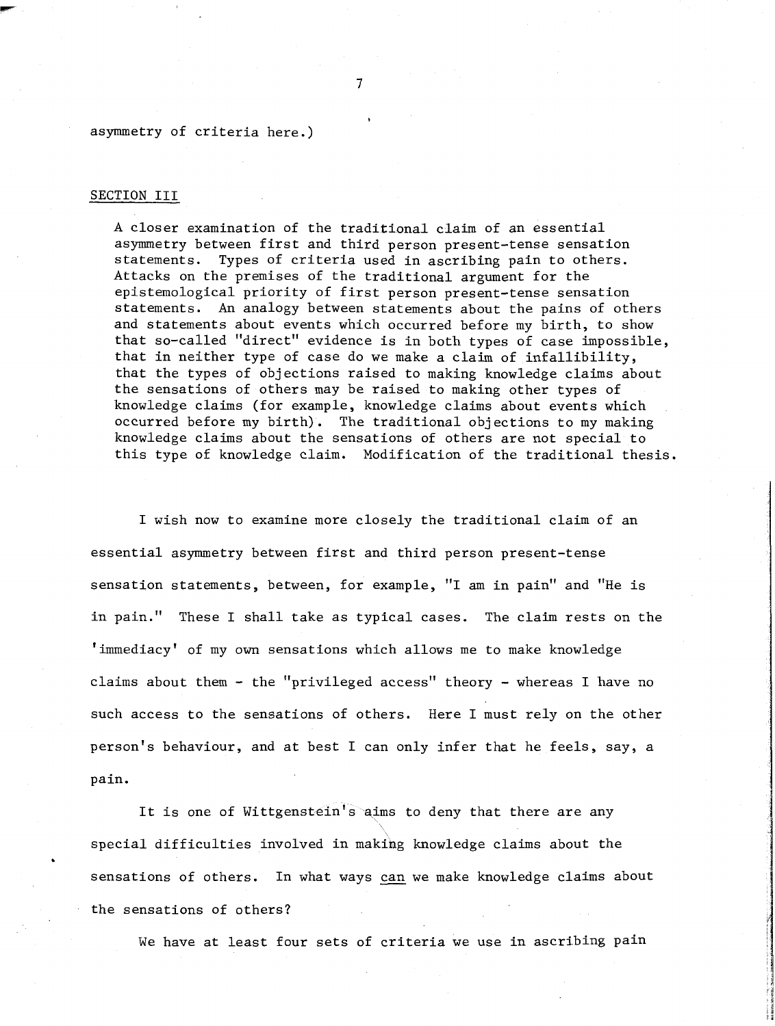#### asymmetry of criteria here.)

#### SECTION III

A closer examination of the traditional claim of an essential asymmetry between first and third person present-tense sensation statements. Types of criteria used in ascribing pain to others. Attacks on the premises of the traditional argument for the epistemological priority of first person present-tense sensation statements. An analogy between statements about the pains 05 others and statements about events which occurred before my birth, to show that so-called "direct" evidence is in both types of case impossible, that in neither type of case do we make a claim of infallibility, that the types of objections raised to making knowledge claims about the sensations of others may be raised to making other types of knowledge claims (for example, knowledge claims about events which occurred before my birth). The traditional objections to my making knowledge claims about the sensations of others are not special to this type of knowledge claim. Modification of the traditional thesis.

I wish now to examine more closely the traditional claim of an essential asymmetry between first and third person present-tense sensation statements, between, for example, "I am in pain" and "He is in pain." These I shall take as typical cases. The claim rests on the 'immediacy' of my own sensations which allows me to make knowledge claims about them - the "privileged access" theory - whereas I have no such access to the sensations of others. Here I must rely on the other person's behaviour, and at best I can only infer that he feels, say, a pain.

It is one of Wittgenstein's aims to deny that there are any<br>1 difficulties involved in making knowledge claims about the special difficulties involved in making knowledge claims about the . sensations of others. In what ways **can** we make knowledge claims about the sensations of others?

We have at least four sets of criteria we use in ascribing pain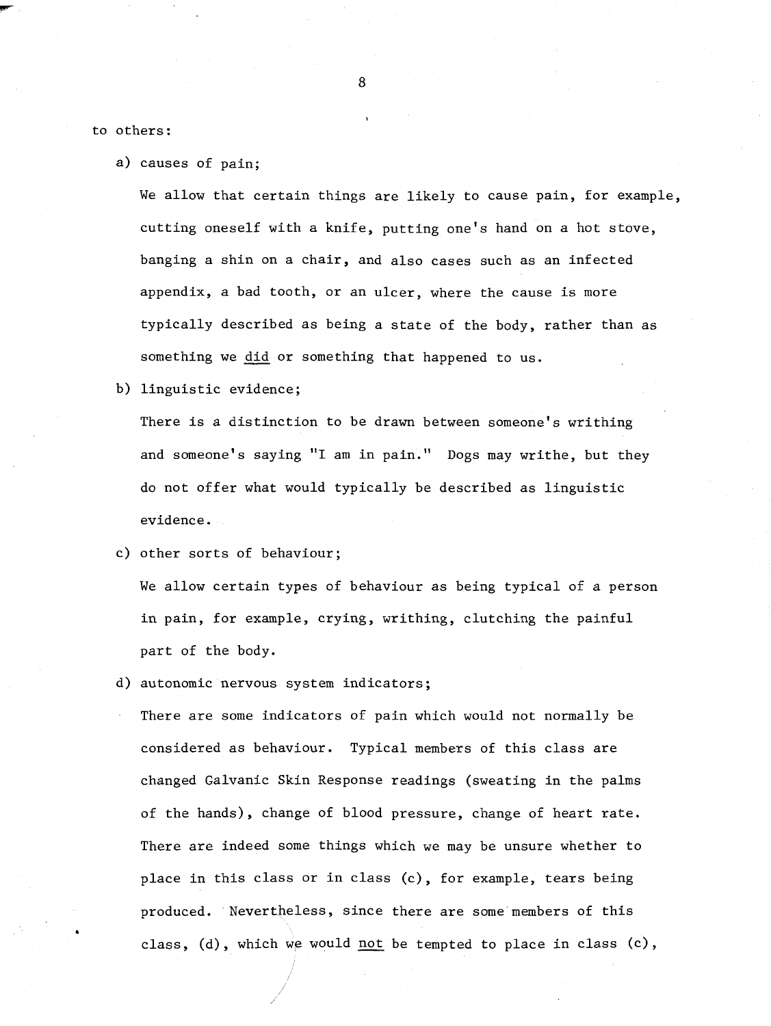to others:

a) causes of pain;

We allow that certain things are likely to cause pain, for example, cutting oneself with a knife, putting one's hand on a hot stove, banging a shin on a chair, and also cases such as an infected appendix, a bad tooth, or an ulcer, where the cause is more typically described as being a state of the body, rather than as something we **did** or something that happened to us.

b) linguistic evidence;

There is a distinction to be drawn between someone's writhing and someone's saying "I am in pain." Dogs may writhe, but they do not offer what would typically be described as linguistic evidence.

c) other sorts of behaviour;

We allow certain types of behaviour as being typical of a person in pain, for example, crying, writhing, clutching the painful part of the body.

d) autonomic nervous system indicators;

There are some indicators of pain which would not normally be considered as behaviour. Typical members of this class are changed Galvanic Skin Response readings (sweating in the palms of the hands), change of blood pressure, change of heart rate. There are indeed some things which we may be unsure whether to place in this class or in class (c), for example, tears being produced. Nevertheless, since there are some members of this class, (d), which we would not be tempted to place in class (c),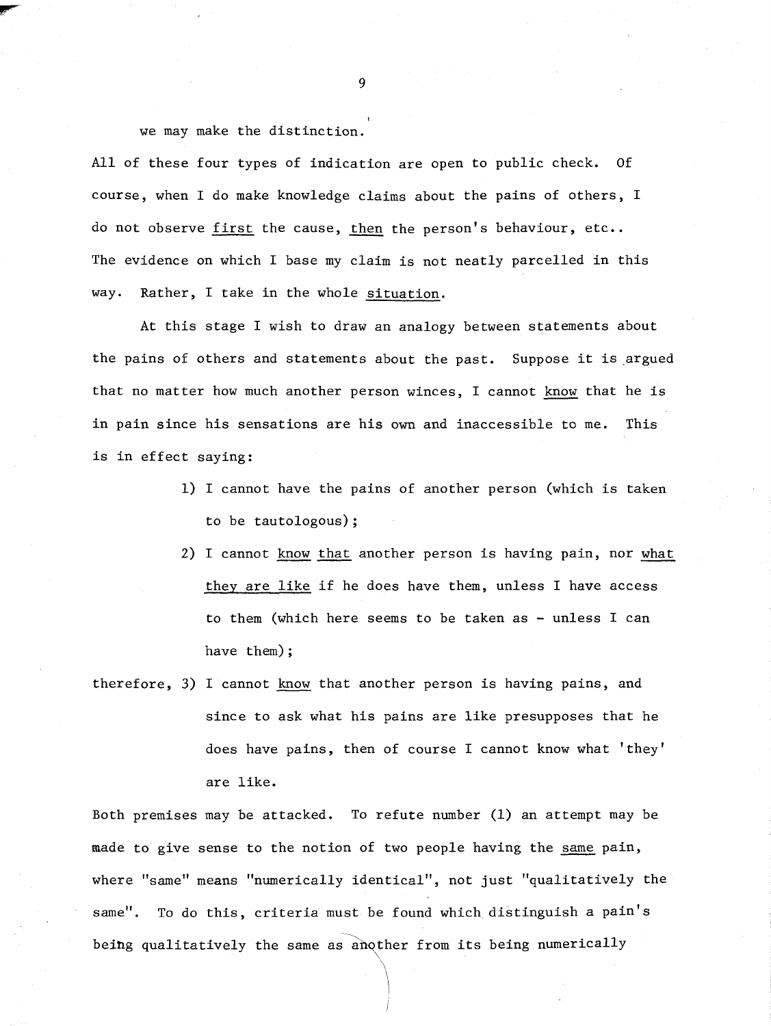we may make the distinction.

All of these four types of indication are open to public check. Of course, when I do make knowledge claims about the pains of others, I do not observe first the cause, then the person's behaviour, etc.. The evidence on which I base my claim is not neatly parcelled in this way. Rather, I take in the whole situation.

At this stage I wish to draw an analogy between statements about the pains of others and statements about the past. Suppose it is argued that no matter how much another person winces, I cannot know that he is in pain since his sensations are his own and inaccessible to me. This is in effect saying:

- 1) I cannot have the pains of another person (which is taken to be tautologous);
- 2) I cannot know that another person is having pain, nor what they are like if he does have them, unless I have access to them (which here seems to be taken as - unless I can have them) ;
- therefore, 3) I cannot know that another person is having pains, and since to ask what his pains are like presupposes that he does have pains, then of course I cannot know what 'they' are like.

Both premises may be attacked. To refute number (1) an attempt may be made to give sense to the notion of two people having the same pain, where "same" means "numerically identical", not just "qualitatively the same". To do this, criteria must be found which distinguish a pain's being qualitatively the same as another from its being numerically

9

**I**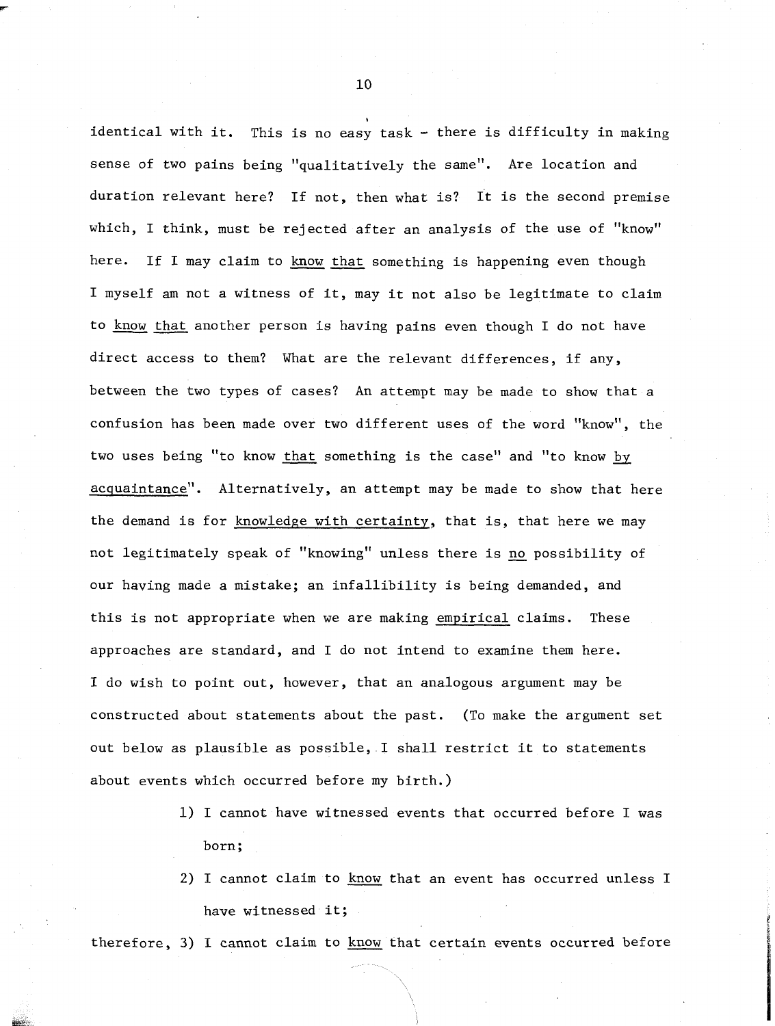identical with it. This is no easy task - there is difficulty in making sense of two pains being "qualitatively the same". Are location and duration relevant here? If not, then what is? It is the second premise which, I think, must be rejected after an analysis of the use of "know" here. If I may claim to know that something is happening even though I myself am not a witness of it, may it not also be legitimate to claim to know that another person is having pains even though I do not have direct access to them? What are the relevant differences, if any, between the two types of cases? An attempt may be made to show that a confusion has been made over two different uses of the word "know", the two uses being "to know that something is the case" and "to know by acquaintance". Alternatively, an attempt may be made to show that here the demand is for knowledge with certainty, that is, that here we may not legitimately speak of "knowing" unless there is no possibility of our having made a mistake; an infallibility is being demanded, and this is not appropriate when we are making empirical claims. These approaches are standard, and I do not intend to examine them here. I do wish to point out, however, that an analogous argument may be constructed about statements about the past. (To make the argument set out below as plausible as possible, I shall restrict it to statements about events which occurred before my birth.)

- 1) I cannot have witnessed events that occurred before I was born;
- 2) I cannot claim to know that an event has occurred unless I have witnessed it;

therefore, **3)** I cannot claim to know that certain events occurred before

10

**I**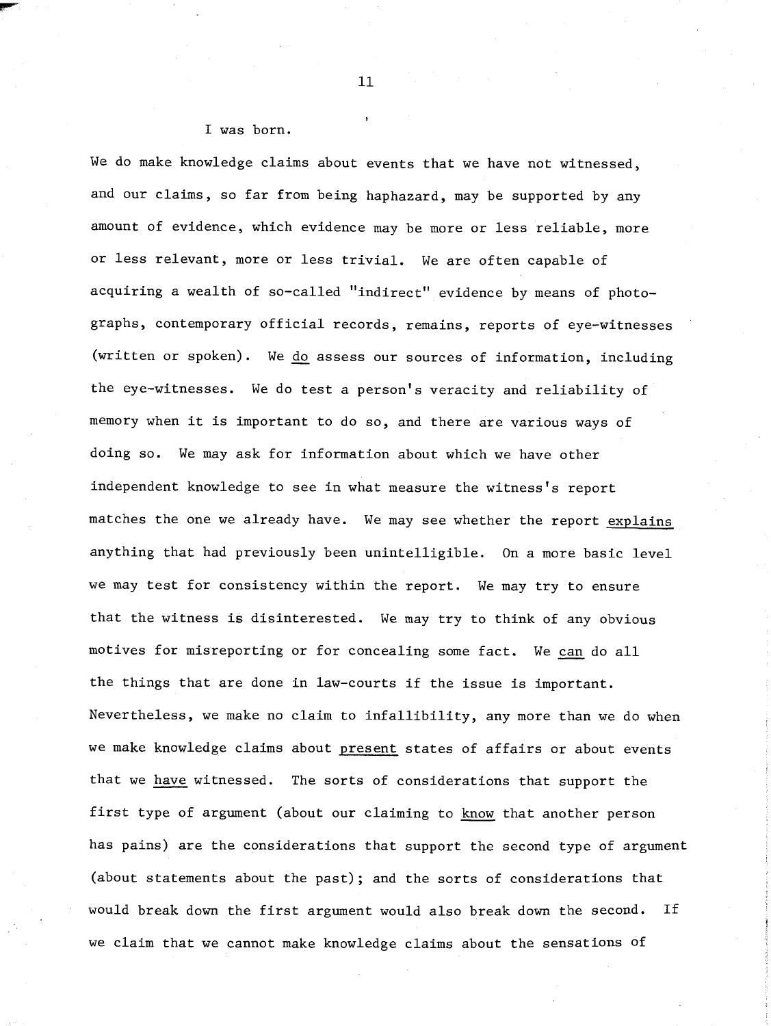#### I was born.

We do make knowledge claims about events that we have not witnessed, and our claims, so far from being haphazard, may be supported by any amount of evidence, which evidence may be more or less reliable, more or less relevant, more or less trivial. We are often capable of acquiring a wealth of so-called "indirect" evidence by means of photographs, contemporary official records, remains, reports of eye-witnesses (written or spoken). We do assess our sources of information, including the eye-witnesses. We do test a person's veracity and reliability of memory when it is important to do so, and there are various ways of doing so. We may ask for information about which we have other independent knowledge to see in what measure the witness's report matches the one we already have. We may see whether the report explains anything that had previously been unintelligible. On a more basic level we may test for consistency within the report. We may try to ensure that the witness is disinterested. We may try to think of any obvious we may test for consistency within the report. We may try to ensure<br>chat the witness is disinterested. We may try to think of any obvious<br>notives for misreporting or for concealing some fact. We can do all the things that are done in law-courts if the issue is important. Nevertheless, we make no claim to infallibility, any more than we do when we make knowledge claims about present states of affairs or about events that we have witnessed. The sorts of considerations that support the first type of argument (about our claiming to know that another person has pains) are the considerations that support the second type of argument (about statements about the past); and the sorts of considerations that would break down the first argument would also break down the second. If we claim that we cannot make knowledge claims about the sensations of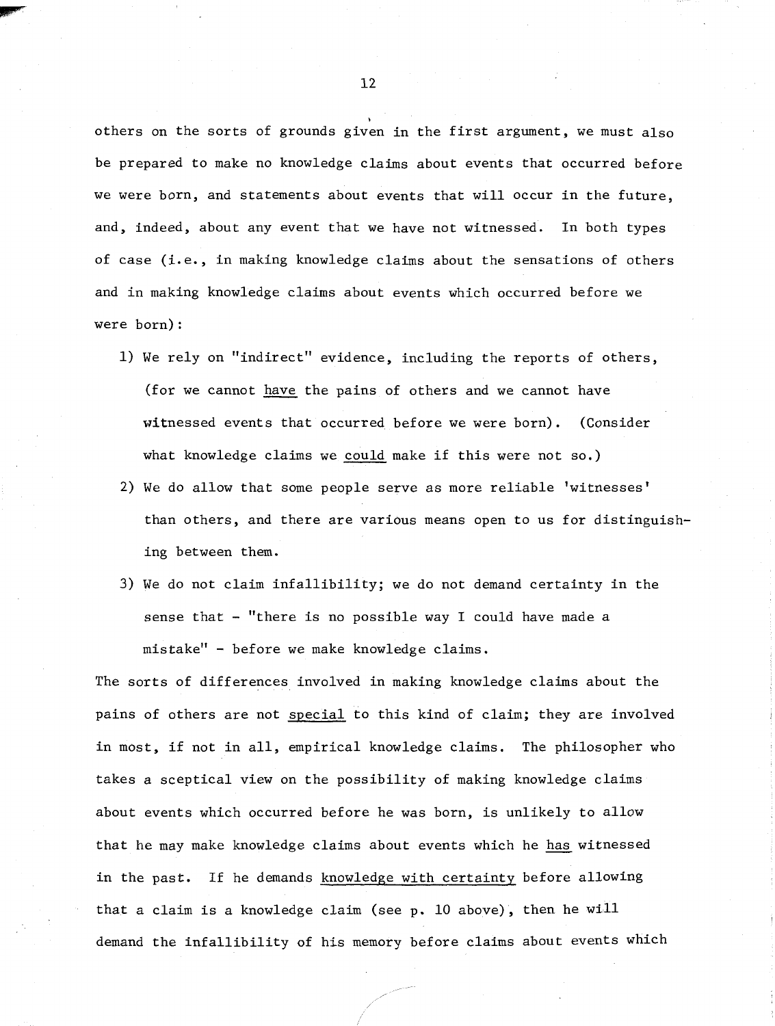others on the sorts of grounds given in the first argument, we must also be prepared to make no knowledge claims about events that occurred before we were born, and statements about events that will occur in the future, and, indeed, about any event that we have not witnessed. In both types of case (i.e., in making knowledge claims about the sensations of others and in making knowledge claims about events which occurred before we were born) :

- 1) We rely on "indirect" evidence, including the reports of others, (for we cannot have the pains of others and we cannot have witnessed events that occurred before we were born). (Consider what knowledge claims we could make if this were not so.)
- 2) We do allow that some people serve as more reliable 'witnesses' than others, and there are various means open to us for distinguishing between them.
- **3)** We do not claim infallibility; we do not demand certainty in the sense that - "there is no possible way I could have made a mistake1' - before we make knowledge claims.

The sorts of differences involved in making knowledge claims about the pains of others are not special to this kind of claim; they are involved in most, if not in all, empirical knowledge claims. The philosopher who takes a sceptical view on the possibility of making knowledge claims about events which occurred before he was born, is unlikely to allow that he may make knowledge claims about events which he has witnessed in the past. If he demands knowledge with certainty before allowing that a claim is a knowledge claim (see p. 10 above), then he will demand the infallibility of his memory before claims about events which

 $12$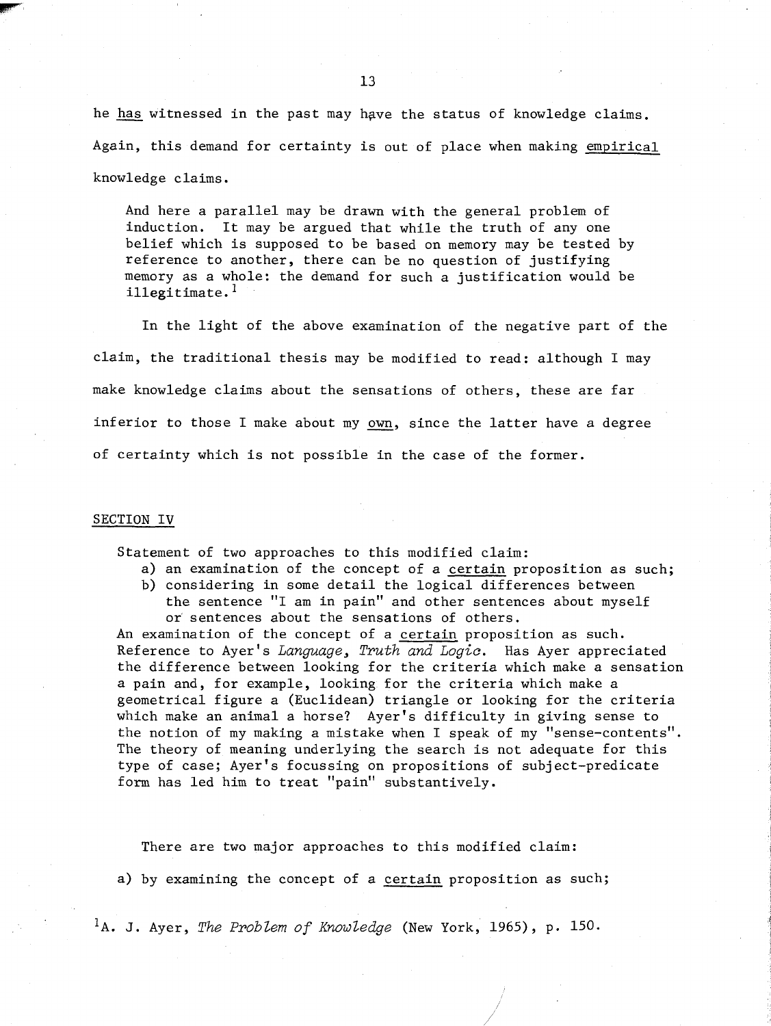he **has** witnessed in the past may hgve the status of knowledge claims. Again, this demand for certainty is out of place when making empirical knowledge claims.

And here a parallel may be drawn with the general problem of induction. It may be argued that while the truth of any one belief which is supposed to be based on memory may be tested by reference to another, there can be no question of justifying memory as a whole: the demand for such a justification would be illegitimate.<sup>1</sup>

In the light of the above examination of the negative part of the claim, the traditional thesis may be modified to read: although I may make knowledge claims about the sensations of others, these are far inferior to those I make about my own, since the latter have a degree of certainty which is not possible in the case of the former.

#### **SECTION IV**

Statement of two approaches to this modified claim:

- a) an examination of the concept of a certain proposition as such;
- b) considering in some detail the logical differences between the sentence "I am in pain" and other sentences about myself or sentences about the sensations of others.

An examination of the concept of a certain proposition as such. Reference to Ayer's *Language, Truth and Logic.* Has Ayer appreciated the difference between looking for the criteria which make a sensation a pain and, for example, looking for the criteria which make a geometrical figure a (Euclidean) triangle or looking for the criteria which make an animal a horse? Ayer's difficulty in giving sense to the notion of my making a mistake when I speak of my "sense-contents". The theory of meaning underlying the search is not adequate for this type of case; Ayer's focussing on propositions of subject-predicate form has led him to treat "pain" substantively.

There are two major approaches to this modified claim:

a) by examining the concept of a certain proposition as such;

'A. J. Ayer, *The Problem of Knowledge* (New York, 1965), p. 150.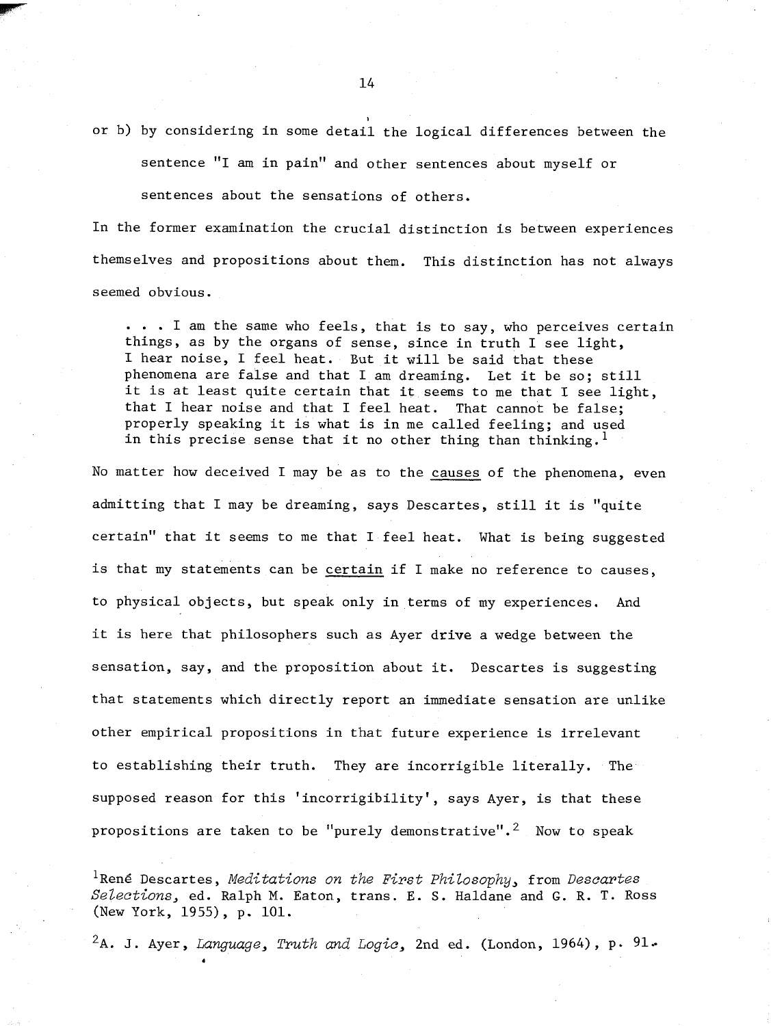or b) by considering in some detail the logical differences between the

sentence "I am in pain" and other sentences about myself or sentences about the sensations of others.

In the former examination the crucial distinction is between experiences themselves and propositions about them. This distinction has not always seemed obvious.

. . . I am the same who feels, that is to say, who perceives certain things, as by the organs of sense, since in truth I see light, I hear noise, I feel heat. But it will be said that these phenomena are false and that I am dreaming. Let it be so; still it is at least quite certain that it seems to me that I see light, that I hear noise and that I feel heat. That cannot be false; properly speaking it is what is in me called feeling; and used in this precise sense that it no other thing than thinking.<sup>1</sup>

No matter how deceived I may be as to the causes of the phenomena, even admitting that I may be dreaming, says Descartes, still it is "quite certain" that it seems to me that I feel heat. What is being suggested is that my statements can be certain if I make no reference to causes, to physical objects, but speak only in terms of my experiences. And it is here that philosophers such as Ayer drive a wedge between the sensation, say, and the proposition about it. Descartes is suggesting that statements which directly report an immediate sensation are unlike other empirical propositions in that future experience is irrelevant to establishing their truth. They are incorrigible literally. The supposed reason for this 'incorrigibility', says Ayer, is that these propositions are taken to be "purely demonstrative".<sup>2</sup> Now to speak

<sup>1</sup>René Descartes, *Meditations on the First Philosophy*, from *Descartes Sel.ections,* ed. Ralph *M.* Eaton, trans. E. S. Haldane and G. R. T. Ross (New York, 1955), p. 101.

 $2A.$  J. Ayer, *Language, Truth and Logic*, 2nd ed. (London, 1964), p. 91.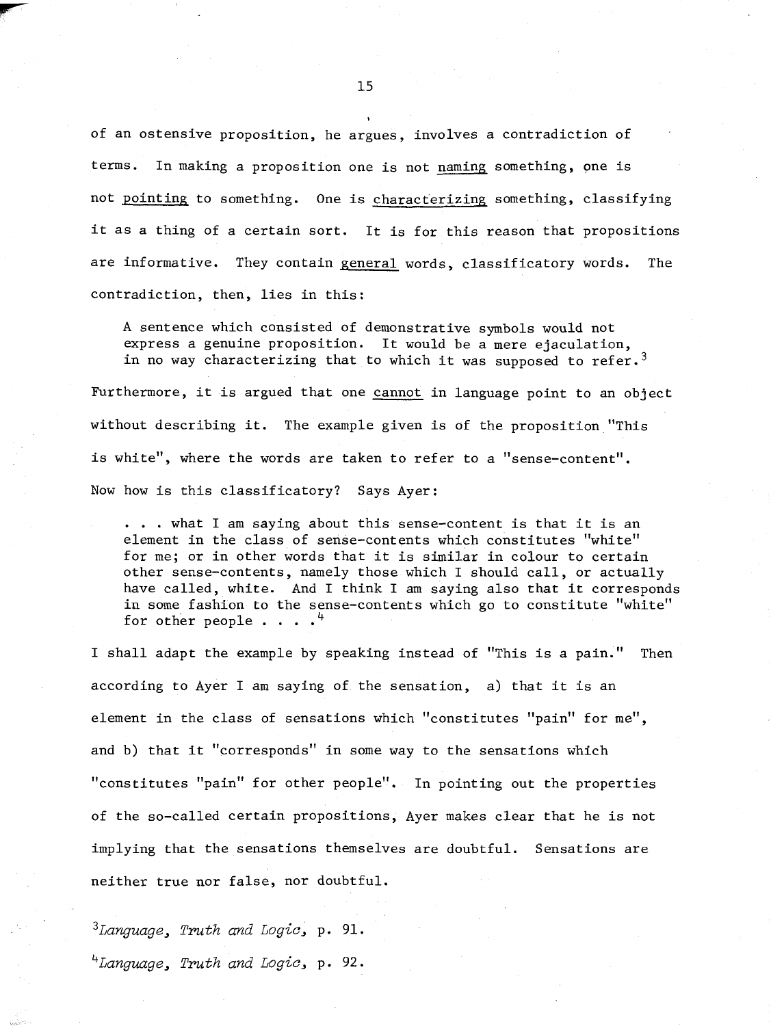of an ostensive proposition, he argues, involves a contradiction of terms. In making a proposition one is not naming something, one is not pointing to something. One is characterizing, something, classifying it as a thing of a certain sort. It is for this reason that propositions are informative. They contain general words, classificatory words. The contradiction, then, lies in this:

**A** sentence which consisted of demonstrative symbols would not express a genuine proposition. It would be a mere ejaculation, in no way characterizing that to which it was supposed to refer.<sup>3</sup>

Furthermore, it is argued that one cannot in language point to an object without describing it. The example given is of the proposition "This is white", where the words are taken to refer to a "sense-content". Now how is this classificatory? Says Ayer:

. . . what I am saying about this sense-content is that it is an element in the class of sense-contents which constitutes "white" for me; or in other words that it is similar in colour to certain other sense-contents, namely those which I should call, or actually have called, white. And I think I am saying also that it corresponds in some fashion to the sense-contents which go to constitute "white" for other people  $\cdots$ .  $4$ 

I shall adapt the example by speaking instead of "This is a pain." Then according to Ayer I am saying of the sensation, a) that it is an element in the class of sensations which "constitutes "pain" for me", and b) that it "corresponds" in some way to the sensations which "constitutes "pain" for other people". In pointing out the properties of the so-called certain propositions, Ayer makes clear that he is not implying that the sensations themselves are doubtful. Sensations are neither true nor false, nor doubtful.

*3~anguage, Truth and Logic,* p. 91. *4~anguage, Truth and Logic,* p. *92.* 

**I**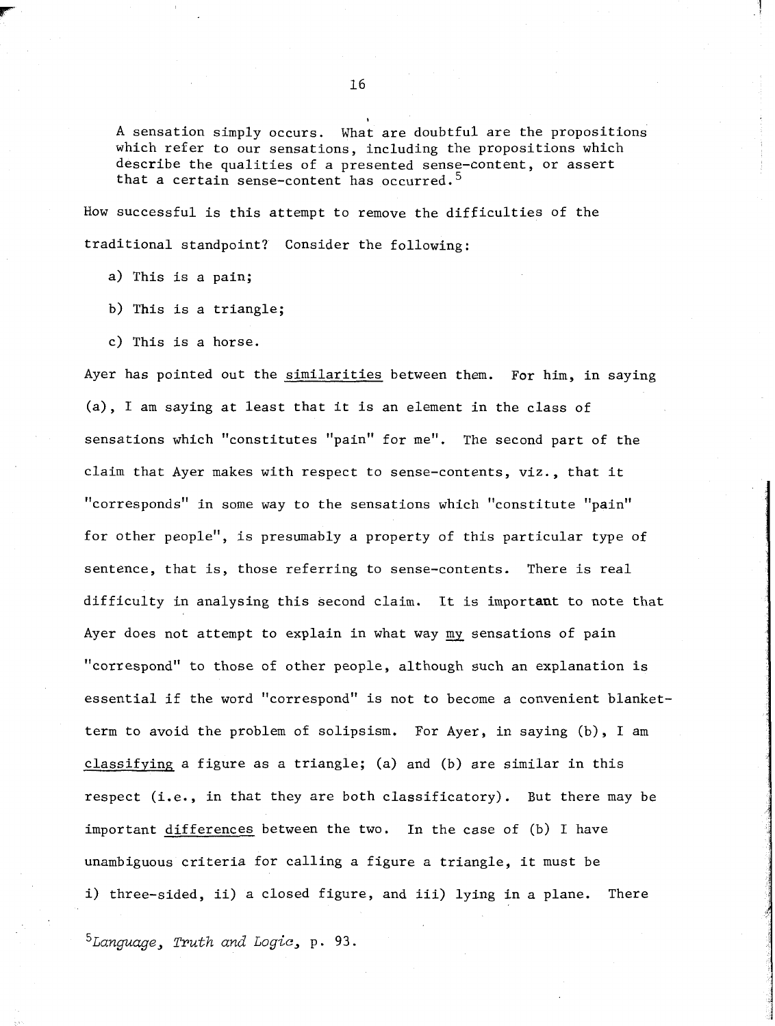A sensation simply occurs. What are doubtful are the propositions which refer to our sensations, including the propositions which describe the qualities of a presented sense-content, or assert that a certain sense-content has occurred.<sup>5</sup>

How successful is this attempt to remove the difficulties of the traditional standpoint? Consider the following:

- a) This is a pain;
- b) This is a triangle;
- c) This is a horse.

Ayer has pointed out the similarities between them. For him, in saying (a), I am saying at least that it is an element in the class of sensations which "constitutes "pain" for me". The second part of the claim that Ayer makes with respect to sense-contents, viz., that it "corresponds" in some way to the sensations which "constitute "pain" for other people", is presumably a property of this particular type of sentence, that is, those referring to sense-contents. There is real difficulty in analysing this second claim. It is important to note that Ayer does not attempt to explain in what way my sensations of pain "correspond" to those of other people, although such an explanation is essential if the word "correspond" is not to become a convenient blanketterm to avoid the problem of solipsism. For Ayer, in saying (b), I am classifying a figure as a triangle; (a) and (b) are similar in this respect (i.e., in that they are both classificatory). But there may be important differences between the two. In the case of (b) I have unambiguous criteria for calling a figure a triangle, it must be i) three-sided, ii) a closed figure, and iii) lying in a plane. There

 $5$ Language, Truth and Logic, p. 93.

**I**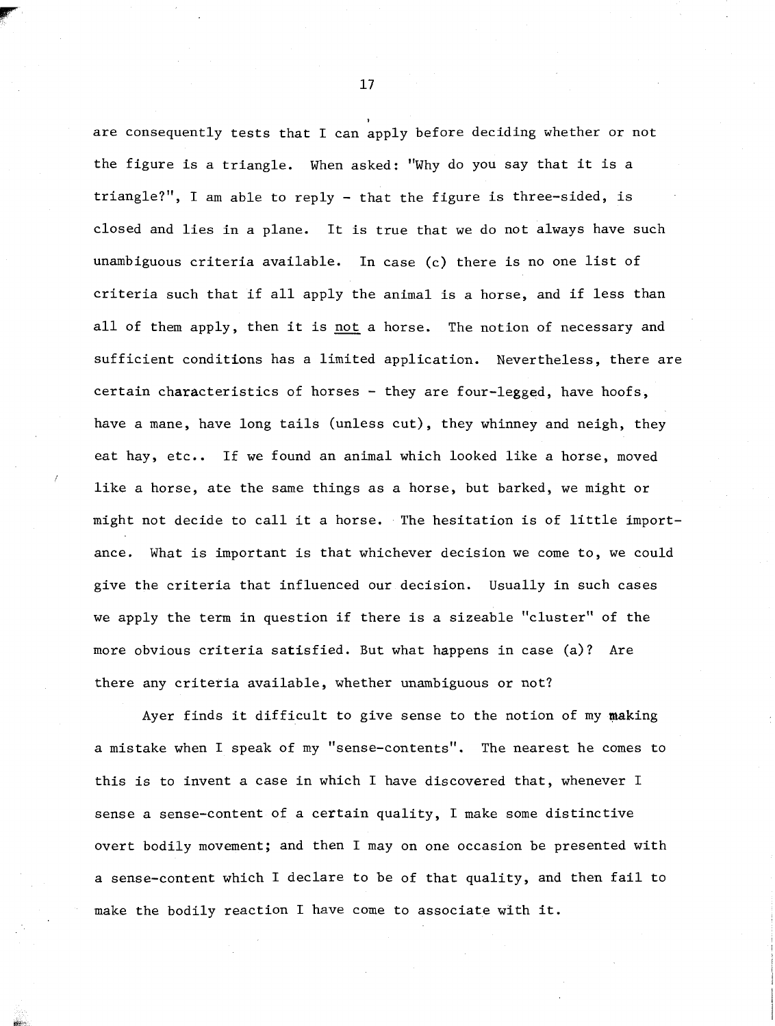are consequently tests that I can apply before deciding whether or not the figure is a triangle. When asked: "Why do you say that it is a triangle?", I am able to reply - that the figure is three-sided, is closed and lies in a plane. It is true that we do not always have such unambiguous criteria available. In case (c) there is no one list of criteria such that if all apply the animal is a horse, and if less than all of them apply, then it is not a horse. The notion of necessary and sufficient conditions has a limited application. Nevertheless, there are certain characteristics of horses - they are four-legged, have hoofs, have a mane, have long tails (unless cut), they whinney and neigh, they eat hay, etc.. If we found an animal which looked like a horse, moved like a horse, ate the same things as a horse, but barked, we might or might not decide to call it a horse. The hesitation is of little importance. What is important is that whichever decision we come to, we could give the criteria that influenced our decision. Usually in such cases we apply the term in question if there is a sizeable "cluster" of the more obvious criteria satisfied. But what happens in case (a)? Are there any criteria available, whether unambiguous or not?

Ayer finds it difficult to give sense to the notion of my making a mistake when I speak of my "sense-contents". The nearest he comes to this is to invent a case in which I have discovered that, whenever I sense a sense-content of a certain quality, I make some distinctive overt bodily movement; and then I may on one occasion be presented with a sense-content which I declare to be of that quality, and then fail to make the bodily reaction I have come to associate with it.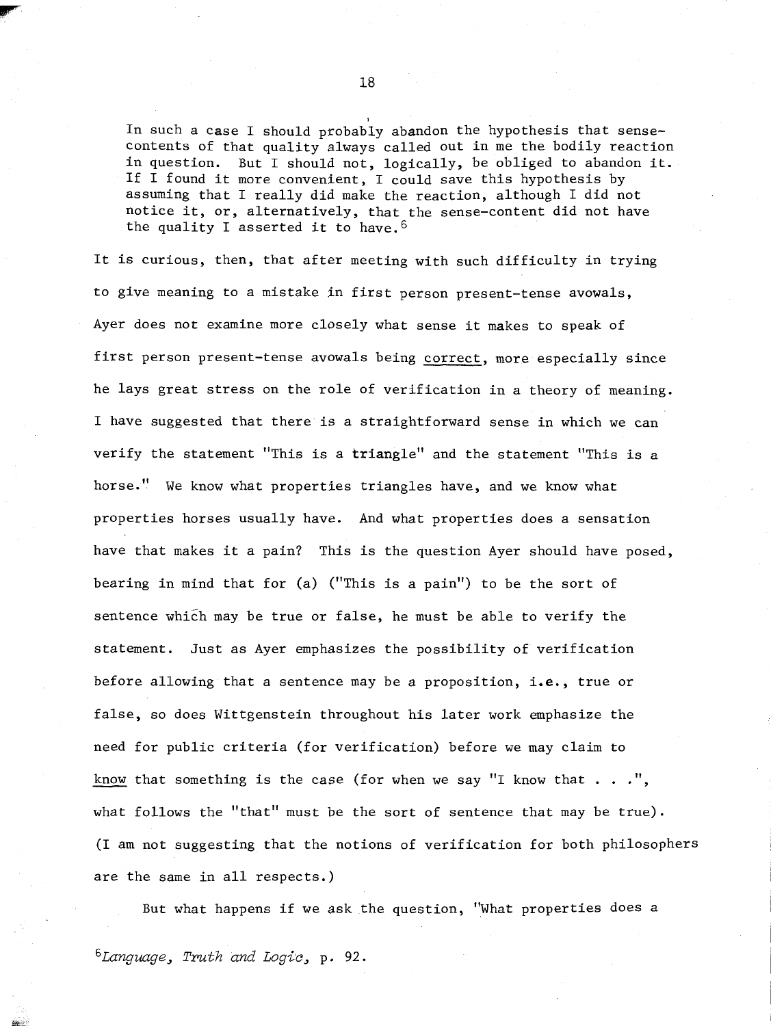In such a case I should probably abandon the hypothesis that sensecontents of that quality always called out in me the bodily reaction in question. But I should not, logically, be obliged to abandon it. If I found it more convenient, 1 could save this hypothesis by assuming that I really did make the reaction, although I did not notice it, or, alternatively, that the sense-content did not have the quality I asserted it to have.  $6$ 

It is curious, then, that after meeting with such difficulty in trying to give meaning to a mistake in first person present-tense avowals, Ayer does not examine more closely what sense it makes to speak of first person present-tense avowals being correct, more especially since he lays great stress on the role of verification in a theory of meaning. I have suggested that there is a straightforward sense in which we can verify the statement "This is a triangle" and the statement "This is a horse." We know what properties triangles have, and we know what properties horses usually have. And what properties does a sensation have that makes it a pain? This is the question Ayer should have posed, bearing in mind that for (a) ("This is a pain") to be the sort of sentence which may be true or false, he must be able to verify the statement. Just as Ayer emphasizes the possibility of verification before allowing that a sentence may be a proposition, i,e., true or false, so does Wittgenstein throughout his later work emphasize the need for public criteria (for verification) before we may claim to It false, so does Wittgenstein throughout his later work emphasize the<br>need for public criteria (for verification) before we may claim to<br>know that something is the case (for when we say "I know that . . .",<br>what follows the what follows the "that" must be the sort of sentence that may be true). (I am not suggesting that the notions of verification for both philosophers are the same in all respects.)

But what happens if we ask the question, "What properties does a

<sup>6</sup>Language, *Truth and Logic*, p. 92.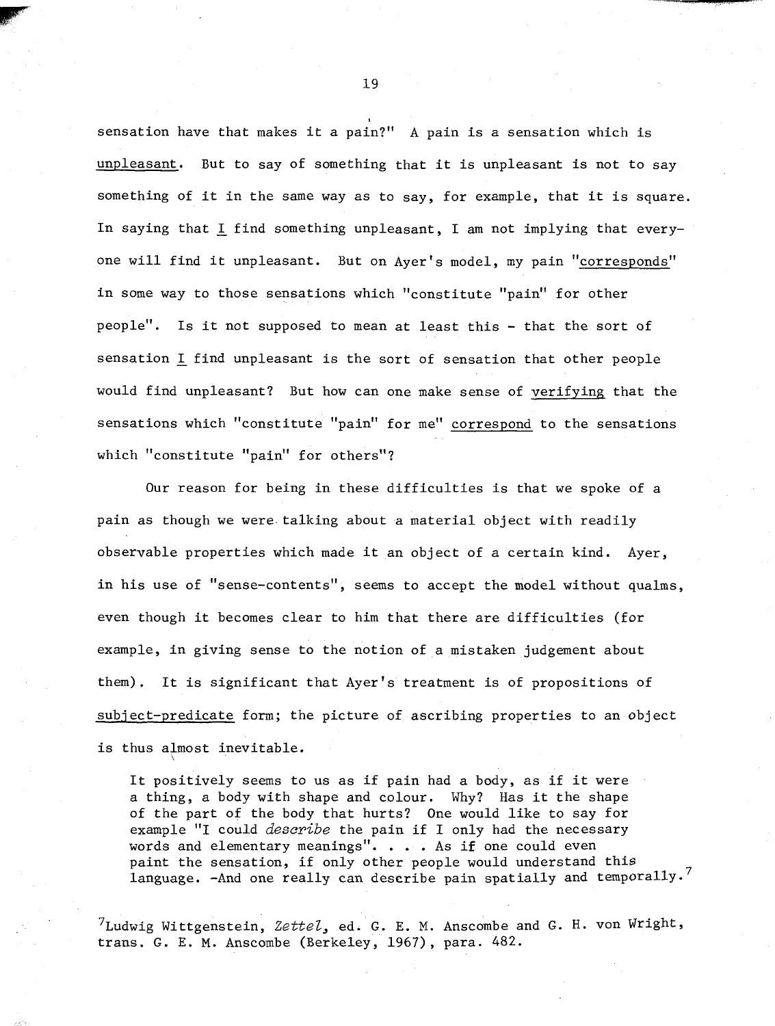sensation have that makes it a pain?" A pain is a sensation which is unpleasant. But to say of something that it is unpleasant is not to say something of it in the same way as to say, for example, that it is square. In saying that I find something unpleasant, I am not implying that everyone will find it unpleasant. But on Ayer's model, my pain "corresponds" in some way to those sensations which "constitute "pain" for other people". Is it not supposed to mean at least this - that the sort of sensation L find unpleasant is the sort of sensation that other people would find unpleasant? But how can one make sense of verifying that the sensations which "constitute "pain" for me" correspond to the sensations which "constitute "pain" for others"?

Our reason for being in these difficulties is that we spoke of a pain as though we were talking about a material object with readily observable properties which made it an object of a certain kind. Ayer, in his use of "sense-contents", seems to accept the model without qualms, even though it becomes clear to him that there are difficulties (for example, in giving sense to the notion of a mistaken judgement about them). It is significant that Ayer's treatment is of propositions of subject-predicate form; the picture of ascribing properties to an object is thus almost inevitable.

It positively seems to us as if pain had a body, as if it were a thing, a body with shape and colour. Why? Has it the shape of the part of the body that hurts? One would like to say for example "I could *describe* the pain if I only had the necessary words and elementary meanings". . . . As if one could even paint the sensation, if only other people would understand this language. -And one really can describe pain spatially and temporally.<sup>7</sup>

 $^{7}$ Ludwig Wittgenstein, Zette $l$ , ed. G. E. M. Anscombe and G. H. von Wright, trans. G. E. M. Anscombe (Berkeley, 1967), para. 482.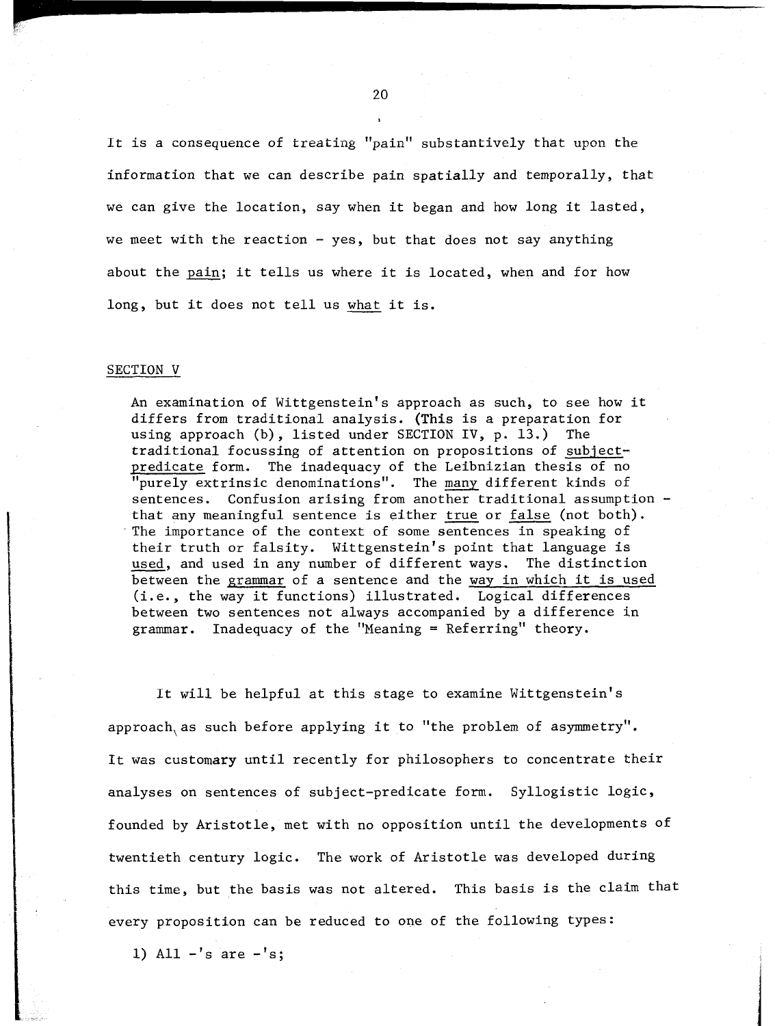It is a consequence of treating "pain" substantively that upon the information that we can describe pain spatially and temporally, that we can give the location, say when it began and how long it lasted, we meet with the reaction  $-$  yes, but that does not say anything about the pain; it tells us where it is located, when and for how long, but it does not tell us what it is.

#### SECTION V

An examination of Wittgenstein's approach as such, to see how it differs from traditional analysis. (This is a preparation for using approach (b), listed under SECTION IV, p. 13.) The traditional focussing of attention on propositions of subjectpredicate form. The inadequacy of the Leibnizian thesis of no "purely extrinsic denominations". The many different kinds of sentences. Confusion arising from another traditional assumption that any meaningful sentence is either true or false (not both). The importance of the context of some sentences in speaking of their truth or falsity. Wittgenstein's point that language is used, and used in any number of different ways. The distinction between the grammar of a sentence and the way in which it is used (i.e., the way it functions) illustrated. Logical differences between two sentences not always accompanied by a difference in  $grammar.$  Inadequacy of the "Meaning = Referring" theory.

It will be helpful at this stage to examine Wittgenstein's approach, as such before applying it to "the problem of asymmetry". It was customary until recently for philosophers to concentrate their analyses on sentences of subject-predicate form. Syllogistic logic, founded by Aristotle, met with no opposition until the developments of twentieth century logic. The work of Aristotle was developed during this time, but the basis was not altered. This basis is the claim that every proposition can be reduced to one of the following types:

1) All  $-$ 's are  $-$ 's;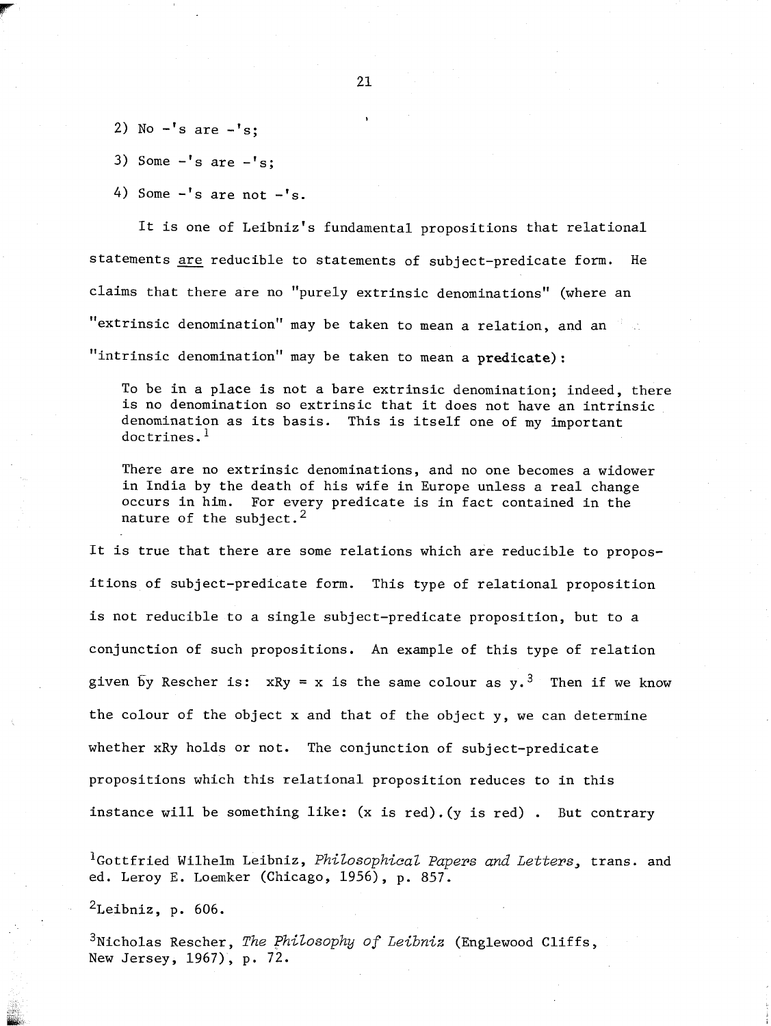- 2) No  $-$ 's are  $-$ 's;
- 3) Some  $-$ 's are  $-$ 's;
- 4) Some  $-$ 's are not  $-$ 's.

It is one of Leibniz's fundamental propositions that relational statements are reducible to statements of subject-predicate form. He claims that there are no "purely extrinsic denominations" (where an "extrinsic denomination" may be taken to mean a relation, and an  $"intrinsic denominator"$  may be taken to mean a predicate):

To be in a place is not a bare extrinsic denomination; indeed, there is no denomination so extrinsic that it does not have an intrinsic denomination as its basis. This is itself one of my important doctrines.<sup>1</sup>

There are no extrinsic denominations, and no one becomes a widower in India by the death of his wife in Europe unless a real change occurs in him. For every predicate is in fact contained in the nature of the subject.<sup>2</sup>

It is true that there are some relations which are reducible to propositions of subject-predicate form. This type of relational proposition is not reducible to a single subject-predicate proposition, but to a conjunction of such propositions. An example of this type of relation given by Rescher is: xRy = x is the same colour as  $y \cdot 3$ . Then if we know the colour of the object x and that of the object y, we can determine whether xRy holds or not. The conjunction of subject-predicate propositions which this relational proposition reduces to in this instance will be something like:  $(x \text{ is red})$ .  $(y \text{ is red})$ . But contrary

<sup>1</sup>Gottfried Wilhelm Leibniz, *Philosophical Papers and Letters*, trans. and ed. Leroy E. Loemker (Chicago, 1956), p. 857.

 $2$ Leibniz, p. 606.

<sup>3</sup>Nicholas Rescher, *The Philosophy of Leibniz* (Englewood Cliffs, New Jersey, 1967), p. 72.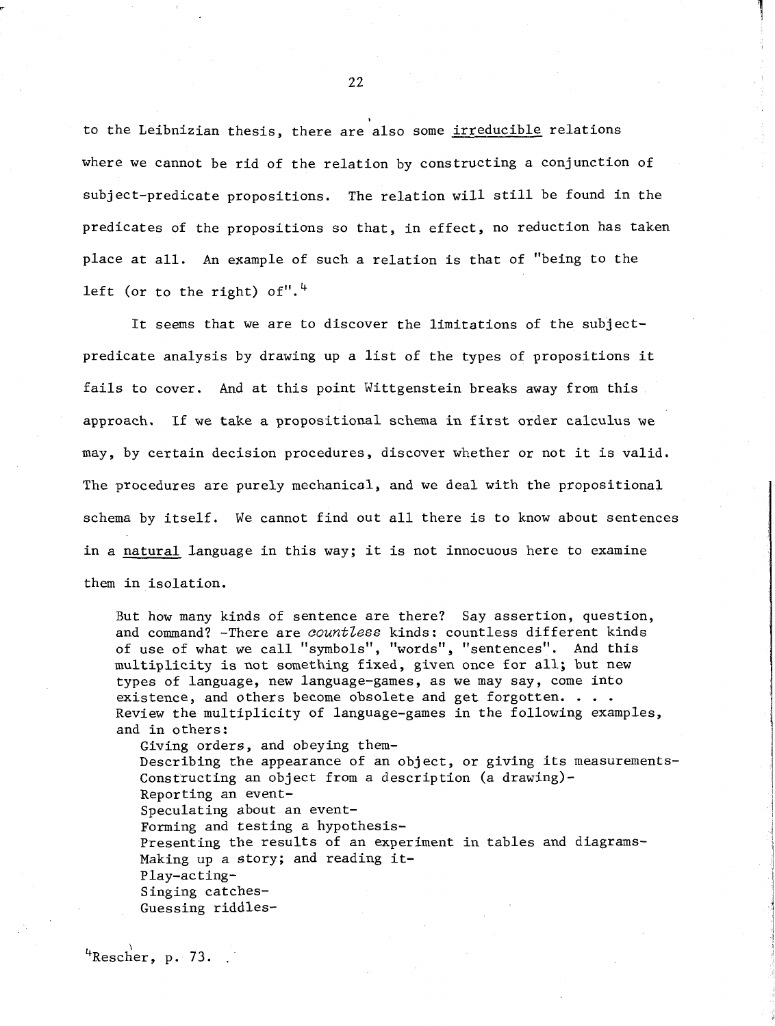to the Leibnizian thesis, there are also some irreducible relations where we cannot be rid of the relation by constructing a conjunction of subject-predicate propositions. The relation will still be found in the predicates of the propositions so that, in effect, no reduction has taken place at all. An example of such a relation is that of "being to the left (or to the right) of". $4$ 

It seems that we are to discover the limitations of the subjectpredicate analysis by drawing up a list of the types of propositions it fails to cover. And at this point Wittgenstein breaks away from this approach. If we take a propositional schema in first order calculus we may, by certain decision procedures, discover whether or not it is valid. The procedures are purely mechanical, and we deal with the propositional schema by itself. We cannot find out all there is to know about sentences in a natural language in this way; it is not innocuous here to examine them in isolation.

But how many kinds of sentence are there? Say assertion, question, and command? -There are *countless* kinds: countless different kinds of use of what we call "symbols", "words", "sentences". And this multiplicity is not something fixed, given once for all; but new types of language, new language-games, as we may say, come into<br>existence, and others become obsolete and get forgotten. . . . Review the multiplicity of language-games in the following examples, and in others:

Giving orders, and obeying them-Describing the appearance of an object, or giving its measurements-Constructing an object from a description (a drawing) - Reporting an event-Speculating about an event-Forming and testing a hypothesis-Presenting the results of an experiment in tables and diagrams-Making up a story; and reading it-Play-acting-Singing catches-Guessing riddles-

<sup>4</sup>Rescher, p. 73.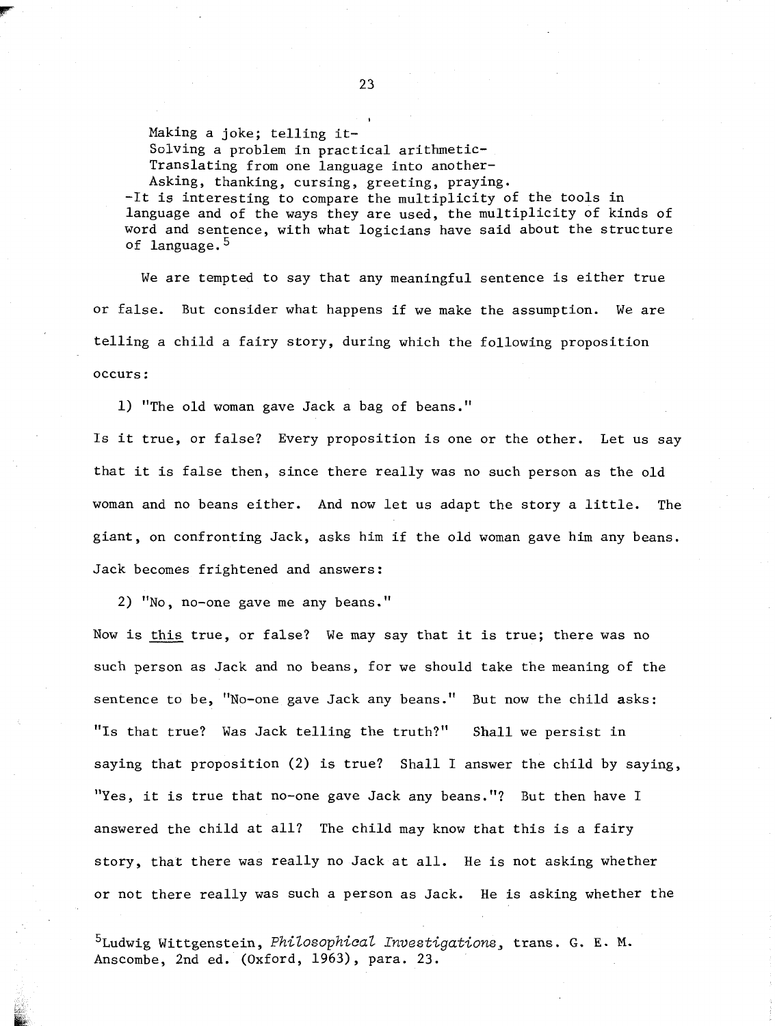Making a joke; telling it-Solving a problem in practical arithmetic-Translating from one language into another-Asking, thanking, cursing, greeting, praying. -It is interesting to compare the multiplicity of the tools in language and of the ways they are used, the multiplicity of kinds of word and sentence, with what logicians have said about the structure of language.  $5$ 

We are tempted to say that any meaningful sentence is either true or false. But consider what happens if we make the assumption. We are telling a child a fairy story, during which the following proposition occurs :

1) "The old woman gave Jack a bag of beans."

Is it true, or false? Every proposition is one or the other. Let us say that it is false then, since there really was no such person as the old woman and no beans either. And now let us adapt the story a little. The giant, on confronting Jack, asks him if the old woman gave him any beans. Jack becomes frightened and answers:

2) "No, no-one gave me any beans ."

Now is this true, or false? We may say that it is true; there was no such person as Jack and no beans, for we should take the meaning of the sentence to be, "No-one gave Jack any beans." But now the child asks: "Is that true? Was Jack telling the truth?" Shall we persist in saying that proposition (2) is true? Shall I answer the child by saying, "Yes, it is true that no-one gave Jack any beans."? But then have I answered the child at all? The child may know that this is a fairy story, that there was really no Jack at all. He is not asking whether or not there really was such a person as Jack. He is asking whether the

5~udwig Wittgenstein, **~hiZosophicaZ Investigations,** trans. G. E. **M.**  Anscombe, 2nd ed. (Oxford, 1963), para. 23.

**I**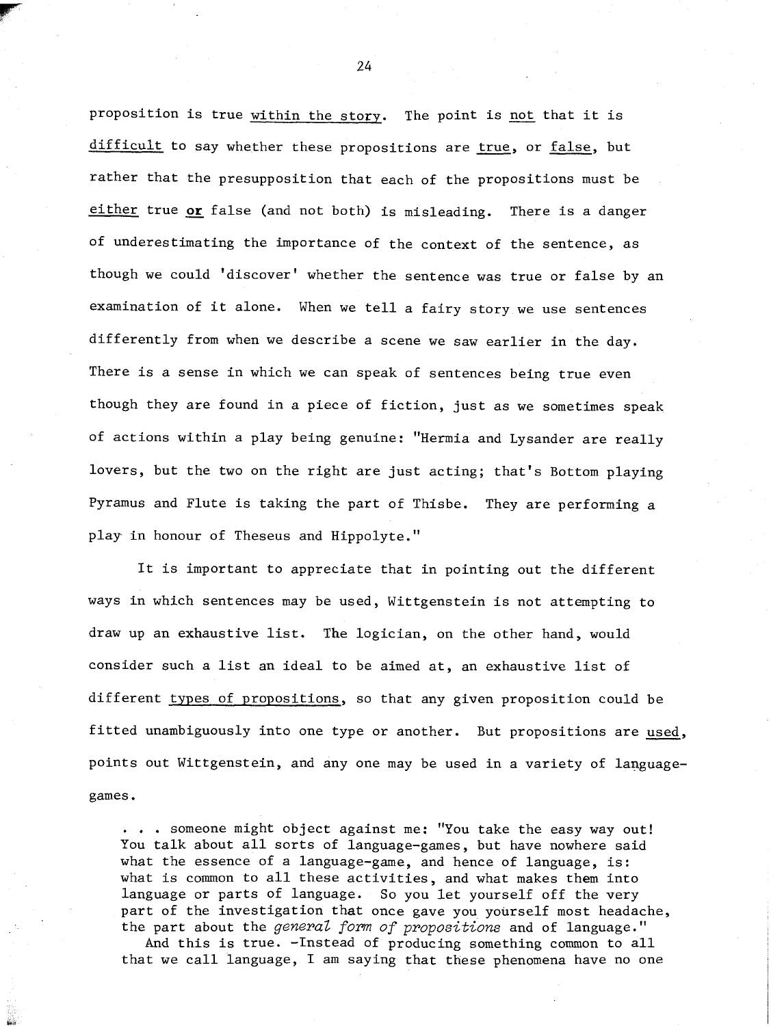proposition is true within the story. The point is not that it is difficult to say whether these propositions are true, or false, but rather that the presupposition that each of the propositions must be either true **or** false (and not both) is misleading. There is a danger of underestimating the importance of the context of the sentence, as though we could 'discover' whether the sentence was true or false by an examination of it alone. When we tell a fairy story we use sentences differently from when we describe a scene we saw earlier in the day. There is a sense in which we can speak of sentences being true even though they are found in a piece of fiction, just as we sometimes speak of actions within a play being genuine: "Hermia and Lysander are really lovers, but the two on the right are just acting; that's Bottom playing Pyramus and Flute is taking the part of Thisbe. They are performing a play in honour of Theseus and Hippolyte."

It is important to appreciate that in pointing out the different ways in which sentences may be used, Wittgenstein is not attempting to draw up an exhaustive list. The logician, on the other hand, would consider such a list an ideal to be aimed at, an exhaustive list of different types of propositions, so that any given proposition could be fitted unambiguously into one type or another. But propositions are used, points out Wittgenstein, and any one may be used in a variety of languagegames.

. . . someone might object against me: "You take the easy way out! You talk about all sorts of language-games, but have nowhere said what the essence of a language-game, and hence of language, is: what is common to all these activities, and what makes them into language or parts of language. So you let yourself off the very part of the investigation that once gave you yourself most headache, the part about the **general fom of propositions** and of language."

And this is true. -Instead of producing something common to all that we call language, I am saying that these phenomena have no one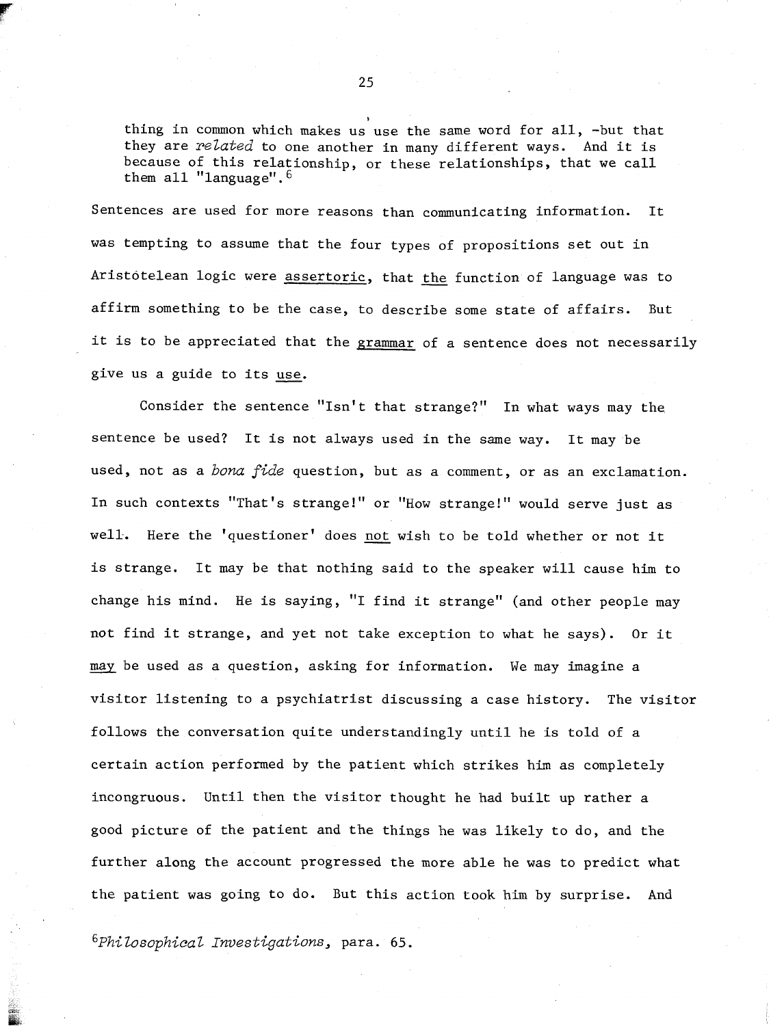thing in common which makes us use the same word for all, -but that they are *related* to one another in many different ways. And it is because of this relationship, or these relationships, that we call them all "language".

Sentences are used for more reasons than communicating information. It was tempting to assume that the four types of propositions set out in Sentences are used for more reasons than communicating information. It<br>was tempting to assume that the four types of propositions set out in<br>Aristotelean logic were <u>assertoric</u>, that <u>the</u> function of language was to affirm something to be the case, to describe some state of affairs. But it is to be appreciated that the grammar of a sentence does not necessarily give us a guide to its use.

Consider the sentence "Isn't that strange?" In what ways may the sentence be used? It is not always used in the same way. It may be used, not as a *bona fide* question, but as a comment, or as an exclamation. In such contexts "That's strange!" or "How strange!" would serve just as well.. Here the 'questioner' does not wish to be told whether or not it is strange. It may be that nothing said to the speaker will cause him to change his mind. He is saying, "I find it strange" (and other people may not find it strange, and yet not take exception to what he says). Or it may be used as a question, asking for information. We may imagine a visitor listening to a psychiatrist discussing a case history. The visitor follows the conversation quite understandingly until he is told of a certain action performed by the patient which strikes him as completely incongruous. Until then the visitor thought he had built up rather a good picture of the patient and the things he was likely to do, and the further along the account progressed the more able he was to predict what the patient was going to do. But this action took him by surprise. And

*6~hi ZosophicaZ ~nuestigations,* para. *65.*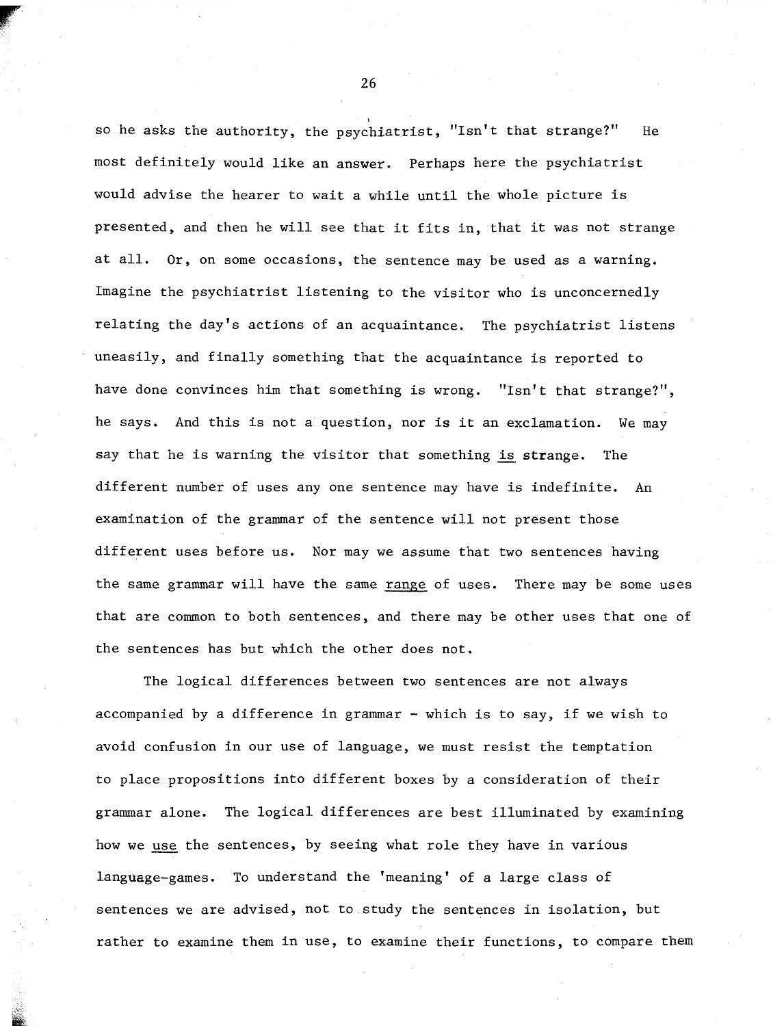so he asks the authority, the psychiatrist, "Isn't that strange?" He most definitely would like an answer. Perhaps here the psychiatrist would advise the hearer to wait a while until the whole picture is presented, and then he will see that it fits in, that it was not strange at all. Or, on some occasions, the sentence may be used as a warning. Imagine the psychiatrist listening to the visitor who is unconcernedly relating the day's actions of an acquaintance. The psychiatrist listens uneasily, and finally something that the acquaintance is reported to have done convinces him that something is wrong. "Isn't that strange?", he says. And this is not a question, nor is it an exclamation. We may say that he is warning the visitor that something **is** strange. The different number of uses any one sentence may have is indefinite. An examination of the grammar of the sentence will not present those different uses before us. Nor may we assume that two sentences having the same grammar will have the same range of uses. There may be some uses that are common to both sentences, and there may be other uses that one of the sentences has but which the other does not.

The logical differences between two sentences are not always accompanied by a difference in grammar - which is to say, if we wish to avoid confusion in our use of language, we must resist the temptation to place propositions into different boxes by a consideration of their grammar alone. The logical differences are best illuminated by examining to place propositions into different boxes by a consideration of the sentement alone. The logical differences are best illuminated by exambrow we <u>use</u> the sentences, by seeing what role they have in various language-games. To understand the 'meaning' of a large class of sentences we are advised, not to study the sentences in isolation, but rather to examine them in use, to examine their functions, to compare them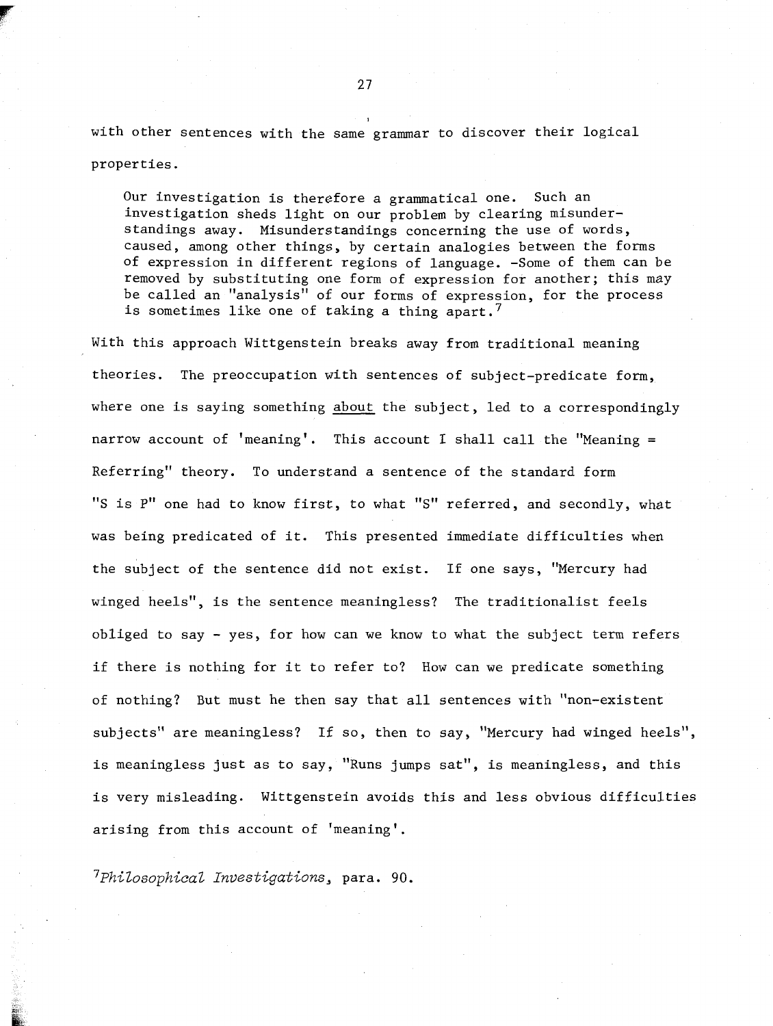27

with other sentences with the same grammar to discover their logical properties.

Our investigation is therefore a grammatical one. Such an investigation sheds light on our problem by clearing misunderstandings away. Misunderstandings concerning the use of words, caused, among other things, by certain analogies between the forms of expression in different regions of language. -Some of them can be removed by substituting one form of expression for another; this may be called an "analysis" of our forms of expression, for the process is sometimes like one of taking a thing apart.<sup>7</sup>

With this approach Wittgenstein breaks away from traditional meaning theories. The preoccupation with sentences of subject-predicate form, where one is saying something about the subject, led to a correspondingly narrow account of 'meaning'. This account I shall call the "Meaning  $=$ Referring" theory. To understand a sentence of the standard form "S is P" one had to know first, to what "S" referred, and secondly, what was being predicated of it. This presented immediate difficulties when the subject of the sentence did not exist. If one says, "Mercury had winged heels", is the sentence meaningless? The traditionalist feels obliged to say - yes, for how can we know to what the subject term refers if there is nothing for it to refer to? How can we predicate something of nothing? But must he then say that all sentences with "non-existent subjects" are meaningless? If so, then to say, "Mercury had winged heels", is meaningless just as to say, "Runs jumps sat", is meaningless, and this is very misleading. Wittgenstein avoids this and less obvious difficulties arising from this account of 'meaning'.

 $7$ Philosophical Investigations, para. 90.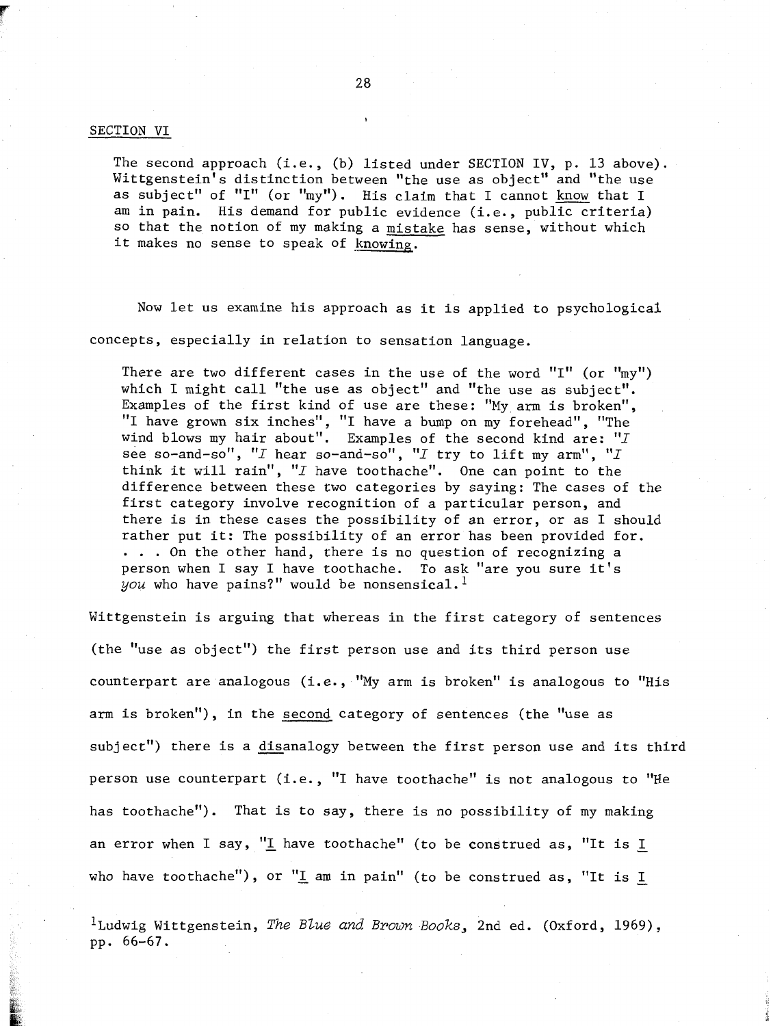#### SECTION VI

The second approach (i.e., (b) listed under SECTION IV, p. 13 above). Wittgenstein's distinction between "the use as object" and "the use as subject" of "I" (or "my"). His claim that I cannot know that I am in pain. His demand for public evidence (i.e., public criteria) so that the notion of my making a mistake has sense, without which it makes no sense to speak of knowing.

Now let us examine his approach as it is applied to psychological concepts, especially in relation to sensation language.

There are two different cases in the use of the word "I" (or "my") which I might call "the use as object" and "the use as subject".<br>Examples of the first kind of use are these: "My arm is broken", Examples of the first kind of use are these: "My arm is broken",<br>'I have grown six inches", "I have a bump on my forehead", "The I have grown six inches", "I have a bump on my forehead", "The vind blows my hair about". Examples of the second kind are: " $I$ see so-and-so", "I hear so-and-so", "I try to lift my arm", "I think it will rain", "I have toothache". One can point to the difference between these two categories by saying: The cases of the first category involve recognition of a particular person, and there is in these cases the possibility of an error, or as I should rather put it: The possibility of an error has been provided for. . . . On the other hand, chere is no question of recognizing a person when I say I have toothache. To ask "are you sure it's  $you$  who have pains?" would be nonsensical.<sup>1</sup>

Wittgenstein is arguing that whereas in the first category of sentences (the "use as object") the first person use and its third person use counterpart are analogous (i.e., "My arm is broken" is analogous to "His arm is broken"), in the second category of sentences (the "use as subject") there is a disanalogy between the first person use and its third person use counterpart (i.e., "I have toothache" is not analogous to "He has toothache"). That is to say, there is no possibility of my making an error when I say, "I have toothache" (to be construed as, "It is I who have toothache"), or "I am in pain" (to be construed as, "It is  $I$ 

<sup>1</sup>Ludwig Wittgenstein, *The Blue and Brown Books*, 2nd ed. (Oxford, 1969), pp. 66-67.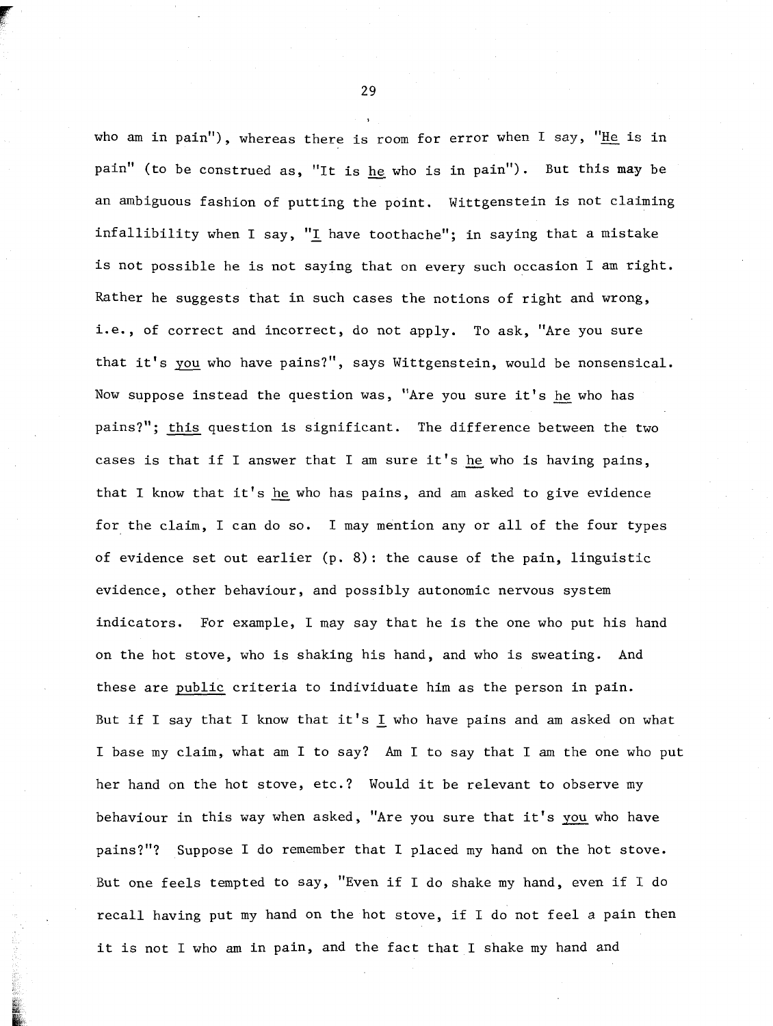who am in pain"), whereas there is room for error when I say, "He is in pain" (to be construed as, "It is he who is in pain"). But this may be an ambiguous fashion of putting the point. Wittgenstein is not claiming infallibility when I say, "I have toothache"; in saying that a mistake is not possible he is not saying that on every such occasion I am right. Rather he suggests that in such cases the notions of right and wrong, i.e., of correct and incorrect, do not apply. To ask, "Are you sure that it's *gou* who have pains?", says Wittgenstein, would be nonsensical. Now suppose instead the question was, "Are you sure it's hewho has pains?"; this question is significant. The difference between the two cases is that if I answer that I am sure it's he who is having pains, that I know that it's **he** who has pains, and am asked to give evidence for the claim, I can do so. I may mention any or all of the four types of evidence set out earlier  $(p, 8)$ : the cause of the pain, linguistic evidence, other behaviour, and possibly autonomic nervous system indicators. For example, I may say that he is the one who put his hand on the hot stove, who is shaking his hand, and who is sweating. And these are public criteria to individuate him as the person in pain. But if I say that I know that it's I who have pains and am asked on what I base my claim, what am I to say? Am I to say that I am the one who put her hand on the hot stove, etc.? Would it be relevant to observe my behaviour in this way when asked, "Are you sure that it's you who have pains?"? Suppose I do remember that I placed my hand on the hot stove. But one feels tempted to say, "Even if I do shake my hand, even if **1** do recall having put my hand on the hot stove, if I do not feel a pain then it is not I who am in pain, and the fact that I shake my hand and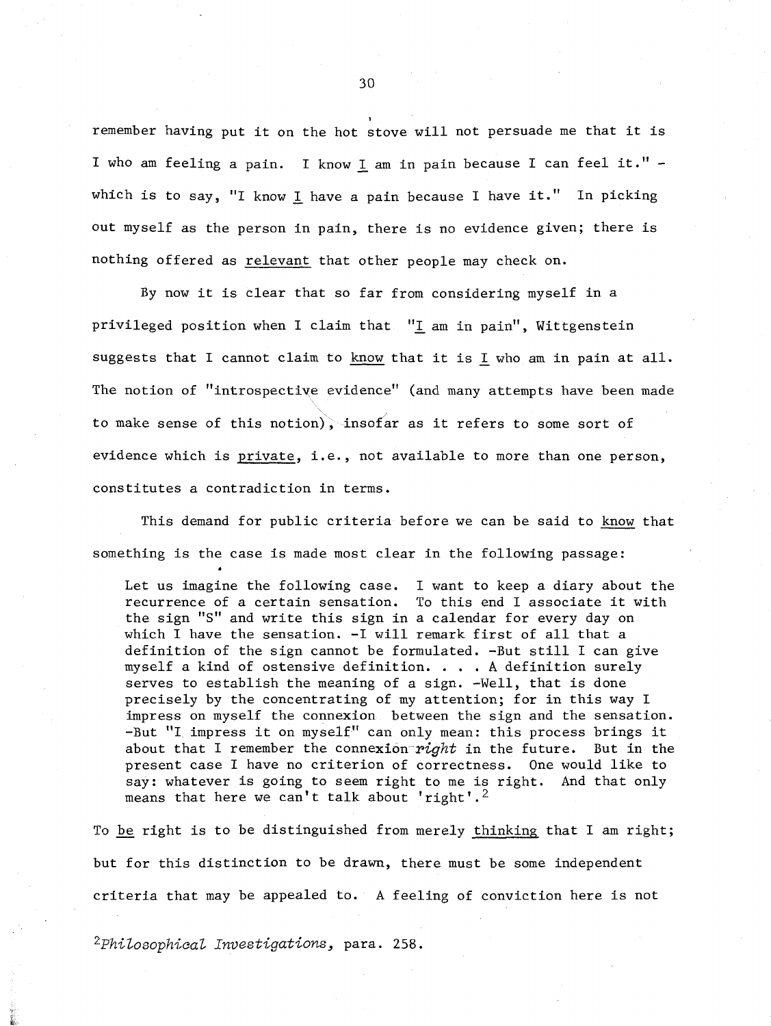remember having put it on the hot stove will not persuade me that it is I who am feeling a pain. I know 1 am in pain because I can feel it." which is to say, "I know I have a pain because I have it." In picking out myself as the person in pain, there is no evidence given; there is nothing offered as relevant that other people may check on.

By now it is clear that so far from considering myself in a privileged position when I claim that **"I** am in pain", Wittgenstein suggests that I cannot claim to know that it is Lwho am in pain at all. The notion of "introspective evidence'' (and many attempts have been made to make sense of this notion), insofar as it refers to some sort of evidence which is private, i.e., not available to more than one person, constitutes a contradiction in terms.

This demand for public criteria before we can be said to know that

something is the case is made most clear in the following passage:<br>Let us imagine the following case. I want to keep a diary about the recurrence of a certain sensation. To this end I associate it with the sign "S" and write this sign in a calendar for every day on which I have the sensation. **-I** will remark first of all that a definition of the sign cannot be formulated. -But still I can give myself a kind of ostensive definition. . . . **A** definition surely serves to establish the meaning of a sign. -Well, that is done precisely by the concentrating of my attention; for in this way I impress on myself the connexion between the sign and the sensation. -But "I impress it on myself" can only mean: this process brings it about that I remember the connexion *right* in the future. But in the present case I have no criterion of correctness. One would like to say: whatever is going to seem right to me is right. And that only means that here we can't talk about 'right'.<sup>2</sup>

To be right is to be distinguished from merely thinking that I am right; but for this distinction to be drawn, there must be some independent criteria that may be appealed to. **A** feeling of conviction here is not

**2~hiZosophica~ ~nuestigations,** para. **258.** 

30

**I**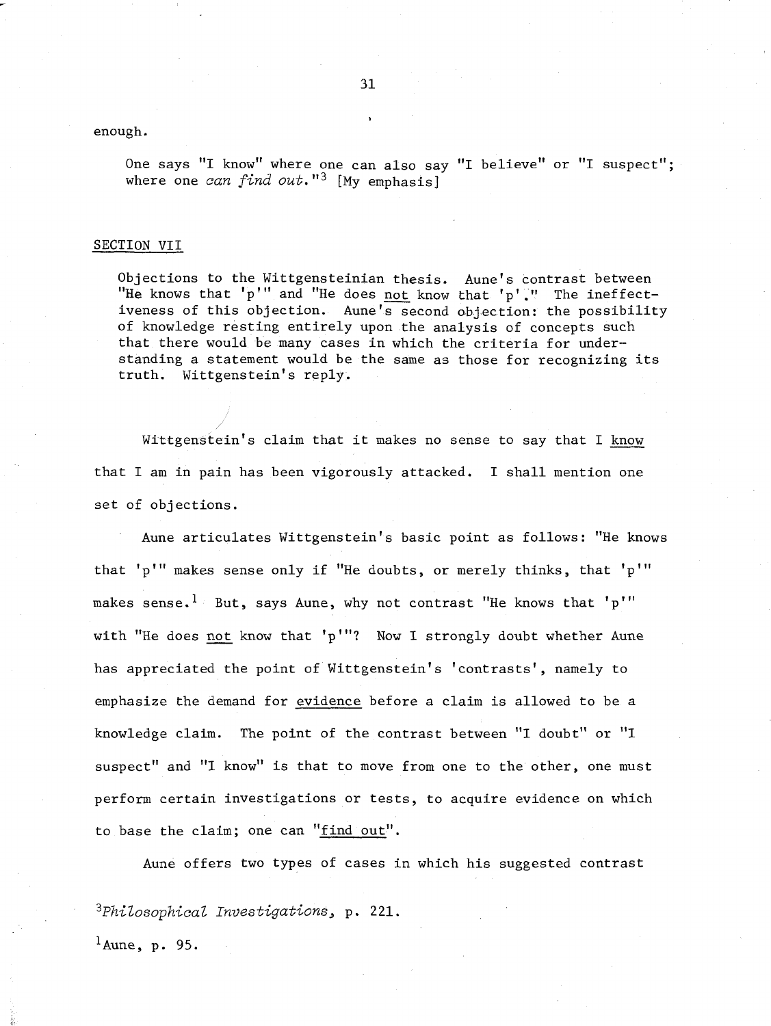enough.

One says "I know" where one can also say "I believe" or "I suspect"; where one **can find out."3** [My emphasis]

#### SECTION VII

/

Objections to the Wittgensteinian thesis. Aune's contrast between "He knows that 'p'" and "He does not know that 'p'." The ineffectiveness of this objection. Aune's second objection: the possibility of knowledge resting entirely upon the analysis of concepts such that there would be many cases in which the criteria for understanding a statement would be the same as those for recognizing its truth. Wittgenstein's reply.

Wittgenstein's claim that it makes no sense to say that I know that I am in pain has been vigorously attacked. I shall mention one set of objections.

Aune articulates Wittgenstein's basic point as follows: "He knows that 'p"' makes sense only if "He doubts, or merely thinks, that 'p"' makes sense.<sup>1</sup> But, says Aune, why not contrast "He knows that 'p'" with "He does not know that 'p'"? Now I strongly doubt whether Aune has appreciated the point of Wittgenstein's 'contrasts', namely to emphasize the demand for evidence before a claim is allowed to be a knowledge claim. The point of the contrast between "I doubt" or "I suspect" and "I know" is that to move from one to the other, one must perform certain investigations or tests, to acquire evidence on which to base the claim; one can "find out".

Aune offers two types of cases in which his suggested contrast

**3~hiZosophica~ Investigations,** <sup>p</sup>. 221.

 $<sup>1</sup>$ Aune, p. 95.</sup>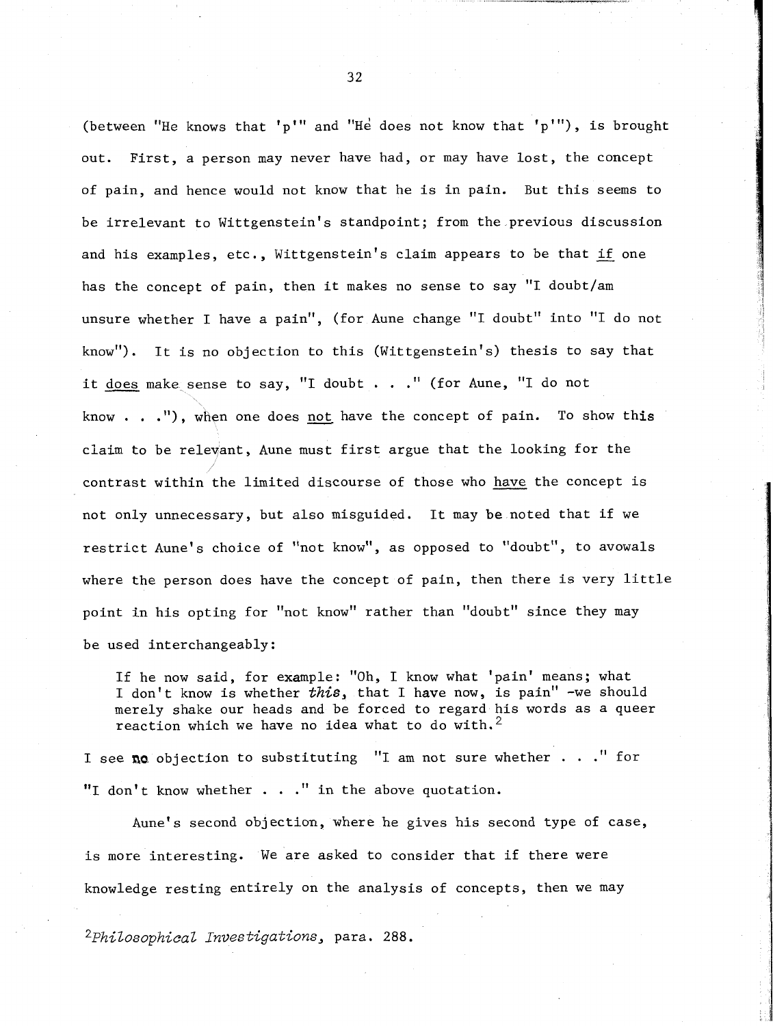(between "He knows that 'p'" and "He does not know that 'p'"), is brought out. First, a person may never have had, or may have lost, the concept of pain, and hence would not know that he is in pain. But this seems to be irrelevant to Wittgenstein's standpoint; from the previous discussion and his examples, etc., Wittgenstein's claim appears to be that if one has the concept of pain, then it makes no sense to say "I doubt/am unsure whether I have a pain", (for Aune change "I doubt" into "I do not know"). It is no objection to this (Wittgenstein's) thesis to say that it does make sense to say, "I doubt . . ." (for Aune, "I do not know  $\ldots$ , .''), when one does not have the concept of pain. To show this ciaim to be relevant, Aune must first argue that the looking for the 1' contrast within the limited discourse of those who have the concept is not only unnecessary, but also misguided. It may be noted that if we restrict Aune's choice of "not know", as opposed to "doubt", to avowals where the person does have the concept of pain, then there is very little point in his opting for "not know" rather than "doubt" since they may be used interchangeably:

If he now said, for example: "Oh, I know what 'pain' means; what I don't know is whether  $this$ , that I have now, is pain" -we should merely shake our heads and be forced to regard his words as a queer reaction which we have no idea what to do with.<sup>2</sup>

I see **na** objection to substituting "I am not sure whether . . ." for "I don't know whether . . ." in the above quotation.

Aune's second objection, where he gives his second type of case, is more interesting. We are asked to consider that if there were knowledge resting entirely on the analysis of concepts, then we may

**2~hiZosophicaZ ~nvestigations,** para. **288.**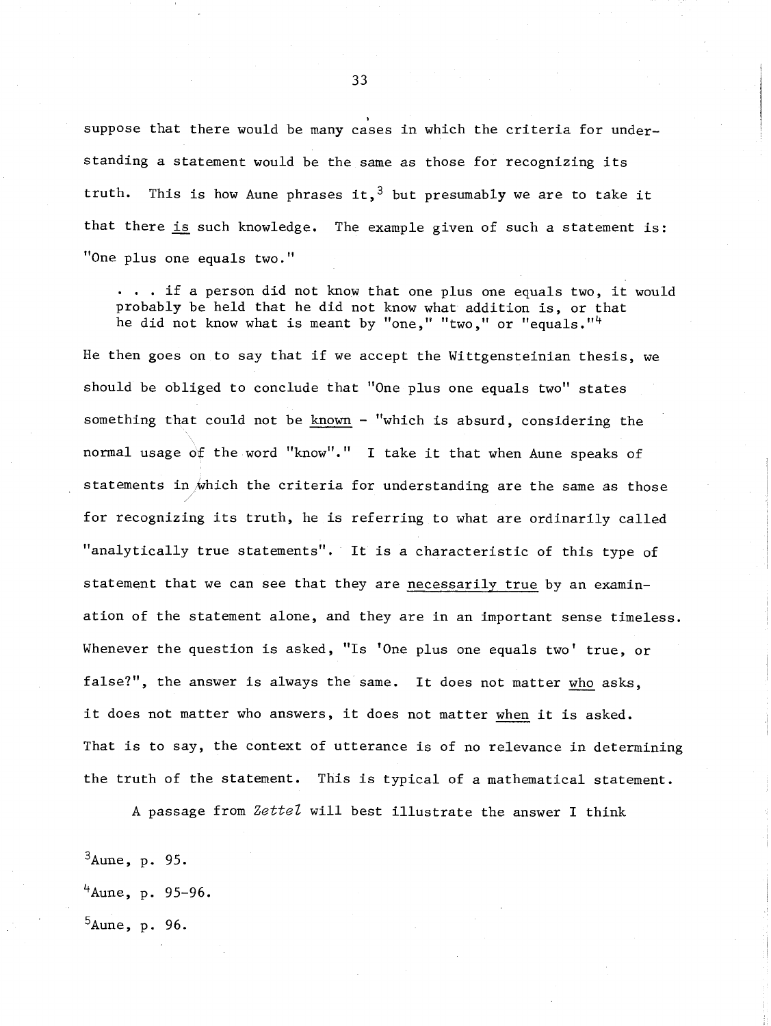suppose that there would be many cases in which the criteria for understanding a statement would be the same as those for recognizing its truth. This is how Aune phrases it,  $3$  but presumably we are to take it that there is such knowledge. The example given of such a statement is: "One plus one equals two."

. . . if a person did not know that one plus one equals two, it would probably be held that he did not know what addition is, or that he did not know what is meant by "one," "two," or "equals."<sup>4</sup>

He then goes on to say that if we accept the Wittgensteinian thesis, we should be obliged to conclude that "One plus one equals two" states something that could not be known - "which is absurd, considering the normal usage of the word "know"." I take it that when Aune speaks of statements in which the criteria for understanding are the same as those for recognizing its truth, he is referring to what are ordinarily called "analytically true statements". It is a characteristic of this type of statement that we can see that they are necessarily true by an examination of the statement alone, and they are in an important sense timeless. Whenever the question is asked, "Is 'One plus one equals two' true, or false?", the answer is always the same. It does not matter who asks, it does not matter who answers, it does not matter when it is asked. That is to say, the context of utterance is of no relevance in determining the truth of the statement. This is typical of a mathematical statement.

**A** passage from *ZetteZ* will best illustrate the answer I think

 $3$ Aune, p. 95.  $4$ Aune, p. 95-96.  $5$ Aune, p. 96.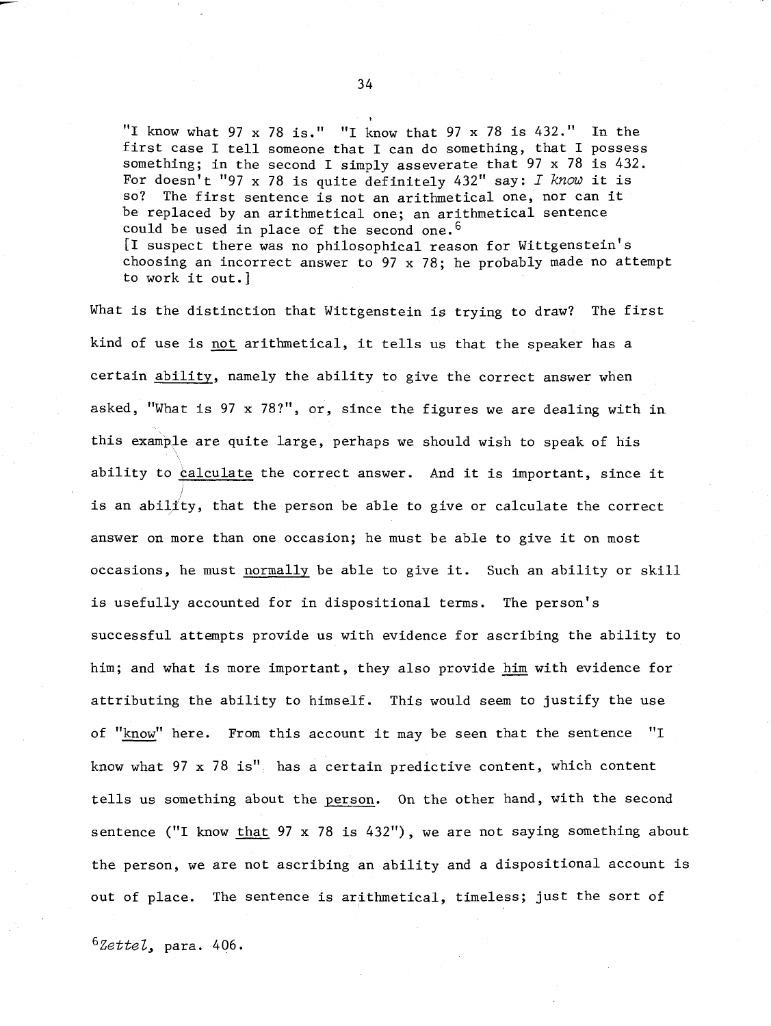"I know what  $97 \times 78$  is." "I know that  $97 \times 78$  is  $432$ ." In the first case I tell someone that I can do something, that I possess something; in the second I simply asseverate that 97 x 78 is 432. For doesn't "97 x 78 is quite definitely 432" say: I *knou* it is The first sentence is not an arithmetical one, nor can it be replaced by an arithmetical one; an arithmetical sentence could be used in place of the second one.<sup>6</sup>  $[I$  suspect there was no philosophical reason for Wittgenstein's choosing an incorrect answer to 97 x 78; he probably made no attempt to work it out.]

What is the distinction that Wittgenstein is trying to draw? The first kind of use is not arithmetical, it tells us that the speaker has a certain ability, namely the ability to give the correct answer when asked, "What is 97 x 78?", or, since the figures we are dealing with in this example are quite large, perhaps we should wish to speak of his \ ability to qalculate the correct answer. And it is important, since it is an ability, that the person be able to give or calculate the correct answer on more than one occasion; he must be able to give it on most occasions, he must normally be able to give it. Such an ability or skill is usefully accounted for in dispositional terms. The person's successful attempts provide us with evidence for ascribing the ability to him; and what is more important, they also provide him with evidence for attributing the ability to himself. This would seem to justify the use of "know" here. From this account it may be seen that the sentence "I know what 97 x 78 is" has a certain predictive content, which content tells us something about the person. On the other hand, with the second sentence ("I know that 97 x 78 is 432"), we are not saying something about the person, we are not ascribing an ability and a dispositional account is out of place. The sentence is arithmetical, timeless; just the sort of

 $6ZetteZ$ , para. 406.

,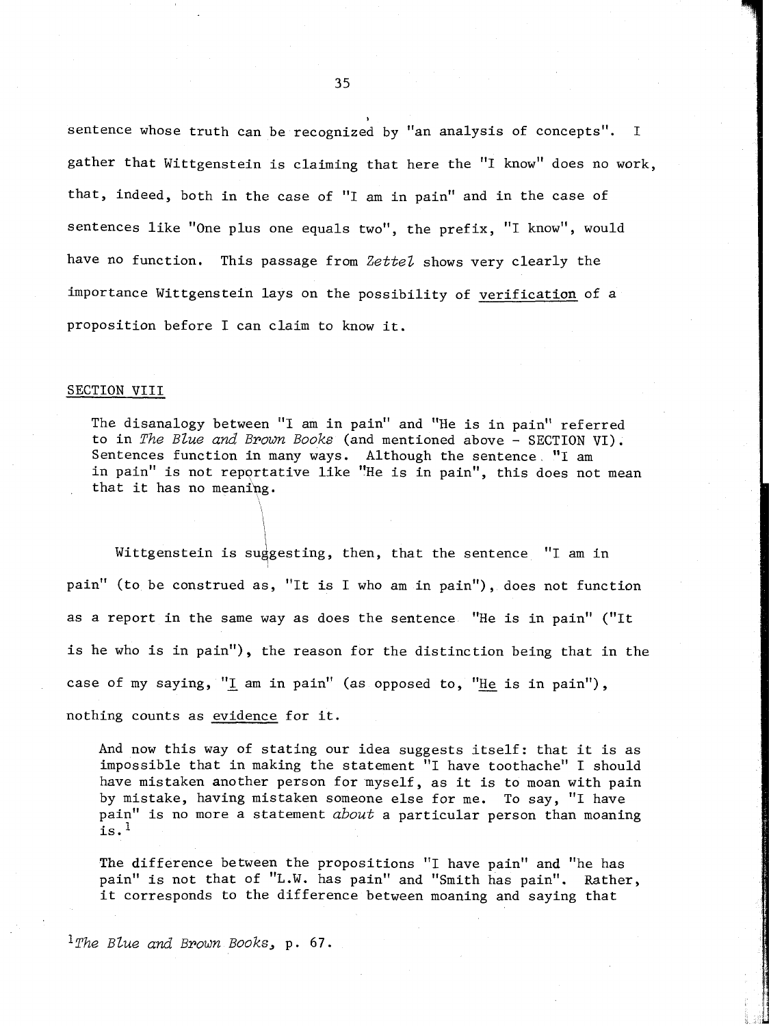sentence whose truth can be recognized by "an analysis of concepts". **I**  gather that Wittgenstein is claiming that here the "I know" does no work, that, indeed, both in the case of "I am in pain" and in the case of sentences like "One plus one equals two", the prefix, "I know", would have no function. This passage from *ZetteZ* shows very clearly the importance Wittgenstein lays on the possibility of verification of a proposition before I can claim to know it.

**I** 

#### SECTION VIII

The disanalogy between "I am in pain" and "He is in pain" referred to in *The Blue and Brown Books* (and mentioned above - SECTION VI). Sentences function in many ways. Although the sentence **"I** am in pain" is not reportative like "He is in pain", this does not mean that it has no meanihg.

Wittgenstein is suggesting, then, that the sentence "I am in pain" (to be construed as, "It is I who am in pain"), does not function as a report in the same way as does the sentence "He is in pain" ("It is he who is in pain"), the reason for the distinction being that in the case of my saying, "I am in pain" (as opposed to, "He is in pain"), nothing counts as evidence for it.

And now this way of stating our idea suggests itself: that it is as impossible that in making the statement "I have toothache" I should have mistaken another person for myself, as it is to moan with pain by mistake, having mistaken someone else for me. To say, "I have pain" is no more a statement *about* a particular person than moaning is.<sup>1</sup>

The difference between the propositions "I have pain" and "he has pain" is not that of "L.W. has pain" and "Smith has pain". Rather, it corresponds to the difference between moaning and saying that

*l9he Blue and Brown Books,* **p.** *67.*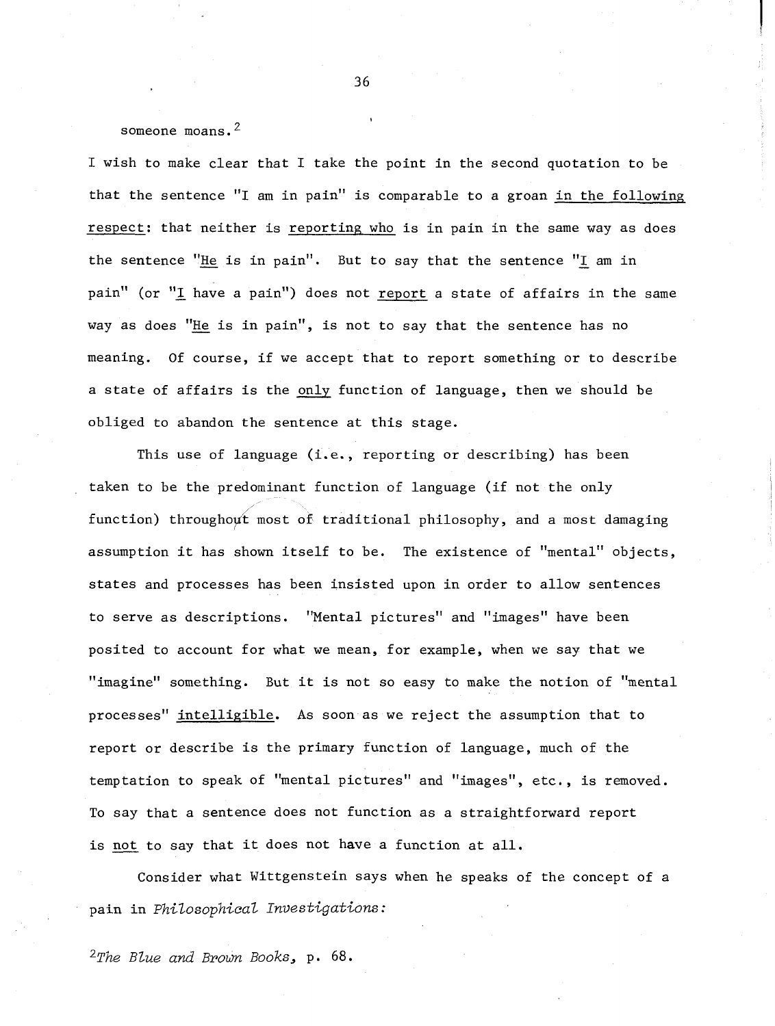someone moans.<sup>2</sup>

I wish to make clear that I take the point in the second quotation to be that the sentence "I am in pain" is comparable to a groan in the following respect: that neither is reporting who is in pain in the same way as does the sentence "He is in pain''. But to say that the sentence "L am in pain" (or "I have a pain") does not report a state of affairs in the same way as does "He is in pain", is not to say that the sentence has no meaning. Of course, if we accept that to report something or to describe a state of affairs is the only function of language, then we should be obliged to abandon the sentence at this stage.

This use of language (i.e., reporting or describing) has been taken to be the predominant function of language (if not the only function) throughout most of traditional philosophy, and a most damaging assumption it has shown itself to be. The existence of "mental" objects, states and processes has been insisted upon in order to allow sentences to serve as descriptions. "Mental pictures" and "images" have been posited to account for what we mean, for example, when we say that we "imagine" something. But it is not so easy to make the notion of "mental processes" intelligible. As soon as we reject the assumption that to report or describe is the primary function of language, much of the temptation to speak of "mental pictures" and "images", etc., is removed. To say that a sentence does not function as a straightforward report is not to say that it does not have a function at all.

Consider what Wittgenstein says when he speaks of the concept of a pain in Philosophical Investigations:

 $2$ The Blue and Brown Books, p. 68.

36

**I**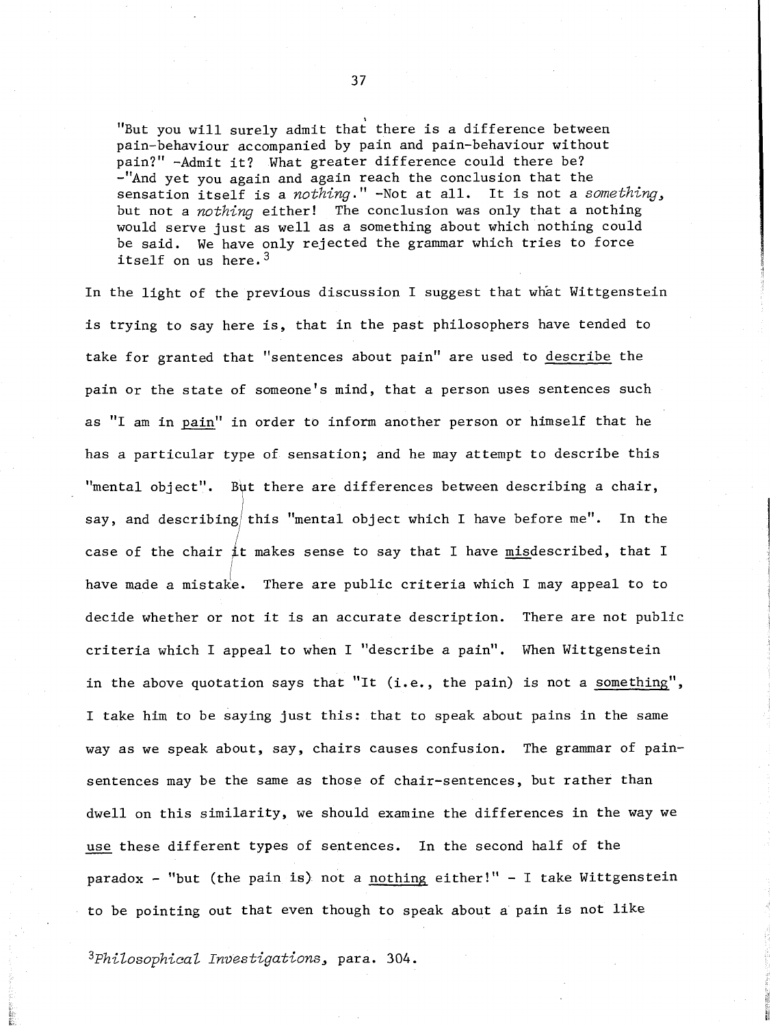"But you will surely admit that there is a difference between pain-behaviour accompanied by pain and pain-behaviour without<br>pain?" -Admit it? What greater difference could there be? -"And yet you again and again reach the conclusion that the sensation itself is a nothing." -Not at all. It is not a something, but not a *nothing* either! The conclusion was only that a nothing would serve just as well as a something about which nothing could be said. We have only rejected the grammar which tries to force itself on us here.<sup>3</sup>

In the light of the previous discussion I suggest that what Wittgenstein is trying to say here is, that in the past philosophers have tended to take for granted that "sentences about pain" are used to describe the pain or the state of someone's mind, that a person uses sentences such as "I am in pain" in order to inform another person or himself that he has a particular type of sensation; and he may attempt to describe this "mental object". But there are differences between describing a chair, say, and describing this "mental object which I have before me". In the case of the chair it makes sense to say that I have misdescribed, that I have made a mistake. There are public criteria which I may appeal to to decide whether or not it is an accurate description. There are not public criteria which I appeal to when I "describe a pain". When Wittgenstein in the above quotation says that "It (i.e., the pain) is not a something", I take him to be saying just this: that to speak about pains in the same way as we speak about, say, chairs causes confusion. The grammar of painsentences may be the same as those of chair-sentences, but rather than dwell on this similarity, we should examine the differences in the way we sentences may be the same as those of chair-sentences, but rather t<br>dwell on this similarity, we should examine the differences in the<br>use these different types of sentences. In the second half of the paradox - "but (the pain is) not a nothing either!" - I take Wittgenstein to be pointing out that even though to speak about a pain is not like

 $3$ Philosophical Investigations, para. 304.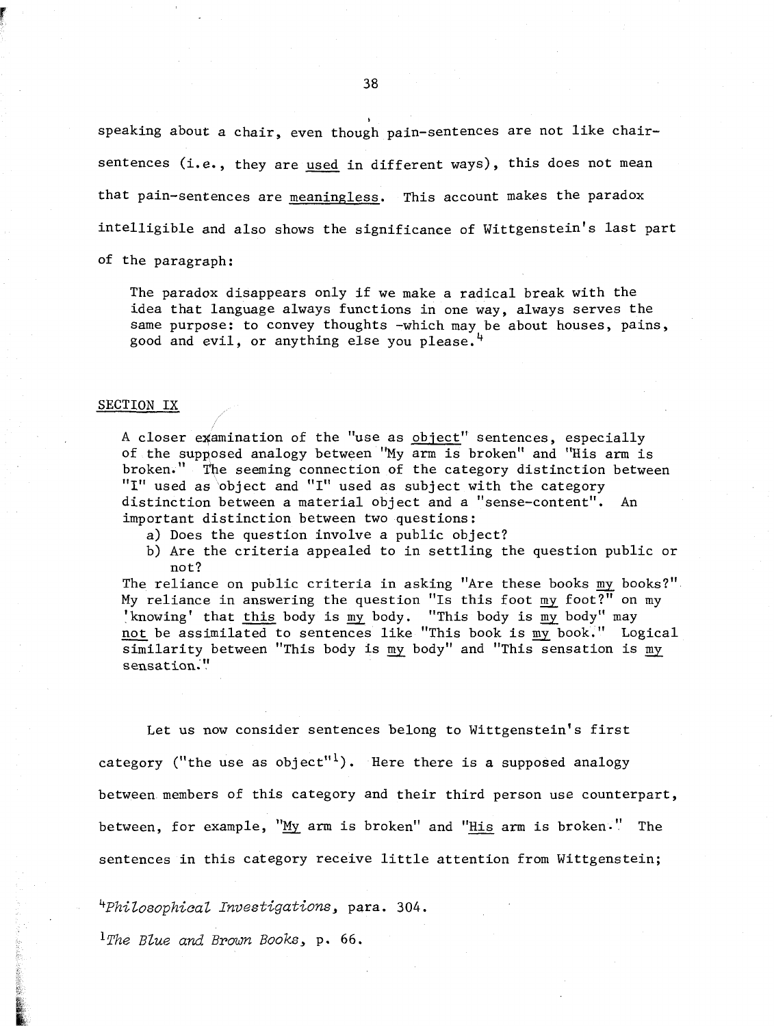speaking about a chair, even though pain-sentences are not like chair-38<br>speaking about a chair, even though pain-sentences are not like chair-<br>sentences (i.e., they are <u>used</u> in different ways), this does not mean that pain-sentences are meaningless. This account makes the paradox intelligible and also shows the significance of Wittgenstein's last part of the paragraph:

The paradox disappears only if we make a radical break with the idea that language always functions in one way, always serves the same purpose: to convey thoughts -which may be about houses, pains, good and evil, or anything else you please.

#### SECTION IX

A closer examination of the "use as object" sentences, especially of the supposed analogy between "My arm is broken" and "His arm is broken." The seeming connection of the category distinction between "I" used as object and "I" used as subject with the category distinction between a material object and a "sense-content". An important distinction between two questions:

- a) Does the question involve a public object?
- b) Are the criteria appealed to in settling the question public or not?

The reliance on public criteria in asking "Are these books my books?". Inc reflance on pasile effectia in asking the enese sooks <u>my</u> books 'knowing' that this body is  $\frac{m}{m}$  body. "This body is  $\frac{m}{m}$  body" may not?<br>The reliance on public criteria in asking "Are these books my books?"<br>My reliance in answering the question "Is this foot my foot?" on my<br>'knowing' that <u>this</u> body is my body. "This body is my body" may<br><u>not</u> be assi  $\overline{\text{similarity}}$  between "This body is my body" and "This sensation is my sensation."

Let us now consider sentences belong to Wittgenstein's first category ("the use as object"<sup>1</sup>). Here there is a supposed analogy between members of this category and their third person use counterpart, between, for example,  $M_M$  arm is broken" and "His arm is broken." The sentences in this category receive little attention from Wittgenstein;

*4~hiZosophica~ Investigations,* para. *304.* 

*ll'he Blue and Brown Books,* p. *66.*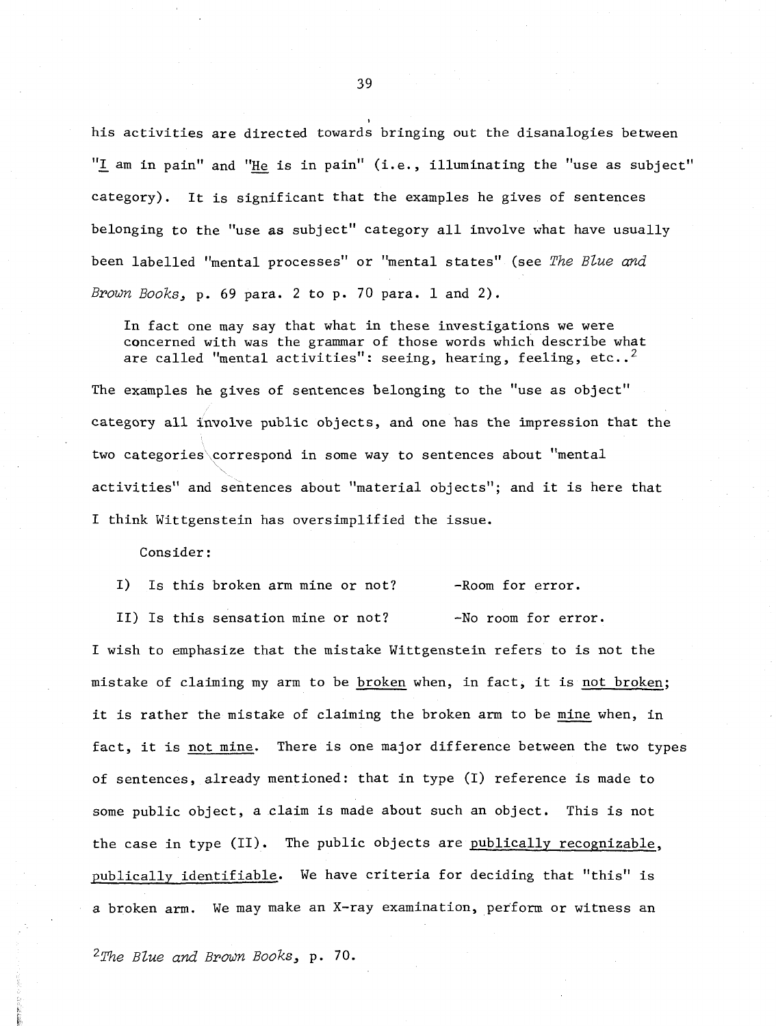his activities are directed towards bringing out the disanalogies between " $\underline{I}$  am in pain" and "He is in pain" (i.e., illuminating the "use as subject" category). It is significant that the examples he gives of sentences belonging to the "use as subject" category all involve what have usually been labelled "mental processes" or "mental states" (see The *Blue and Brown Books,* p. *69* para. 2 to p. 70 para. 1 and 2).

In fact one may say that what in these investigations we were concerned with was the grammar of those words which describe what are called "mental activities": seeing, hearing, feeling, etc..<sup>2</sup>

The examples he gives of sentences belonging to the "use as object" category all involve public objects, and one has the impression that the two categories correspond in some way to sentences about "mental activities'' and sentences about "material objects"; and it is here that I think Wittgenstein has oversimplified the issue.

#### Consider :

I) Is this broken arm mine or not? -Room for error.

II) Is this sensation mine or not? -No room for error.

I wish to emphasize that the mistake Wittgenstein refers to is not the mistake of claiming my arm to be broken when, in fact, it is not broken; it is rather the mistake of claiming the broken arm to be mine when, in fact, it is not mine. There is one major difference between the two types of sentences, already mentioned: that in type (I) reference is made to some public object, a claim is made about such an object. This is not the case in type (11). The public objects are publically recognizable, publically identifiable. We have criteria for deciding that "this" is a broken arm. We may make an X-ray examination, perform or witness an

*25!'he Blue and Brown Books,* p. *70.*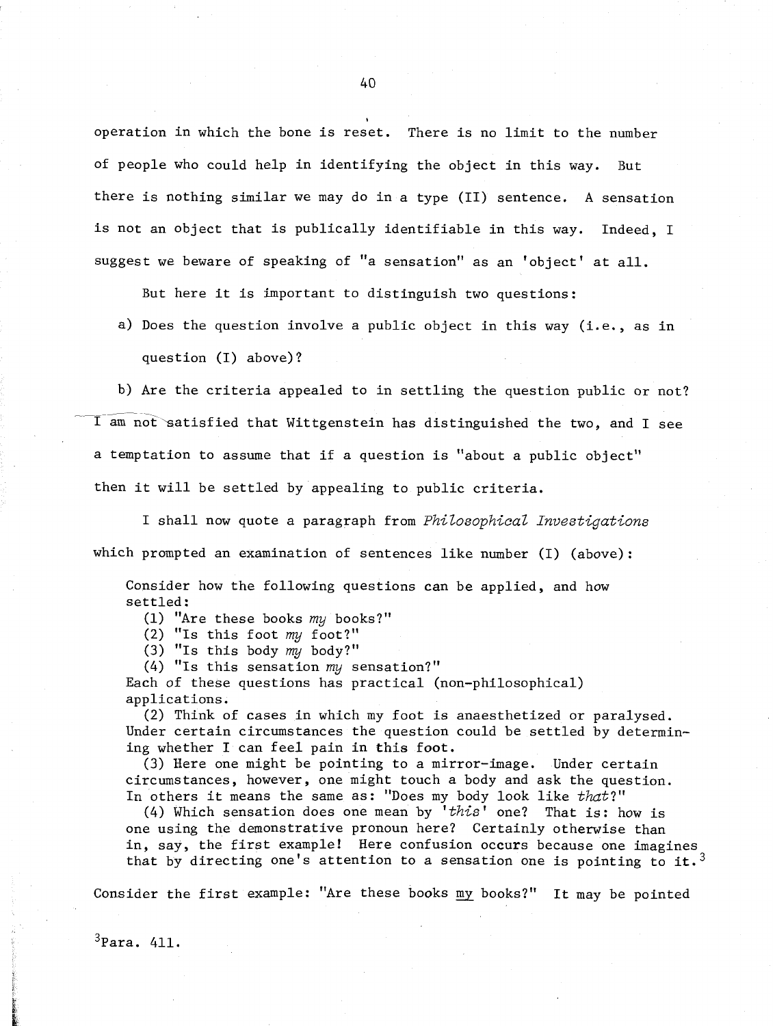operation in which the bone is reset. There is no limit to the number of people who could help in identifying the object in this way. But there is nothing similar we may do in a type (11) sentence. **A** sensation is not an object that is publically identifiable in this way. Indeed, I suggest we beware of speaking of "a sensation" as an 'object' at all.

But here it is important to distinguish two questions:

a) Does the question involve a public object in this way (i.e., as in question (I) above) ?

b) Are the criteria appealed to in settling the question public or not?  $\overline{r}$  -  $\overline{r}$  $\overline{\text{I}}$  am not satisfied that Wittgenstein has distinguished the two, and I see a temptation to assume that if a question is "about a public object" then it will be settled by appealing to public criteria.

I shall now quote a paragraph from Philosophical Investigations which prompted an examination of sentences like number (I) (above):

Consider how the following questions can be applied, and how settled:

(1) "Are these books my books?"

(2) "Is this foot my foot?"

(3) "Is this body my body?"

(4) "Is this sensation my sensation?"

Each of these questions has practical (non-philosophical) applications.

(2) Think of cases in which my foot is anaesthetized or paralysed. Under certain circumstances the question could be settled by determining whether I can feel pain in this foot.

(3) Here one might be pointing to a mirror-image. Under certain circumstances, however, one might touch a body and ask the question. In others it means the same as: "Does my body look like that?"

(4) Which sensation does one mean by 'this' one? That is: how is one using the demonstrative pronoun here? Certainly otherwise than in, say, the first example! Here confusion occurs because one imagines that by directing one's attention to a sensation one is pointing to it.<sup>3</sup>

Consider the first example: "Are these books my books?" It may be pointed

 $40$ 

**I** 

 $3$ Para. 411.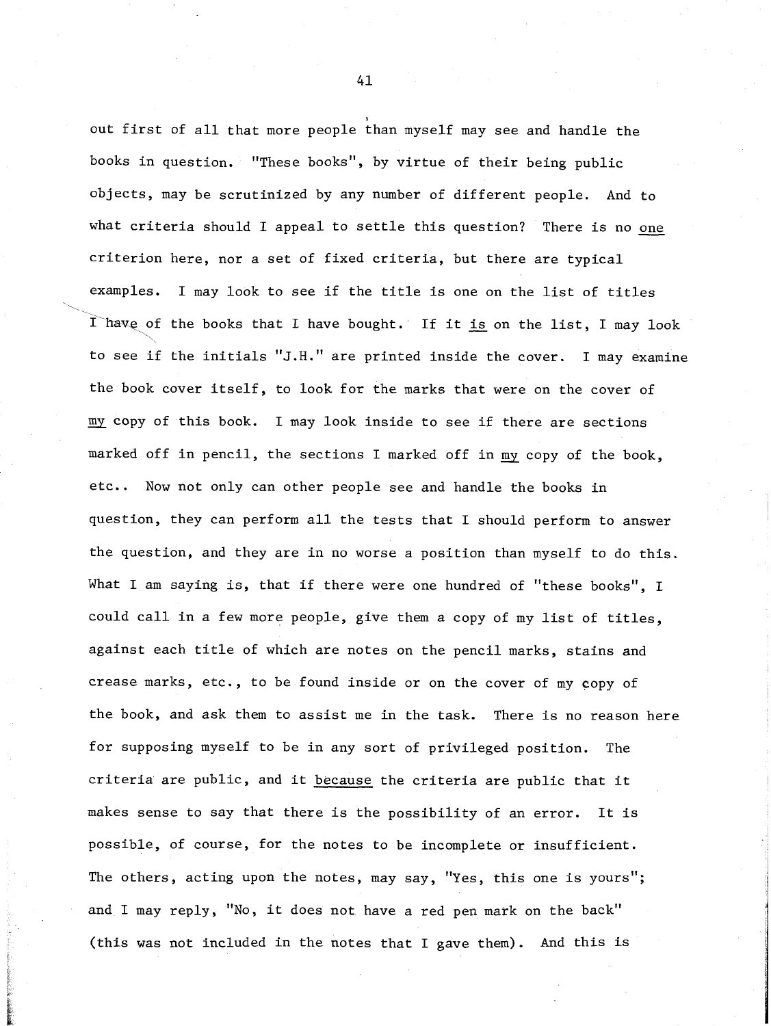out first of all that more people than myself may see and handle the books in question. "These books", by virtue of their being public objects, may be scrutinized by any number of different people. And to what criteria should I appeal to settle this question? There is no *one*  criterion here, nor a set of fixed criteria, but there are typical examples. I may look to see if the title is one on the list of titles what criteria should I appeal to settle this question? There is no <u>one</u><br>criterion here, nor a set of fixed criteria, but there are typical<br>examples. I may look to see if the title is one on the list of titles<br>I have of th to see if the initials "J.H." are printed inside the cover. I may examine the book cover itself, to look for the marks that were on the cover of my copy of this book. I may look inside to see if there are sections marked off in pencil, the sections I marked off in my copy of the book, etc.. Now not only can other people see and handle the books in question, they can perform all the tests that I should perform to answer the question, and they are in no worse a position than myself to do this. What I am saying is, that if there were one hundred of "these books", I could call in a few more people, give them a copy of my list of titles, against each title of which are notes on the pencil marks, stains and crease marks, etc., to be found inside or on the cover of my copy of the book, and ask them to assist me in the task. There is no reason here for supposing myself to be in any sort of privileged position. The criteria are public, and it because the criteria are public that it makes sense to say that there is the possibility of an error. It is possible, of course, for the notes to be incomplete or insufficient. The others, acting upon the notes, may say, "Yes, this one is yours"; and I may reply, "No, it does not have a red pen mark on the back" (this was not included in the notes that I gave them). And this is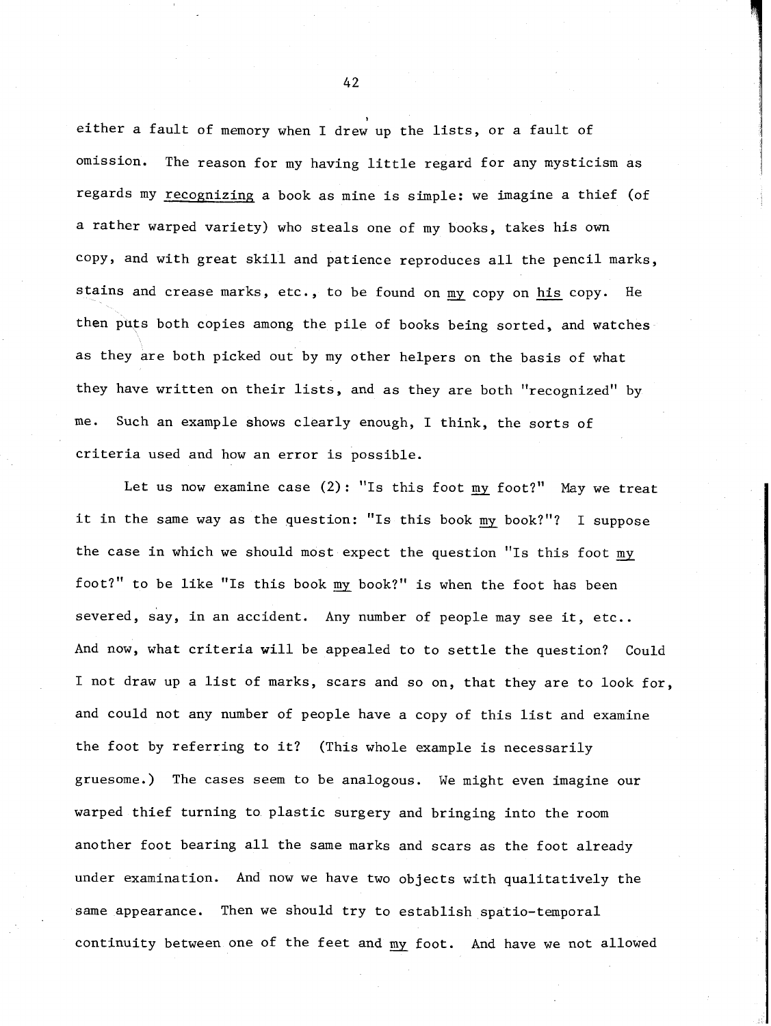either a fault of memory when I drew up the lists, or a fault of omission. The reason for my having little regard for any mysticism as regards my recognizing a book as mine is simple: we imagine a thief (of a rather warped variety) who steals one of my books, takes his own copy, and with great skill and patience reproduces all the pencil marks, stains and crease marks, etc., to be found on my copy on his copy. He then puts both copies among the pile of books being sorted, and watches as they are both picked out by my other helpers on the basis of what they have written on their lists, and as they are both "recognized" by me. Such an example shows clearly enough, I think, the sorts of criteria used and how an error is possible.

Let us now examine case  $(2)$ : "Is this foot my foot?" May we treat it in the same way as the question: "Is this book my book?"? I suppose the case in which we should most expect the question "Is this foot my foot?" to be like "Is this book my book?" is when the foot has been severed, say, in an accident. Any number of people may see it, etc.. And now, what criteria will be appealed to to settle the question? Could I not draw up a list of marks, scars and so on, that they are to look for, and could not any number of people have a copy of this list and examine the foot by referring to it? (This whole example is necessarily gruesome.) The cases seem to be analogous. We might even imagine our warped thief turning to plastic surgery and bringing into the room another foot bearing all the same marks and scars as the foot already under examination. And now we have two objects with qualitatively the same appearance. Then we should try to establish spatio-temporal continuity between one of the feet and my foot. And have we not allowed

 $42$ 

**I**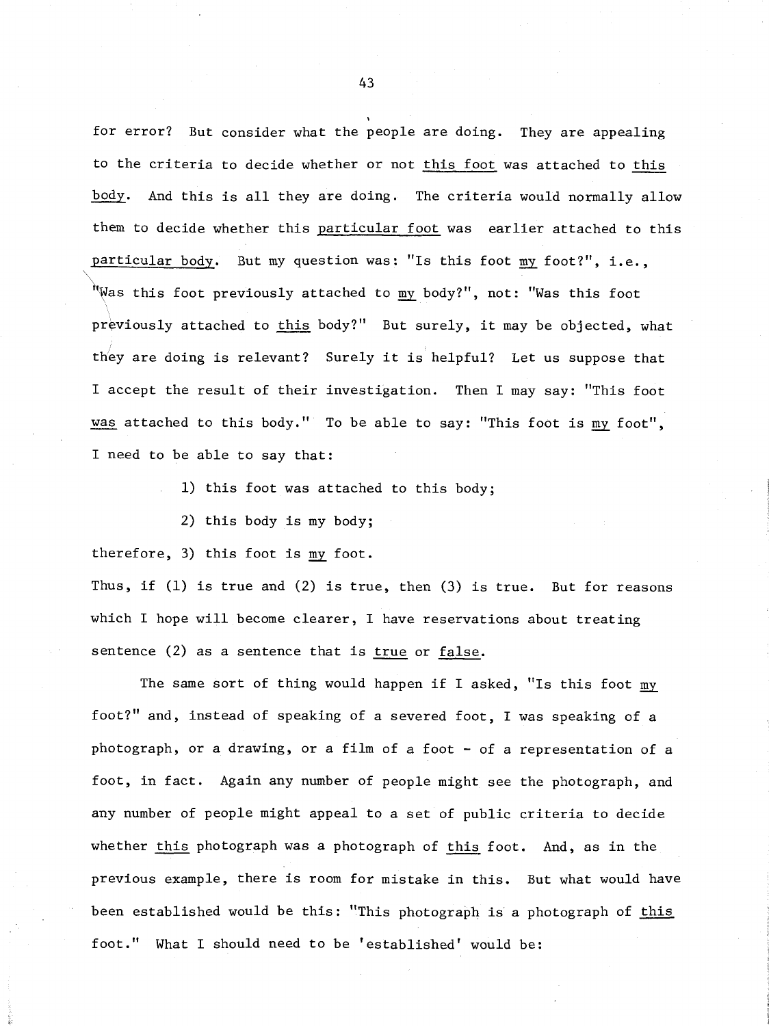for error? But consider what the people are doing. They are appealing to the criteria to decide whether or not this foot was attached to this body. And this is all they are doing. The criteria would normally allow them to decide whether this particular foot was earlier attached to this particular body. But my question was: "Is this foot my foot?", i.e., "Was this foot previously attached to my body?", not: "Was this foot previously attached to this body?" But surely, it may be objected, what they are doing is relevant? Surely it is helpful? Let us suppose that I accept the result of their investigation. Then I may say: "This foot they are doing is relevant? Surely it is helpful? Let us suppose that<br>I accept the result of their investigation. Then I may say: "This foot<br>was attached to this body." To be able to say: "This foot is <u>my</u> foot", I need to be able to say that:

1) this foot was attached to this body;

2) this body is my body;

therefore, 3) this foot is my foot.

Thus, if  $(1)$  is true and  $(2)$  is true, then  $(3)$  is true. But for reasons which I hope will become clearer, I have reservations about treating sentence (2) as a sentence that is true or false.

The same sort of thing would happen if I asked, "Is this foot my foot?'' and, instead of speaking of a severed foot, I was speaking of a photograph, or a drawing, or a film of a foot - of a representation of a foot, in fact. Again any number of people might see the photograph, and any number of people might appeal to a set of public criteria to decide whether this photograph was a photograph of this foot. And, as in the previous example, there is room for mistake in this. But what would have been established would be this: "This photograph is a photograph of this foot." What I should need to be 'established' would be: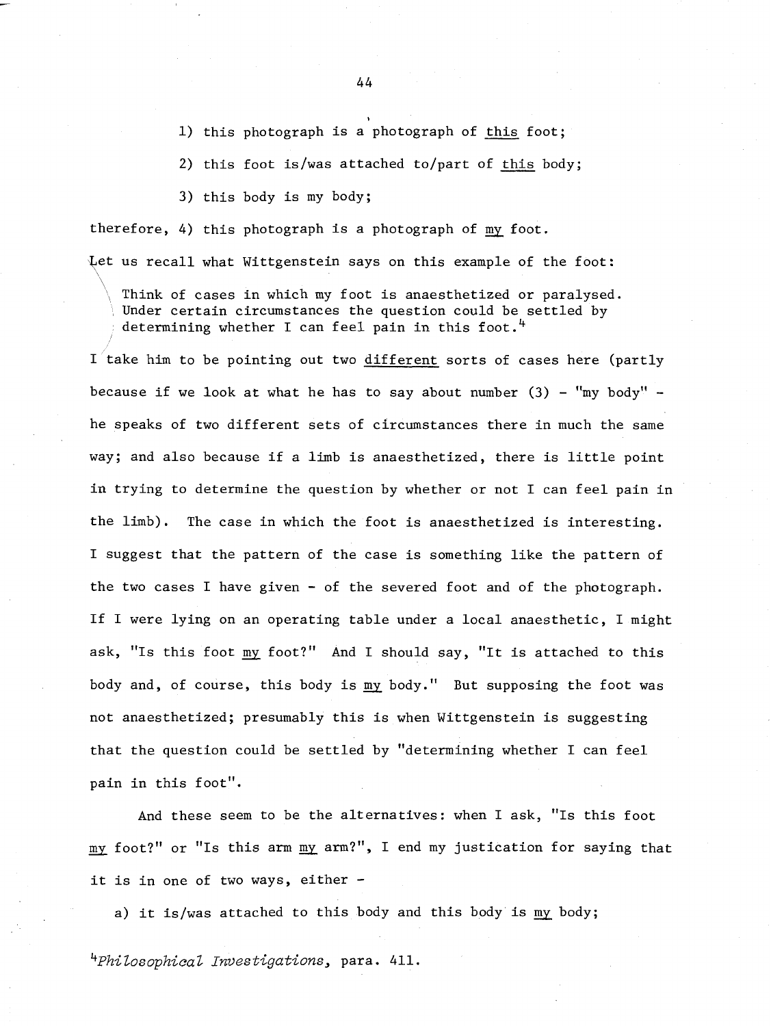**I**  1) this photograph is a photograph of this foot;

2) this foot is/was attached to/part of this body;

**3)** this body is my body;

 $\mathcal{L}$ 

therefore, 4) this photograph is a photograph of my foot.

Let us recall what Wittgenstein says on this example of the foot:

Think of cases in which my foot is anaesthetized or paralysed. Under certain circumstances the question could be settled by determining whether I can feel pain in this foot.<sup>4</sup>

I take him to be pointing out two different sorts of cases here (partly because if we look at what he has to say about number  $(3)$  - "my body" he speaks of two different sets of circumstances there in much the same way; and also because if a limb is anaesthetized, there is little point in trying to determine the question by whether or not I can feel pain in the limb). The case in which the foot is anaesthetized is interesting. I suggest that the pattern of the case is something like the pattern of the two cases I have given - of the severed foot and of the photograph. If I were lying on an operating table under a local anaesthetic, I might ask, "Is this foot my foot?" And I should say, "It is attached to this body and, of course, this body is **my** body." But supposing the foot was not anaesthetized; presumably this is when Wittgenstein is suggesting that the question could be settled by "determining whether I can feel pain in this foot".

And these seem to be the alternatives: when I ask, "Is this foot mg foot?" or "Is this arm mg arm?", I end my justication for saying that it is in one of two ways, either -

a) it is/was attached to this body and this body is my body;

*4~hiZosophica~ Investigations,* para. 411.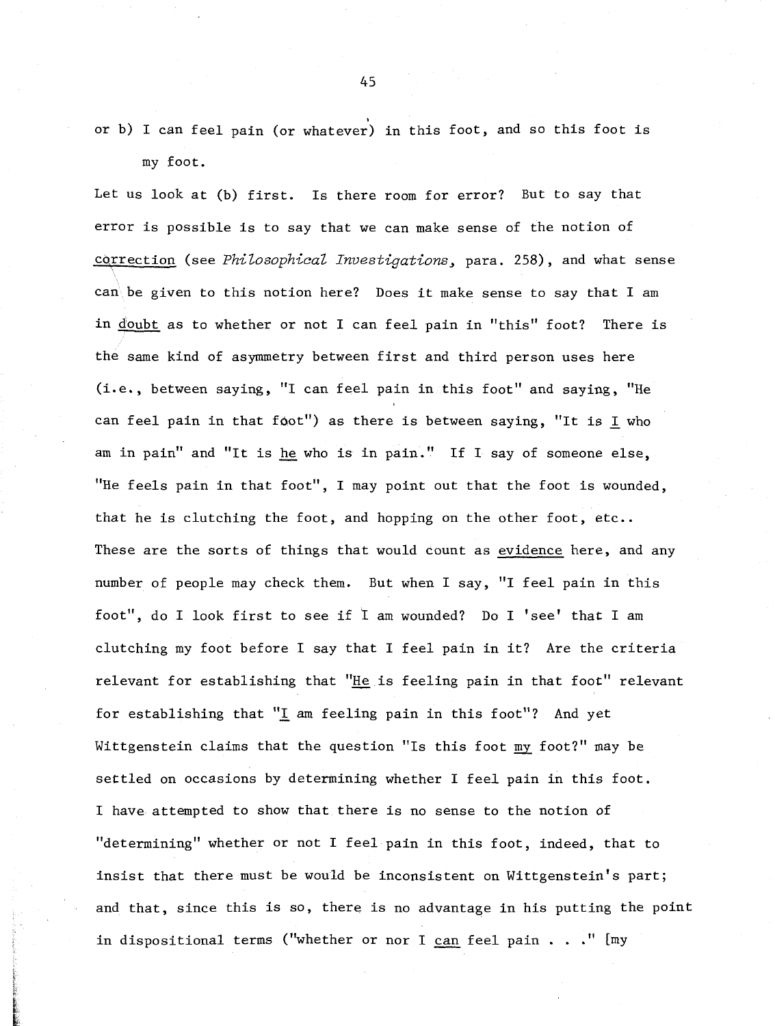**I**  or b) I can feel pain (or whatever) in this foot, and SO this foot is my foot.

Let us look at (b) first. Is there room for error? But to say that error is possible is to say that we can make sense of the notion of correction (see *Philosophical Investigations*, para. 258), and what sense can be given to this notion here? Does it make sense to say that I am in <u>doubt</u> as to whether or not I can feel pain in "this" foot? There is the same kind of asymmetry between first and third person uses here (i.e., between saying, "I can feel pain in this foot" and saying, "He can feel pain in that foot") as there is between saying, "It is  $I$  who am in pain" and "It is he who is in pain." If I say of someone else, "He feels pain in that foot", I may point out that the foot is wounded, that he is clutching the foot, and hopping on the other foot, etc.. These are the sorts of things that would count as evidence here, and any number of people may check them. But when I say, "I feel pain in this foot", do I look first to see if I am wounded? Do I 'see' that I am clutching my foot before I say that I feel pain in it? Are the criteria relevant for establishing that "He is feeling pain in that foot" relevant for establishing that "I am feeling pain in this foot"? And yet Wittgenstein claims that the question "Is this foot my foot?" may be settled on occasions by determining whether I feel pain in this foot. I have attempted to show that there is no sense to the notion of "determining" whether or not I feel pain in this foot, indeed, that to insist that there must be would be inconsistent on Wittgenstein's part; and that, since this is so, there is no advantage in his putting the point in dispositional terms ("whether or nor I can feel pain . . ." [my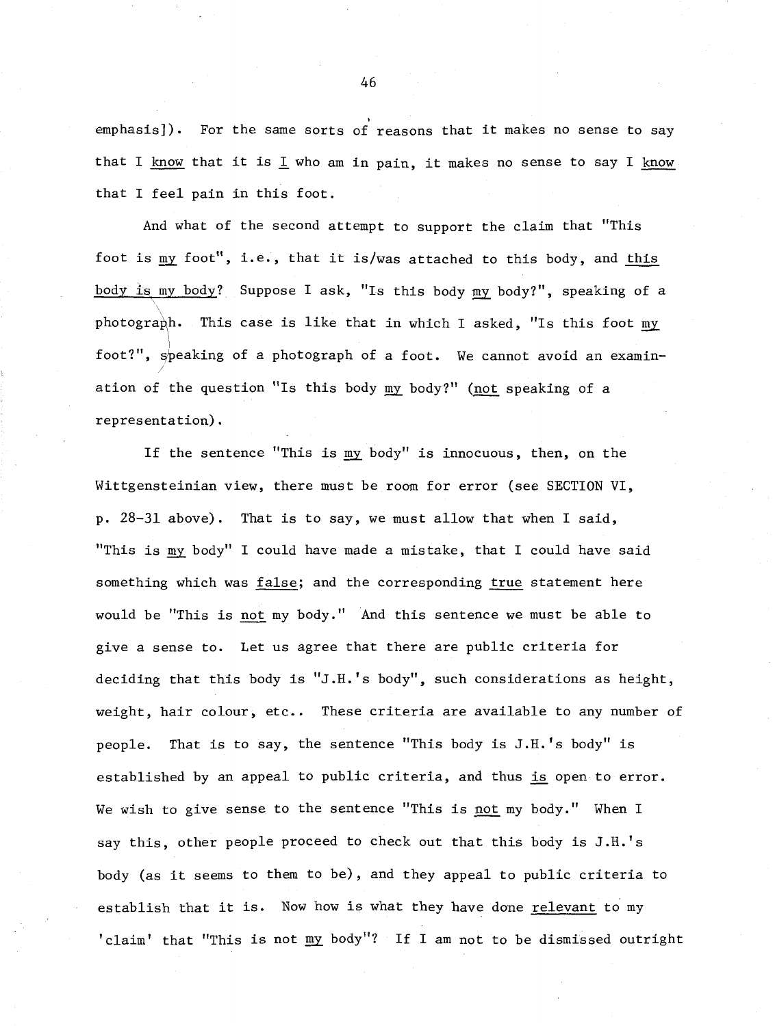emphasis]). For the same sorts of reasons that it makes no sense to say that I know that it is I who am in pain, it makes no sense to say I know that I feel pain in this foot.

And what of the second attempt to support the claim that "This foot is my foot", i.e., that it is/was attached to this body, and this body is my body? Suppose I ask, "Is this body my body?", speaking of a photograph. This case is like that in which I asked, "Is this foot my foot?", speaking of a photograph of a foot. We cannot avoid an examinfoot?", speaking of a photograph of a foot. We cannot avoid an  $\epsilon$ <br>ation of the question "Is this body <u>my</u> body?" (<u>not</u> speaking of a representation).

If the sentence "This is my body" is innocuous, then, on the Wittgensteinian view, there must be room for error (see SECTION VI, p. 28-31 above). That is to say, we must allow that when I said, "This is my body" I could have made a mistake, that I could have said something which was false; and the corresponding true statement here would be 'This is not my body." And this sentence we must be able to give a sense to. Let us agree that there are public criteria for deciding that this body is "J.H.'s body", such considerations as height, weight, hair colour, etc.. These criteria are available to any number of people. That is to say, the sentence "This body is J.H.'s body" is established by an appeal to public criteria, and thus **is** open to error. We wish to give sense to the sentence "This is not my body." When I say this, other people proceed to check out that this body is J.H.'s body (as it seems to them to be), and they appeal to public criteria to establish that it is. Now how is what they have done relevant to my 'claim' that "This is not my body"? If I am not to be dismissed outright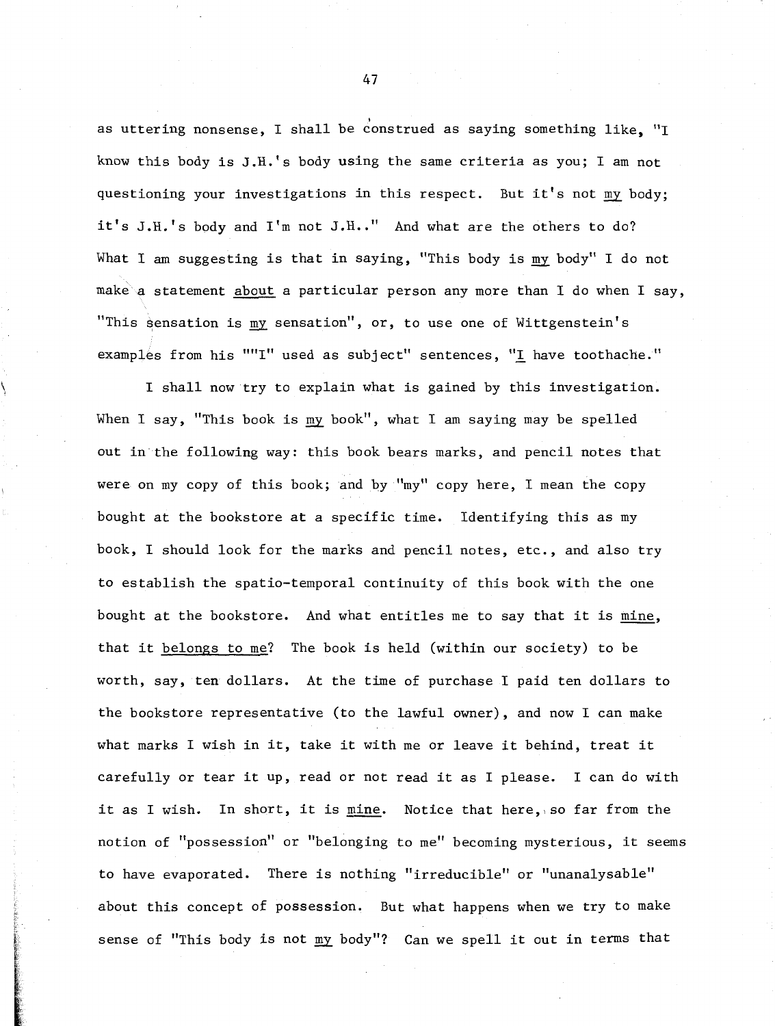as uttering nonsense, I shall be construed as saying something like, "I know this body is J.H.'s body using the same criteria as you; I am not questioning your investigations in this respect. But it's not my body; it's J.H.'s body and I'm not J.H.." And what are the others to do? What I am suggesting is that in saying, "This body is my body" I do not make a statement about a particular person any more than I do when I say, "This sensation is my sensation", or, to use one of Wittgenstein's examples from his ""I" used as subject" sentences, "I have toothache."

I shall now try to explain what is gained by this investigation. When I say, "This book is my book", what I am saying may be spelled out in the following way: this book bears marks, and pencil notes that were on my copy of this book; and by "my" copy here, I mean the copy bought at the bookstore at a specific time. Identifying this as my book, I should look for the marks and pencil notes, etc., and also try to establish the spatio-temporal continuity of this book with the one bought at the bookstore. And what entitles me to say that it is mine, that it belongs to me? The book is held (within our society) to be worth, say, ten dollars. At the time of purchase I paid ten dollars to the bookstore representative (to the lawful owner), and now I can make what marks I wish in it, take it with me or leave it behind, treat it carefully or tear it up, read or not read it as I please. I can do with it as I wish. In short, it is mine. Notice that here, so far from the notion of "possession" or "belonging to me" becoming mysterious, it seems to have evaporated. There is nothing "irreducible" or "unanalysable" about this concept of possession. But what happens when we try to make sense of "This body is not my body"? Can we spell it out in terms that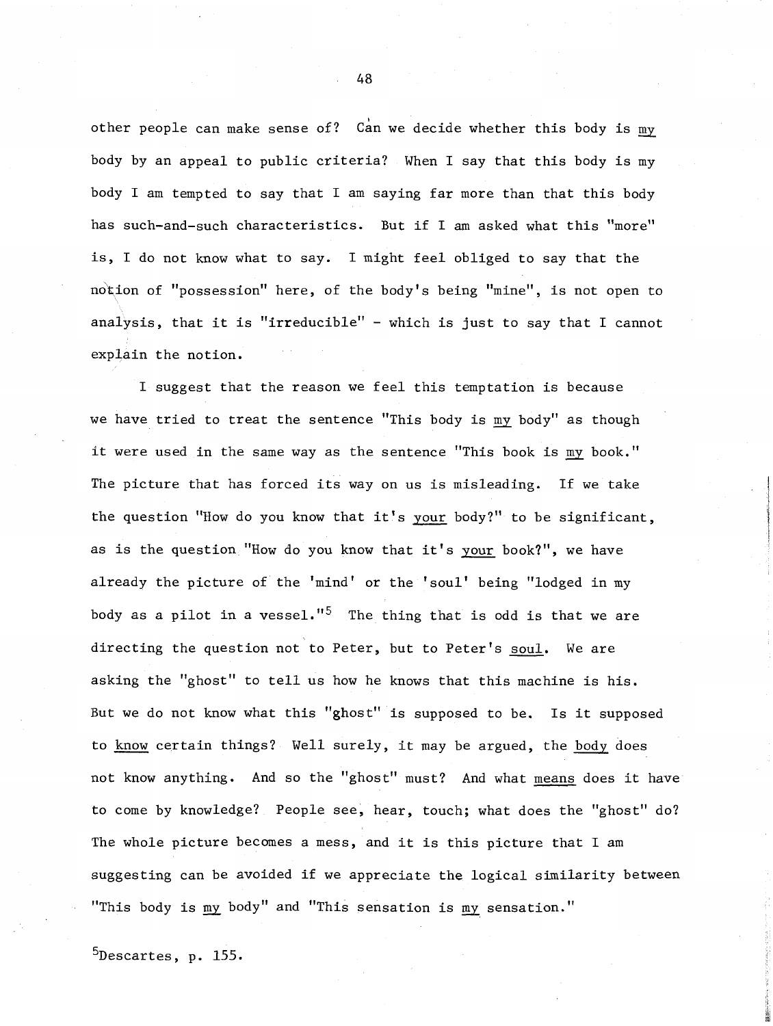other people can make sense of? Can we decide whether this body is  $\underline{\mathfrak{m}}$ body by an appeal to public criteria? When I say that this body is my body I am tempted to say that I am saying far more than that this body has such-and-such characteristics. But if I am asked what this "more" is, I do not know what to say. I might feel obliged to say that the notion of "possession" here, of the body's being "mine", is not open to analysis, that it is "irreducible" - which is just to say that I cannot explain the notion.

I suggest that the reason we feel this temptation is because we have tried to treat the sentence "This body is my body" as though it were used in the same way as the sentence "This book is my book." The picture that has forced its way on us is misleading. If we take the question "How do you know that it's your body?" to be significant, as is the question "How do you know that it's your book?", we have already the picture of the 'mind' or the 'soul' being "lodged in my body as a pilot in a vessel."<sup>5</sup> The thing that is odd is that we are directing the question not to Peter, but to Peter's soul. We are asking the "ghost" to tell us how he knows that this machine is his. But we do not know what this "ghost" is supposed to be. Is it supposed to know certain things? Well surely, it may be argued, the body does not know anything. And so the "ghost" must? And what means does it have to come by knowledge? People see, hear, touch; what does the "ghost" do? The whole picture becomes a mess, and it is this picture that I am suggesting can be avoided if we appreciate the logical similarity between "This body is body" and "This sensation is my sensation."

 $5$ Descartes, p. 155.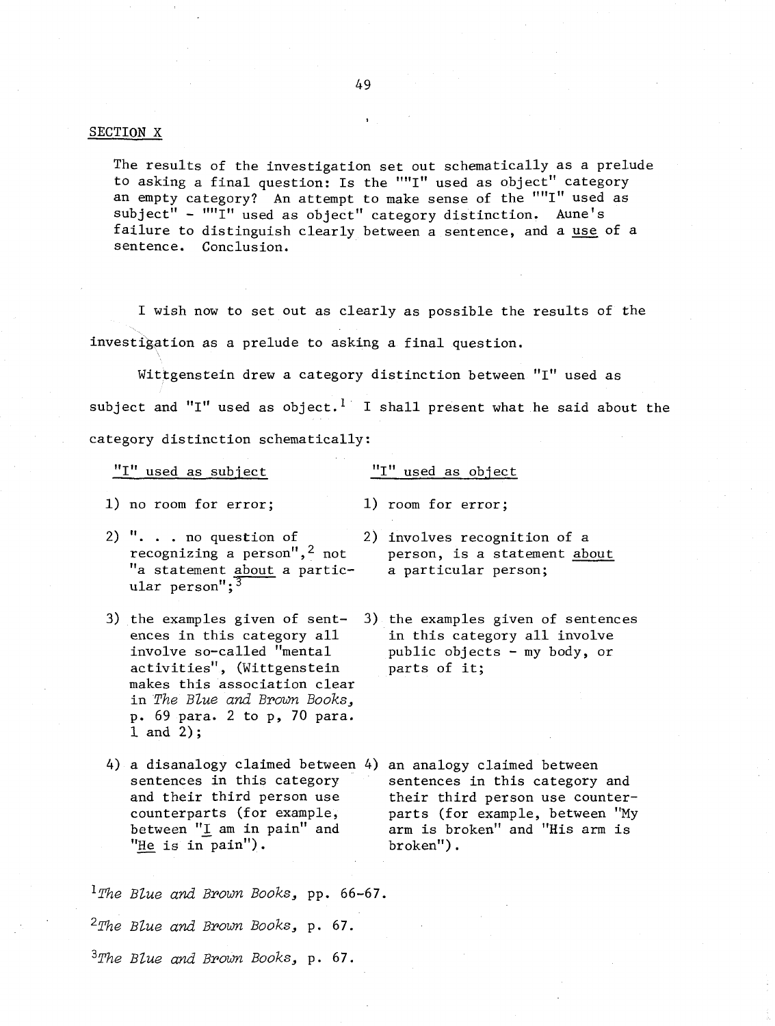#### SECTION X

The results of the investigation set out schematically as a prelude to asking a final question: Is the ""I" used as object" category an empty category? An attempt to make sense of the ""I" used as subject" - ""I" used as object" category distinction. Aune's failure to distinguish clearly between a sentence, and a use of a sentence. Conclusion.

I wish now to set out as clearly as possible the results of the investigation as a prelude to asking a final question.

Wittgenstein drew a category distinction between "I" used as subject and "I" used as object.<sup>1</sup> I shall present what he said about the category distinction schematically:

 $"I"$  used as subject  $"I"$  used as object

1) no room for error; 1) room for error;

- 2)  $\cdot \cdot \cdot$  . . no question of 2) involves recognition of a recognizing a person", 2 not person, is a statement about  $\cdots$  no question of<br>recognizing a person",<sup>2</sup> not<br>"a statement <u>about</u> a partic-<br>ular person";<sup>3</sup>
- activities", (Wittgenstein makes this association clear in *The Blue* and *Brown Books,*  p. 69 para. 2 to p, 70 para. 1 and 2) ;
- 4) a disanalogy claimed between 4) an analogy claimed between between  $"I$  am in pain" and
- recognizing a person",<sup>2</sup> not person, is a statement <u>about</u><br>'a statement <u>about</u> a partic- a particular person;
- **3)** the examples given of sent- **3)** the examples given of sentences ences in this category all in this category all involve<br>involve so-called "mental public objects - my body, or public objects - my body, or parts of it;
	- sentences in this category sentences in this category and and their third person use their third person use counter-<br>counterparts (for example, parts (for example, between "My parts (for example, between "My between "I am in pain" and arm is broken" and "His arm is "He is in pain").

*'The BZue* and *Brown Books,* pp. 66-67. *2The BZue and Brown Books,* p. *67. 3~he BZue* and *Brown Books,* p. 67.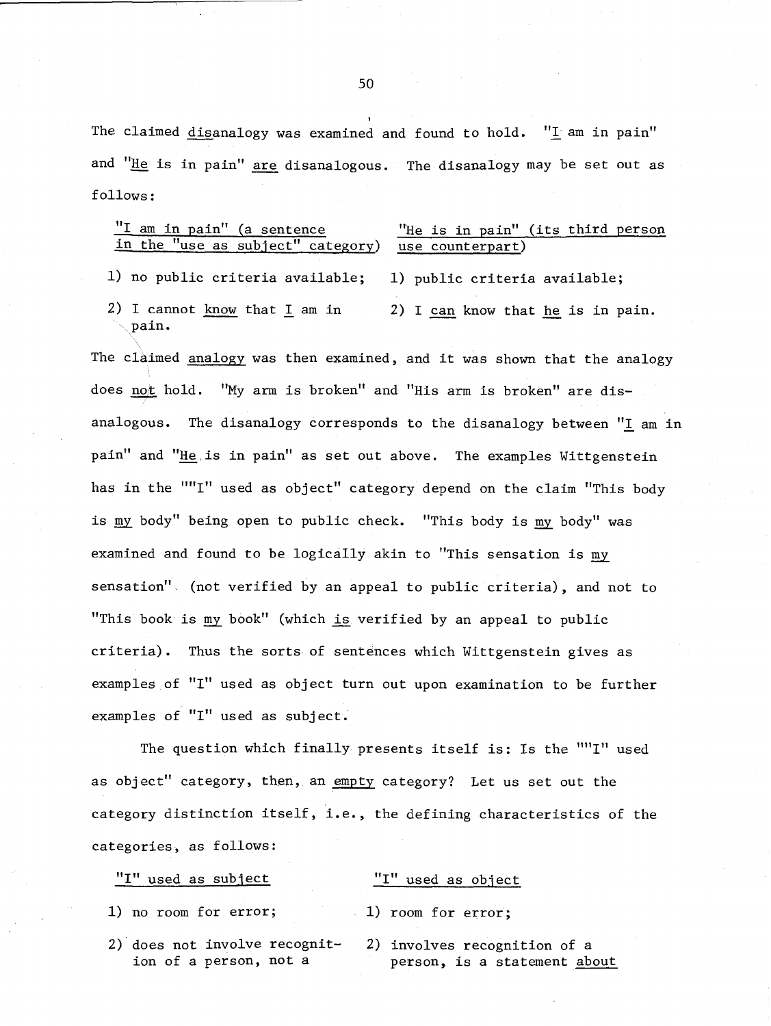The claimed  $disanalogy$  was examined and found to hold. "I am in pain" and "He is in pain" are disanalogous. The disanalogy may be set out as follows :

# $\frac{''I \text{ am in pain''}}{I \text{ in the "use as subject'' category)}}$  "He is in pain" (its third person in the "use as subject" category) use counterpart) in the "use as subject" category)

1) no public criteria available; 1) public criteria available;

2) I cannot know that  $I$  am in 2) I can know that he is in pain. pain.

The claimed analogy was then examined, and it was shown that the analogy does not hold. "My arm is broken" and "His arm is broken" are disanalogous. The disanalogy corresponds to the disanalogy between **"1** am in pain" and "He is in pain" as set out above. The examples Wittgenstein has in the ""I" used as object" category depend on the claim "This body is my body" being open to public check. "This body is my body" was examined and found to be logically akin to "This sensation is my sensation". (not verified by an appeal to public criteria), and not to "This book is book" (which **is** verified by an appeal to public criteria). Thus the sorts of sentences which Wittgenstein gives as examples of "I" used as object turn out upon examination to be further examples of "I" used as subject.

The question which finally presents itself is: Is the ""I" used as object" category, then, an empty category? Let us set out the category distinction itself, i.e., the defining characteristics of the categories, as follows:

| "I" used as subject                                     | "I" used as object                                           |
|---------------------------------------------------------|--------------------------------------------------------------|
| 1) no room for error;                                   | $1)$ room for error;                                         |
| 2) does not involve recognit-<br>ion of a person, not a | 2) involves recognition of a<br>person, is a statement about |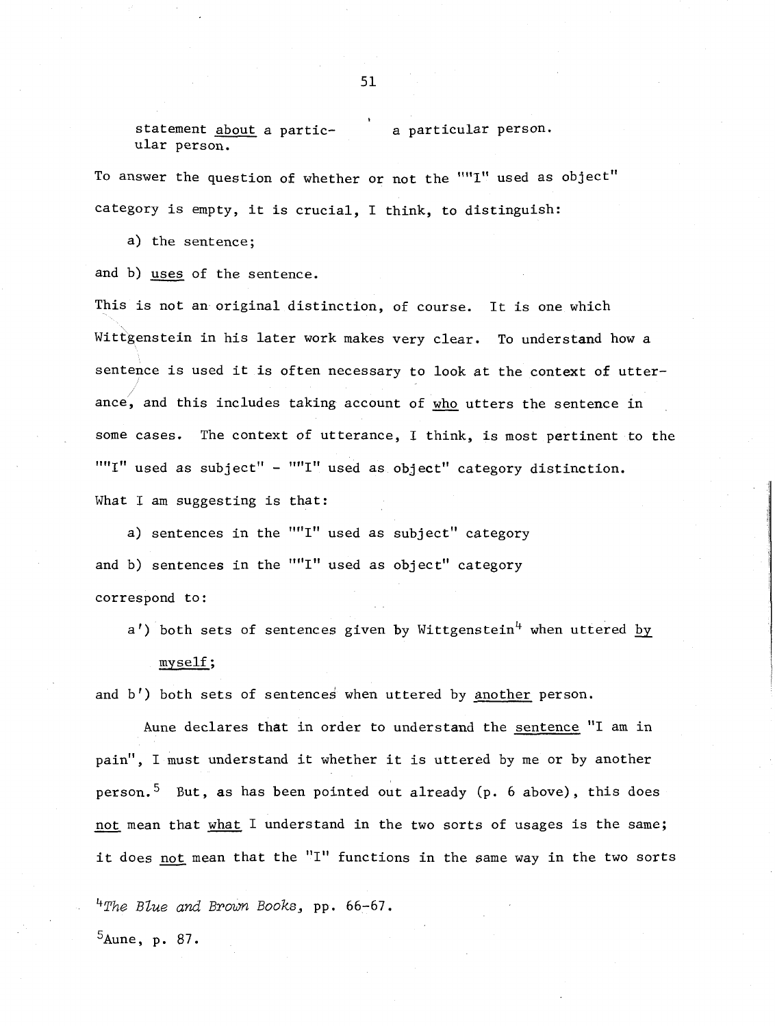statement about a partic-<br>
a particular person. ular person.

To answer the question of whether or not the ""I" used as object" category is empty, it is crucial, I think, to distinguish:

a) the sentence;

and b) uses of the sentence.

This is not an original distinction, of course. It is one which Wittgenstein in his later work makes very clear. To understand how a sentence is used it is often necessary to look at the context of utter ance, and this includes taking account of <u>who</u> utters the sentence in some cases. The context of utterance, I think, is most pertinent to the  $" "I"$  used as subject" -  $" "I"$  used as object" category distinction. What I am suggesting is that:

a) sentences in the ""I" used as subject" category and b) sentences in the ""I" used as object" category correspond to :

 $a'$ ) both sets of sentences given by Wittgenstein<sup>4</sup> when uttered by my self ;

and b') both sets of sentences when uttered by another person.

Aune declares that in order to understand the sentence "I am in pain", I must understand it whether it is uttered by me or by another person.<sup>5</sup> But, as has been pointed out already (p. 6 above), this does pain", I must understand it whether it is uttered by me or by another<br>person.<sup>5</sup> But, as has been pointed out already (p. 6 above), this does<br><u>not</u> mean that <u>what</u> I understand in the two sorts of usages is the same; it does not mean that the "I" functions in the same way in the two sorts

**4~he** *Blue* and *Brown Books,* pp. 66-67.

 $5$ Aune, p. 87.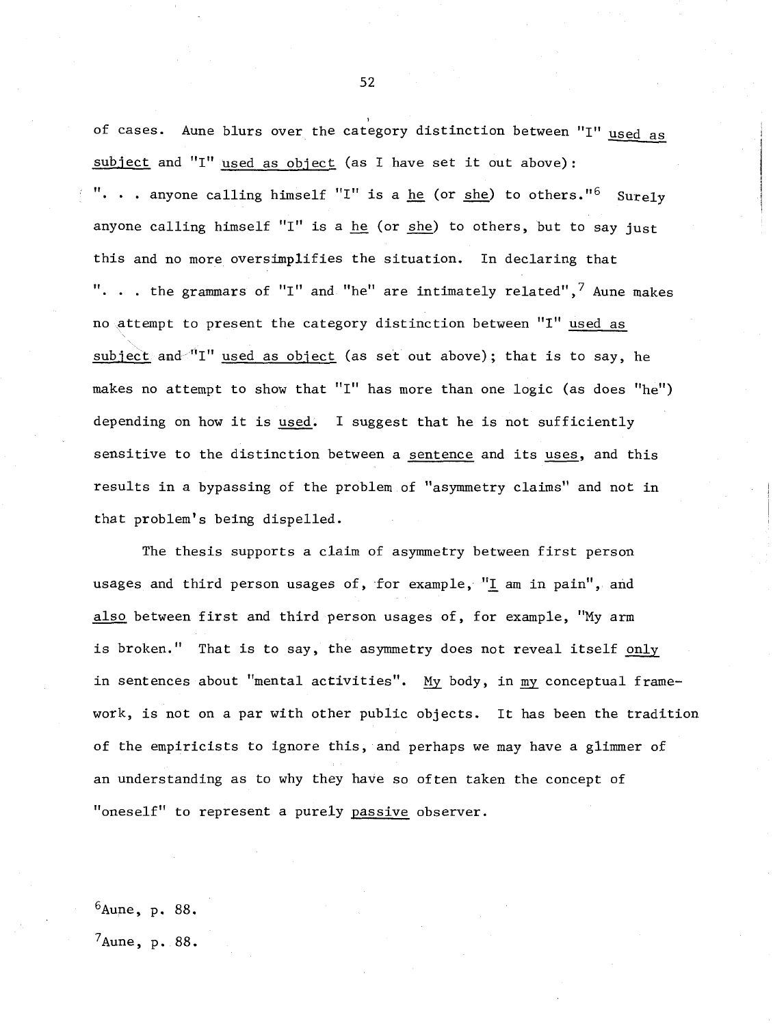of cases. Aune blurs over the category distinction between "I" used as subject and "I" used as object (as I have set it out above): ". . . anyone calling himself "I" is a <u>he</u> (or <u>she</u>) to others."<sup>6</sup> Surely anyone calling himself "I" is a he (or she) to others, but to say just this and no more oversimplifies the situation. In declaring that ". . . the grammars of "I" and "he" are intimately related",<sup>7</sup> Aune makes no attempt to present the category distinction between "I" used as subject and  $"I"$  used as object (as set out above); that is to say, he makes no attempt to show that "I" has more than one logic (as does "he") depending on how it is used. I suggest that he is not sufficiently sensitive to the distinction between a sentence and its uses, and this results in a bypassing of the problem of "asymmetry claims" and not in that problem's being dispelled.

The thesis supports a claim of asymmetry between first person usages and third person usages of, for example,  $^{\prime\prime}\underline{\text{I}}$  am in pain", and The thesis supports a claim of asymmetry between first person<br>usages and third person usages of, for example, "I am in pain", and<br>also between first and third person usages of, for example, "My arm<br>is broken ", "bet is to is broken." That is to say, the asymmetry does not reveal itself only in sentences about "mental activities". My body, in my conceptual framework, is not on a par with other public objects. It has been the tradition of the empiricists to ignore this, and perhaps we may have a glimmer of an understanding as to why they have so often taken the concept of "oneself" to represent a purely passive observer.

 $6$ Aune, p. 88.

 $'A$ une, p. 88.